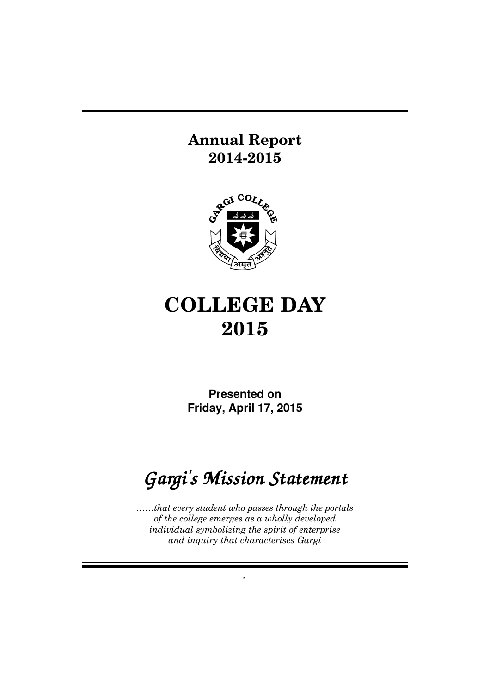# **Annual Report 2014-2015**



# **COLLEGE DAY 2015**

**Presented on Friday, April 17, 2015**

# *Gargi's Mission Statement*

*……that every student who passes through the portals of the college emerges as a wholly developed individual symbolizing the spirit of enterprise and inquiry that characterises Gargi*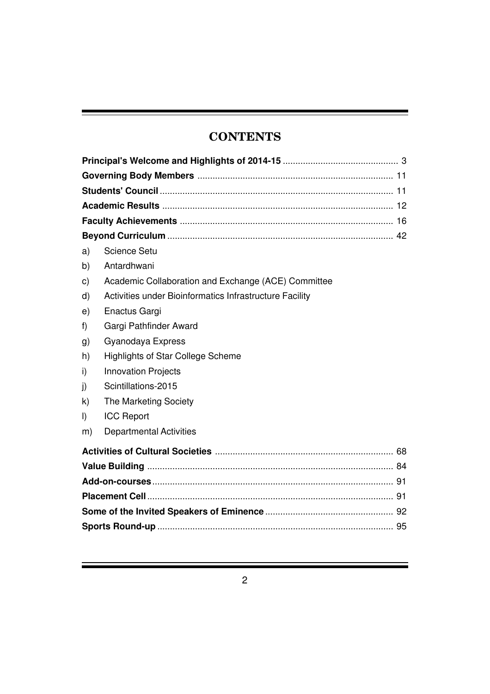# **CONTENTS**

| a)           | Science Setu                                            |  |  |
|--------------|---------------------------------------------------------|--|--|
| b)           | Antardhwani                                             |  |  |
| $\mathsf{c}$ | Academic Collaboration and Exchange (ACE) Committee     |  |  |
| $\mathsf{d}$ | Activities under Bioinformatics Infrastructure Facility |  |  |
| e)           | Enactus Gargi                                           |  |  |
| f)           | Gargi Pathfinder Award                                  |  |  |
| g)           | Gyanodaya Express                                       |  |  |
| h)           | <b>Highlights of Star College Scheme</b>                |  |  |
| i)           | <b>Innovation Projects</b>                              |  |  |
| j)           | Scintillations-2015                                     |  |  |
| k)           | The Marketing Society                                   |  |  |
| I)           | <b>ICC Report</b>                                       |  |  |
| m)           | <b>Departmental Activities</b>                          |  |  |
|              |                                                         |  |  |
|              |                                                         |  |  |
|              |                                                         |  |  |
|              |                                                         |  |  |
|              |                                                         |  |  |
|              |                                                         |  |  |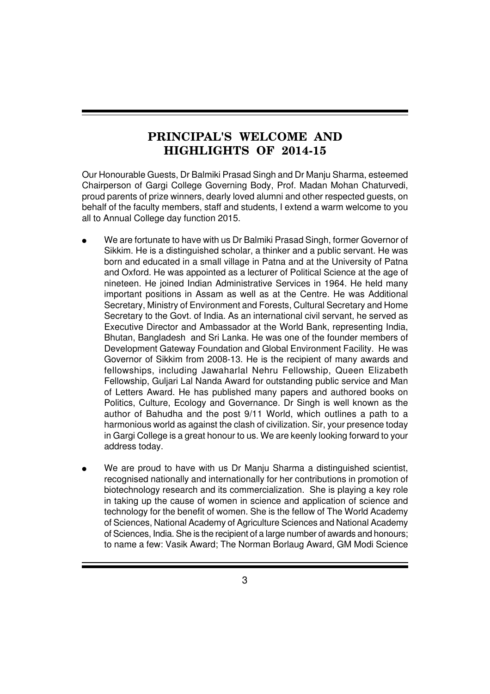# **PRINCIPAL'S WELCOME AND HIGHLIGHTS OF 2014-15**

Our Honourable Guests, Dr Balmiki Prasad Singh and Dr Manju Sharma, esteemed Chairperson of Gargi College Governing Body, Prof. Madan Mohan Chaturvedi, proud parents of prize winners, dearly loved alumni and other respected guests, on behalf of the faculty members, staff and students, I extend a warm welcome to you all to Annual College day function 2015.

- We are fortunate to have with us Dr Balmiki Prasad Singh, former Governor of Sikkim. He is a distinguished scholar, a thinker and a public servant. He was born and educated in a small village in Patna and at the University of Patna and Oxford. He was appointed as a lecturer of Political Science at the age of nineteen. He joined Indian Administrative Services in 1964. He held many important positions in Assam as well as at the Centre. He was Additional Secretary, Ministry of Environment and Forests, Cultural Secretary and Home Secretary to the Govt. of India. As an international civil servant, he served as Executive Director and Ambassador at the World Bank, representing India, Bhutan, Bangladesh and Sri Lanka. He was one of the founder members of Development Gateway Foundation and Global Environment Facility. He was Governor of Sikkim from 2008-13. He is the recipient of many awards and fellowships, including Jawaharlal Nehru Fellowship, Queen Elizabeth Fellowship, Guljari Lal Nanda Award for outstanding public service and Man of Letters Award. He has published many papers and authored books on Politics, Culture, Ecology and Governance. Dr Singh is well known as the author of Bahudha and the post 9/11 World, which outlines a path to a harmonious world as against the clash of civilization. Sir, your presence today in Gargi College is a great honour to us. We are keenly looking forward to your address today.
- We are proud to have with us Dr Manju Sharma a distinguished scientist, recognised nationally and internationally for her contributions in promotion of biotechnology research and its commercialization. She is playing a key role in taking up the cause of women in science and application of science and technology for the benefit of women. She is the fellow of The World Academy of Sciences, National Academy of Agriculture Sciences and National Academy of Sciences, India. She is the recipient of a large number of awards and honours; to name a few: Vasik Award; The Norman Borlaug Award, GM Modi Science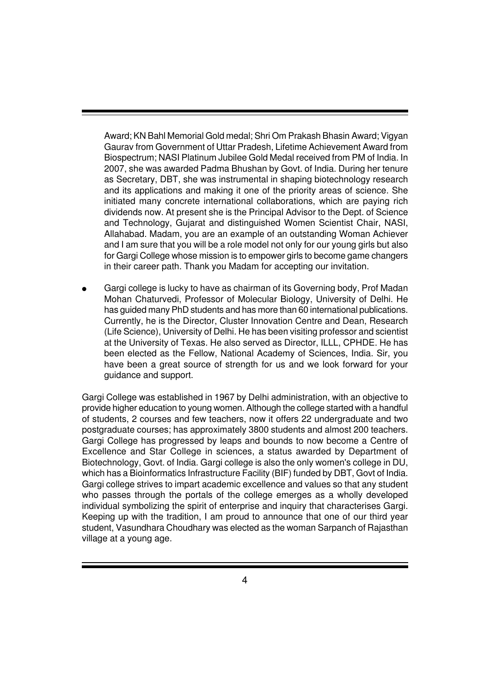Award; KN Bahl Memorial Gold medal; Shri Om Prakash Bhasin Award; Vigyan Gaurav from Government of Uttar Pradesh, Lifetime Achievement Award from Biospectrum; NASI Platinum Jubilee Gold Medal received from PM of India. In 2007, she was awarded Padma Bhushan by Govt. of India. During her tenure as Secretary, DBT, she was instrumental in shaping biotechnology research and its applications and making it one of the priority areas of science. She initiated many concrete international collaborations, which are paying rich dividends now. At present she is the Principal Advisor to the Dept. of Science and Technology, Gujarat and distinguished Women Scientist Chair, NASI, Allahabad. Madam, you are an example of an outstanding Woman Achiever and I am sure that you will be a role model not only for our young girls but also for Gargi College whose mission is to empower girls to become game changers in their career path. Thank you Madam for accepting our invitation.

Gargi college is lucky to have as chairman of its Governing body, Prof Madan Mohan Chaturvedi, Professor of Molecular Biology, University of Delhi. He has guided many PhD students and has more than 60 international publications. Currently, he is the Director, Cluster Innovation Centre and Dean, Research (Life Science), University of Delhi. He has been visiting professor and scientist at the University of Texas. He also served as Director, ILLL, CPHDE. He has been elected as the Fellow, National Academy of Sciences, India. Sir, you have been a great source of strength for us and we look forward for your guidance and support.

Gargi College was established in 1967 by Delhi administration, with an objective to provide higher education to young women. Although the college started with a handful of students, 2 courses and few teachers, now it offers 22 undergraduate and two postgraduate courses; has approximately 3800 students and almost 200 teachers. Gargi College has progressed by leaps and bounds to now become a Centre of Excellence and Star College in sciences, a status awarded by Department of Biotechnology, Govt. of India. Gargi college is also the only women's college in DU, which has a Bioinformatics Infrastructure Facility (BIF) funded by DBT, Govt of India. Gargi college strives to impart academic excellence and values so that any student who passes through the portals of the college emerges as a wholly developed individual symbolizing the spirit of enterprise and inquiry that characterises Gargi. Keeping up with the tradition, I am proud to announce that one of our third year student, Vasundhara Choudhary was elected as the woman Sarpanch of Rajasthan village at a young age.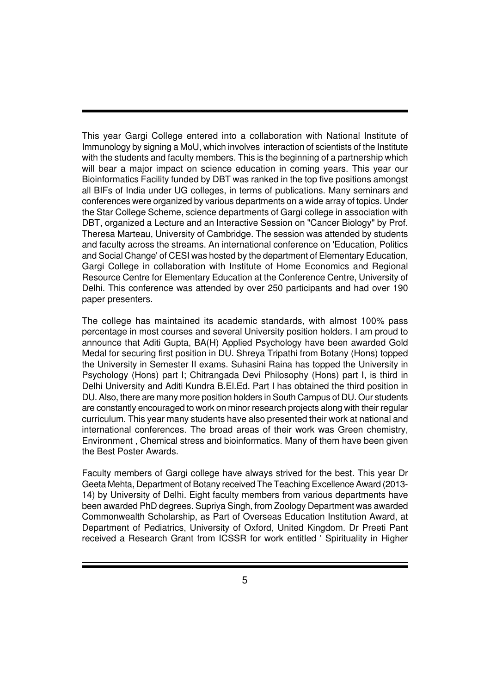This year Gargi College entered into a collaboration with National Institute of Immunology by signing a MoU, which involves interaction of scientists of the Institute with the students and faculty members. This is the beginning of a partnership which will bear a major impact on science education in coming years. This year our Bioinformatics Facility funded by DBT was ranked in the top five positions amongst all BIFs of India under UG colleges, in terms of publications. Many seminars and conferences were organized by various departments on a wide array of topics. Under the Star College Scheme, science departments of Gargi college in association with DBT, organized a Lecture and an Interactive Session on "Cancer Biology" by Prof. Theresa Marteau, University of Cambridge. The session was attended by students and faculty across the streams. An international conference on 'Education, Politics and Social Change' of CESI was hosted by the department of Elementary Education, Gargi College in collaboration with Institute of Home Economics and Regional Resource Centre for Elementary Education at the Conference Centre, University of Delhi. This conference was attended by over 250 participants and had over 190 paper presenters.

The college has maintained its academic standards, with almost 100% pass percentage in most courses and several University position holders. I am proud to announce that Aditi Gupta, BA(H) Applied Psychology have been awarded Gold Medal for securing first position in DU. Shreya Tripathi from Botany (Hons) topped the University in Semester II exams. Suhasini Raina has topped the University in Psychology (Hons) part I; Chitrangada Devi Philosophy (Hons) part I, is third in Delhi University and Aditi Kundra B.El.Ed. Part I has obtained the third position in DU. Also, there are many more position holders in South Campus of DU. Our students are constantly encouraged to work on minor research projects along with their regular curriculum. This year many students have also presented their work at national and international conferences. The broad areas of their work was Green chemistry, Environment , Chemical stress and bioinformatics. Many of them have been given the Best Poster Awards.

Faculty members of Gargi college have always strived for the best. This year Dr Geeta Mehta, Department of Botany received The Teaching Excellence Award (2013- 14) by University of Delhi. Eight faculty members from various departments have been awarded PhD degrees. Supriya Singh, from Zoology Department was awarded Commonwealth Scholarship, as Part of Overseas Education Institution Award, at Department of Pediatrics, University of Oxford, United Kingdom. Dr Preeti Pant received a Research Grant from ICSSR for work entitled ' Spirituality in Higher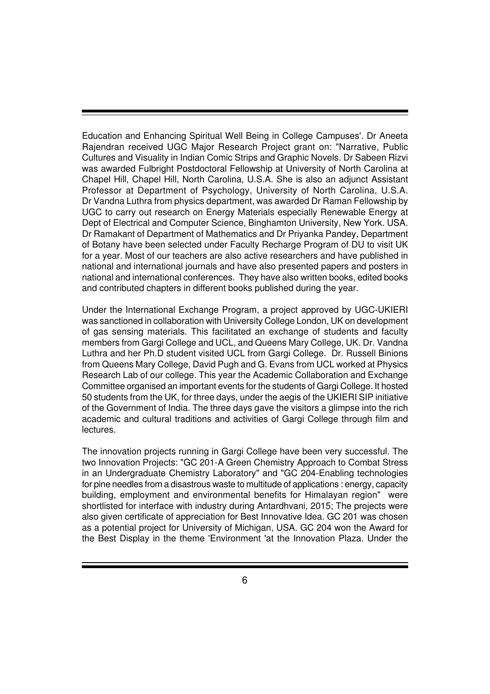Education and Enhancing Spiritual Well Being in College Campuses'. Dr Aneeta Rajendran received UGC Major Research Project grant on: "Narrative, Public Cultures and Visuality in Indian Comic Strips and Graphic Novels. Dr Sabeen Rizvi was awarded Fulbright Postdoctoral Fellowship at University of North Carolina at Chapel Hill, Chapel Hill, North Carolina, U.S.A. She is also an adjunct Assistant Professor at Department of Psychology, University of North Carolina, U.S.A. Dr Vandna Luthra from physics department, was awarded Dr Raman Fellowship by UGC to carry out research on Energy Materials especially Renewable Energy at Dept of Electrical and Computer Science, Binghamton University, New York. USA. Dr Ramakant of Department of Mathematics and Dr Priyanka Pandey, Department of Botany have been selected under Faculty Recharge Program of DU to visit UK for a year. Most of our teachers are also active researchers and have published in national and international journals and have also presented papers and posters in national and international conferences. They have also written books, edited books and contributed chapters in different books published during the year.

Under the International Exchange Program, a project approved by UGC-UKIERI was sanctioned in collaboration with University College London, UK on development of gas sensing materials. This facilitated an exchange of students and faculty members from Gargi College and UCL, and Queens Mary College, UK. Dr. Vandna Luthra and her Ph.D student visited UCL from Gargi College. Dr. Russell Binions from Queens Mary College, David Pugh and G. Evans from UCL worked at Physics Research Lab of our college. This year the Academic Collaboration and Exchange Committee organised an important events for the students of Gargi College. It hosted 50 students from the UK, for three days, under the aegis of the UKIERI SIP initiative of the Government of India. The three days gave the visitors a glimpse into the rich academic and cultural traditions and activities of Gargi College through film and lectures.

The innovation projects running in Gargi College have been very successful. The two Innovation Projects: "GC 201-A Green Chemistry Approach to Combat Stress in an Undergraduate Chemistry Laboratory" and "GC 204-Enabling technologies for pine needles from a disastrous waste to multitude of applications : energy, capacity building, employment and environmental benefits for Himalayan region" were shortlisted for interface with industry during Antardhvani, 2015; The projects were also given certificate of appreciation for Best Innovative Idea. GC 201 was chosen as a potential project for University of Michigan, USA. GC 204 won the Award for the Best Display in the theme 'Environment 'at the Innovation Plaza. Under the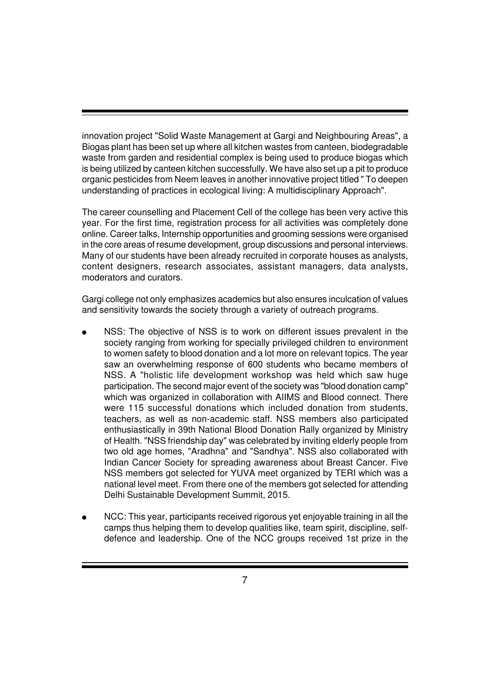innovation project "Solid Waste Management at Gargi and Neighbouring Areas", a Biogas plant has been set up where all kitchen wastes from canteen, biodegradable waste from garden and residential complex is being used to produce biogas which is being utilized by canteen kitchen successfully. We have also set up a pit to produce organic pesticides from Neem leaves in another innovative project titled " To deepen understanding of practices in ecological living: A multidisciplinary Approach".

The career counselling and Placement Cell of the college has been very active this year. For the first time, registration process for all activities was completely done online. Career talks, Internship opportunities and grooming sessions were organised in the core areas of resume development, group discussions and personal interviews. Many of our students have been already recruited in corporate houses as analysts, content designers, research associates, assistant managers, data analysts, moderators and curators.

Gargi college not only emphasizes academics but also ensures inculcation of values and sensitivity towards the society through a variety of outreach programs.

- NSS: The objective of NSS is to work on different issues prevalent in the society ranging from working for specially privileged children to environment to women safety to blood donation and a lot more on relevant topics. The year saw an overwhelming response of 600 students who became members of NSS. A "holistic life development workshop was held which saw huge participation. The second major event of the society was "blood donation camp" which was organized in collaboration with AIIMS and Blood connect. There were 115 successful donations which included donation from students, teachers, as well as non-academic staff. NSS members also participated enthusiastically in 39th National Blood Donation Rally organized by Ministry of Health. "NSS friendship day" was celebrated by inviting elderly people from two old age homes, "Aradhna" and "Sandhya". NSS also collaborated with Indian Cancer Society for spreading awareness about Breast Cancer. Five NSS members got selected for YUVA meet organized by TERI which was a national level meet. From there one of the members got selected for attending Delhi Sustainable Development Summit, 2015.
- NCC: This year, participants received rigorous yet enjoyable training in all the camps thus helping them to develop qualities like, team spirit, discipline, selfdefence and leadership. One of the NCC groups received 1st prize in the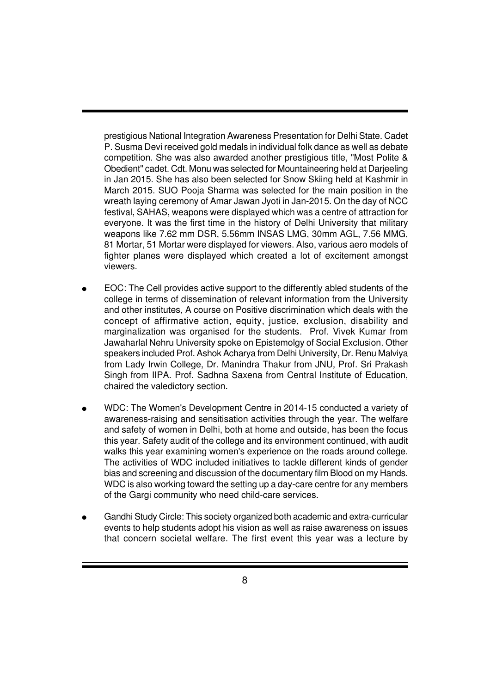prestigious National Integration Awareness Presentation for Delhi State. Cadet P. Susma Devi received gold medals in individual folk dance as well as debate competition. She was also awarded another prestigious title, "Most Polite & Obedient" cadet. Cdt. Monu was selected for Mountaineering held at Darjeeling in Jan 2015. She has also been selected for Snow Skiing held at Kashmir in March 2015. SUO Pooja Sharma was selected for the main position in the wreath laying ceremony of Amar Jawan Jyoti in Jan-2015. On the day of NCC festival, SAHAS, weapons were displayed which was a centre of attraction for everyone. It was the first time in the history of Delhi University that military weapons like 7.62 mm DSR, 5.56mm INSAS LMG, 30mm AGL, 7.56 MMG, 81 Mortar, 51 Mortar were displayed for viewers. Also, various aero models of fighter planes were displayed which created a lot of excitement amongst viewers.

- EOC: The Cell provides active support to the differently abled students of the college in terms of dissemination of relevant information from the University and other institutes, A course on Positive discrimination which deals with the concept of affirmative action, equity, justice, exclusion, disability and marginalization was organised for the students. Prof. Vivek Kumar from Jawaharlal Nehru University spoke on Epistemolgy of Social Exclusion. Other speakers included Prof. Ashok Acharya from Delhi University, Dr. Renu Malviya from Lady Irwin College, Dr. Manindra Thakur from JNU, Prof. Sri Prakash Singh from IIPA. Prof. Sadhna Saxena from Central Institute of Education, chaired the valedictory section.
- WDC: The Women's Development Centre in 2014-15 conducted a variety of awareness-raising and sensitisation activities through the year. The welfare and safety of women in Delhi, both at home and outside, has been the focus this year. Safety audit of the college and its environment continued, with audit walks this year examining women's experience on the roads around college. The activities of WDC included initiatives to tackle different kinds of gender bias and screening and discussion of the documentary film Blood on my Hands. WDC is also working toward the setting up a day-care centre for any members of the Gargi community who need child-care services.
- Gandhi Study Circle: This society organized both academic and extra-curricular events to help students adopt his vision as well as raise awareness on issues that concern societal welfare. The first event this year was a lecture by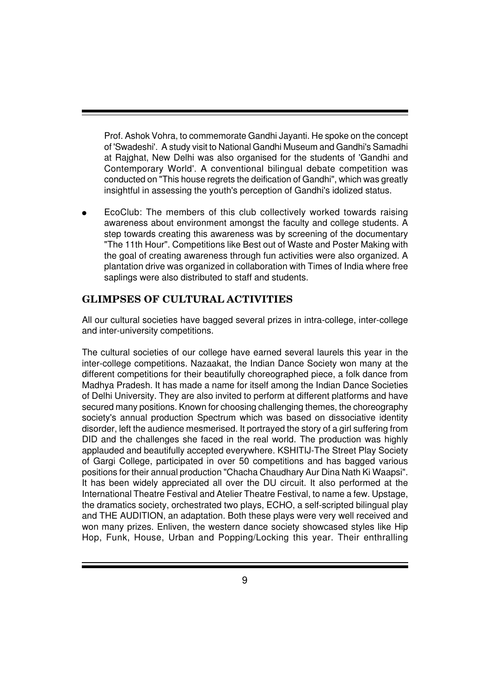Prof. Ashok Vohra, to commemorate Gandhi Jayanti. He spoke on the concept of 'Swadeshi'. A study visit to National Gandhi Museum and Gandhi's Samadhi at Rajghat, New Delhi was also organised for the students of 'Gandhi and Contemporary World'. A conventional bilingual debate competition was conducted on "This house regrets the deification of Gandhi", which was greatly insightful in assessing the youth's perception of Gandhi's idolized status.

EcoClub: The members of this club collectively worked towards raising awareness about environment amongst the faculty and college students. A step towards creating this awareness was by screening of the documentary "The 11th Hour". Competitions like Best out of Waste and Poster Making with the goal of creating awareness through fun activities were also organized. A plantation drive was organized in collaboration with Times of India where free saplings were also distributed to staff and students.

## **GLIMPSES OF CULTURAL ACTIVITIES**

All our cultural societies have bagged several prizes in intra-college, inter-college and inter-university competitions.

The cultural societies of our college have earned several laurels this year in the inter-college competitions. Nazaakat, the Indian Dance Society won many at the different competitions for their beautifully choreographed piece, a folk dance from Madhya Pradesh. It has made a name for itself among the Indian Dance Societies of Delhi University. They are also invited to perform at different platforms and have secured many positions. Known for choosing challenging themes, the choreography society's annual production Spectrum which was based on dissociative identity disorder, left the audience mesmerised. It portrayed the story of a girl suffering from DID and the challenges she faced in the real world. The production was highly applauded and beautifully accepted everywhere. KSHITIJ-The Street Play Society of Gargi College, participated in over 50 competitions and has bagged various positions for their annual production "Chacha Chaudhary Aur Dina Nath Ki Waapsi". It has been widely appreciated all over the DU circuit. It also performed at the International Theatre Festival and Atelier Theatre Festival, to name a few. Upstage, the dramatics society, orchestrated two plays, ECHO, a self-scripted bilingual play and THE AUDITION, an adaptation. Both these plays were very well received and won many prizes. Enliven, the western dance society showcased styles like Hip Hop, Funk, House, Urban and Popping/Locking this year. Their enthralling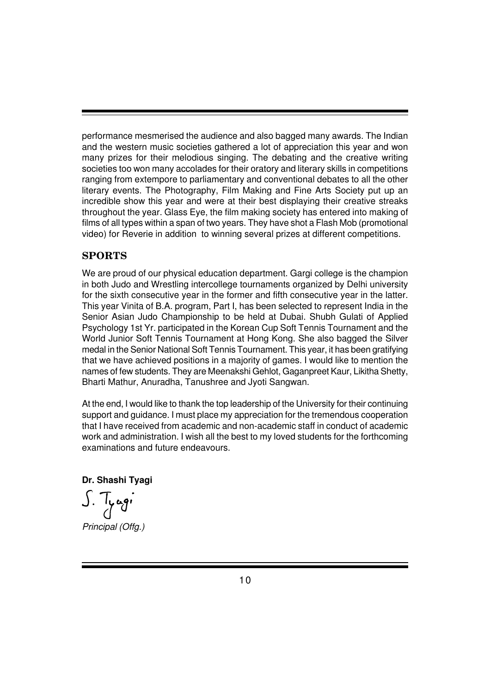performance mesmerised the audience and also bagged many awards. The Indian and the western music societies gathered a lot of appreciation this year and won many prizes for their melodious singing. The debating and the creative writing societies too won many accolades for their oratory and literary skills in competitions ranging from extempore to parliamentary and conventional debates to all the other literary events. The Photography, Film Making and Fine Arts Society put up an incredible show this year and were at their best displaying their creative streaks throughout the year. Glass Eye, the film making society has entered into making of films of all types within a span of two years. They have shot a Flash Mob (promotional video) for Reverie in addition to winning several prizes at different competitions.

## **SPORTS**

We are proud of our physical education department. Gargi college is the champion in both Judo and Wrestling intercollege tournaments organized by Delhi university for the sixth consecutive year in the former and fifth consecutive year in the latter. This year Vinita of B.A. program, Part I, has been selected to represent India in the Senior Asian Judo Championship to be held at Dubai. Shubh Gulati of Applied Psychology 1st Yr. participated in the Korean Cup Soft Tennis Tournament and the World Junior Soft Tennis Tournament at Hong Kong. She also bagged the Silver medal in the Senior National Soft Tennis Tournament. This year, it has been gratifying that we have achieved positions in a majority of games. I would like to mention the names of few students. They are Meenakshi Gehlot, Gaganpreet Kaur, Likitha Shetty, Bharti Mathur, Anuradha, Tanushree and Jyoti Sangwan.

At the end, I would like to thank the top leadership of the University for their continuing support and guidance. I must place my appreciation for the tremendous cooperation that I have received from academic and non-academic staff in conduct of academic work and administration. I wish all the best to my loved students for the forthcoming examinations and future endeavours.

**Dr. Shashi Tyagi**

*Principal (Offg.)*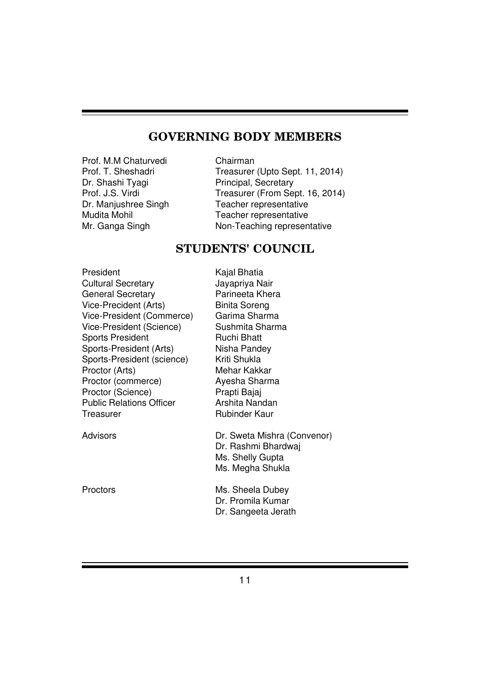# **GOVERNING BODY MEMBERS**

Prof. M.M Chaturvedi Chairman<br>Prof. T. Sheshadri Chairman

Prof. T. Sheshadri Treasurer (Upto Sept. 11, 2014)<br>Dr. Shashi Tyagi Principal, Secretary Principal, Secretary Prof. J.S. Virdi Treasurer (From Sept. 16, 2014)<br>Dr. Manjushree Singh Teacher representative Dr. Manjushree Singh<br>
Mudita Mohil Teacher representative<br>
Teacher representative Teacher representative Mr. Ganga Singh Non-Teaching representative

# **STUDENTS' COUNCIL**

| President                       | Kajal Bhatia                                                                               |
|---------------------------------|--------------------------------------------------------------------------------------------|
| <b>Cultural Secretary</b>       | Jayapriya Nair                                                                             |
| <b>General Secretary</b>        | Parineeta Khera                                                                            |
| Vice-Precident (Arts)           | <b>Binita Soreng</b>                                                                       |
| Vice-President (Commerce)       | Garima Sharma                                                                              |
| Vice-President (Science)        | Sushmita Sharma                                                                            |
| <b>Sports President</b>         | Ruchi Bhatt                                                                                |
| Sports-President (Arts)         | Nisha Pandey                                                                               |
| Sports-President (science)      | Kriti Shukla                                                                               |
| Proctor (Arts)                  | Mehar Kakkar                                                                               |
| Proctor (commerce)              | Ayesha Sharma                                                                              |
| Proctor (Science)               | Prapti Bajaj                                                                               |
| <b>Public Relations Officer</b> | Arshita Nandan                                                                             |
| Treasurer                       | Rubinder Kaur                                                                              |
| Advisors                        | Dr. Sweta Mishra (Convenor)<br>Dr. Rashmi Bhardwaj<br>Ms. Shelly Gupta<br>Ms. Megha Shukla |
| Proctors                        | Ms. Sheela Dubey<br>Dr. Promila Kumar<br>Dr. Sangeeta Jerath                               |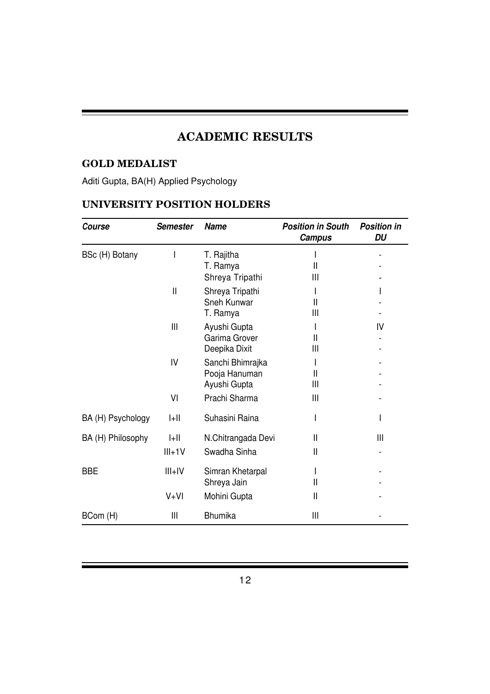# **ACADEMIC RESULTS**

## **GOLD MEDALIST**

# Aditi Gupta, BA(H) Applied Psychology

## **UNIVERSITY POSITION HOLDERS**

| Course            | <b>Semester</b> | <b>Name</b>        | <b>Position in South</b><br><b>Campus</b> | <b>Position in</b><br>DU |
|-------------------|-----------------|--------------------|-------------------------------------------|--------------------------|
| BSc (H) Botany    |                 | T. Rajitha         |                                           |                          |
|                   |                 | T. Ramya           | $\mathsf{II}$                             |                          |
|                   |                 | Shreya Tripathi    | Ш                                         |                          |
|                   | $\mathbf{I}$    | Shreya Tripathi    |                                           |                          |
|                   |                 | Sneh Kunwar        | Ш                                         |                          |
|                   |                 | T. Ramya           | $\mathsf{III}$                            |                          |
|                   | $\mathbf{III}$  | Ayushi Gupta       |                                           | IV                       |
|                   |                 | Garima Grover      | $\mathsf{II}$                             |                          |
|                   |                 | Deepika Dixit      | $\mathsf{III}$                            |                          |
|                   | IV              | Sanchi Bhimrajka   |                                           |                          |
|                   |                 | Pooja Hanuman      | Ш                                         |                          |
|                   |                 | Ayushi Gupta       | Ш                                         |                          |
|                   | VI              | Prachi Sharma      | Ш                                         |                          |
| BA (H) Psychology | $ +  $          | Suhasini Raina     |                                           |                          |
| BA (H) Philosophy | $  +  $         | N.Chitrangada Devi | $\mathbf{I}$                              | Ш                        |
|                   | $III + 1V$      | Swadha Sinha       | Ш                                         |                          |
| <b>BBE</b>        | $III + IV$      | Simran Khetarpal   |                                           |                          |
|                   |                 | Shreya Jain        | $\mathsf{I}$                              |                          |
|                   | $V+VI$          | Mohini Gupta       | $\mathbf{I}$                              |                          |
| BCom (H)          | Ш               | <b>Bhumika</b>     | Ш                                         |                          |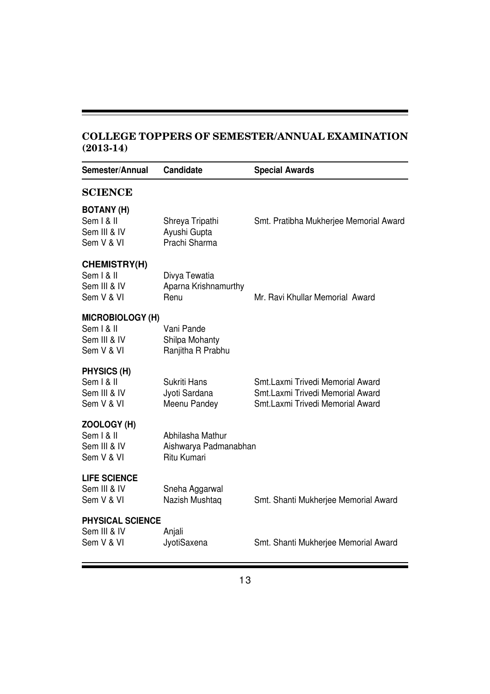## **COLLEGE TOPPERS OF SEMESTER/ANNUAL EXAMINATION (2013-14)**

| Semester/Annual                                                     | <b>Candidate</b>                                         | <b>Special Awards</b>                                                                                    |
|---------------------------------------------------------------------|----------------------------------------------------------|----------------------------------------------------------------------------------------------------------|
| <b>SCIENCE</b>                                                      |                                                          |                                                                                                          |
| <b>BOTANY (H)</b><br>Sem   &   <br>Sem III & IV<br>Sem V & VI       | Shreya Tripathi<br>Ayushi Gupta<br>Prachi Sharma         | Smt. Pratibha Mukherjee Memorial Award                                                                   |
| <b>CHEMISTRY(H)</b><br>Sem   &   <br>Sem III & IV<br>Sem V & VI     | Divya Tewatia<br>Aparna Krishnamurthy<br>Renu            | Mr. Ravi Khullar Memorial Award                                                                          |
| <b>MICROBIOLOGY (H)</b><br>Sem   &   <br>Sem III & IV<br>Sem V & VI | Vani Pande<br>Shilpa Mohanty<br>Ranjitha R Prabhu        |                                                                                                          |
| PHYSICS (H)<br>Sem   &   <br>Sem III & IV<br>Sem V & VI             | Sukriti Hans<br>Jyoti Sardana<br>Meenu Pandey            | Smt.Laxmi Trivedi Memorial Award<br>Smt.Laxmi Trivedi Memorial Award<br>Smt.Laxmi Trivedi Memorial Award |
| ZOOLOGY (H)<br>Sem   &   <br>Sem III & IV<br>Sem V & VI             | Abhilasha Mathur<br>Aishwarya Padmanabhan<br>Ritu Kumari |                                                                                                          |
| <b>LIFE SCIENCE</b><br>Sem III & IV<br>Sem V & VI                   | Sneha Aggarwal<br>Nazish Mushtaq                         | Smt. Shanti Mukherjee Memorial Award                                                                     |
| <b>PHYSICAL SCIENCE</b><br>Sem III & IV<br>Sem V & VI               | Anjali<br>JyotiSaxena                                    | Smt. Shanti Mukherjee Memorial Award                                                                     |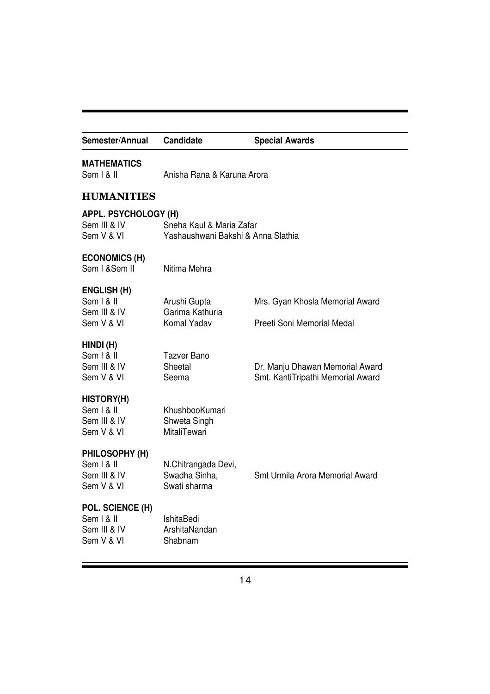| Semester/Annual                                               | Candidate                                                      | <b>Special Awards</b>                                                |  |
|---------------------------------------------------------------|----------------------------------------------------------------|----------------------------------------------------------------------|--|
| <b>MATHEMATICS</b><br>Sem   &                                 | Anisha Rana & Karuna Arora                                     |                                                                      |  |
| <b>HUMANITIES</b>                                             |                                                                |                                                                      |  |
| <b>APPL. PSYCHOLOGY (H)</b><br>Sem III & IV<br>Sem V & VI     | Sneha Kaul & Maria Zafar<br>Yashaushwani Bakshi & Anna Slathia |                                                                      |  |
| <b>ECONOMICS (H)</b><br>Sem I & Sem II                        | Nitima Mehra                                                   |                                                                      |  |
| <b>ENGLISH (H)</b><br>Sem   &   <br>Sem III & IV              | Arushi Gupta<br>Garima Kathuria                                | Mrs. Gyan Khosla Memorial Award                                      |  |
| Sem V & VI                                                    | Komal Yadav                                                    | Preeti Soni Memorial Medal                                           |  |
| HINDI (H)<br>Sem   &   <br>Sem III & IV<br>Sem V & VI         | <b>Tazver Bano</b><br>Sheetal<br>Seema                         | Dr. Manju Dhawan Memorial Award<br>Smt. KantiTripathi Memorial Award |  |
| <b>HISTORY(H)</b><br>Sem   &   <br>Sem III & IV<br>Sem V & VI | KhushbooKumari<br>Shweta Singh<br><b>MitaliTewari</b>          |                                                                      |  |
| PHILOSOPHY (H)<br>Sem   &   <br>Sem III & IV<br>Sem V & VI    | N.Chitrangada Devi,<br>Swadha Sinha,<br>Swati sharma           | Smt Urmila Arora Memorial Award                                      |  |
| POL. SCIENCE (H)<br>Sem   &   <br>Sem III & IV<br>Sem V & VI  | IshitaBedi<br>ArshitaNandan<br>Shabnam                         |                                                                      |  |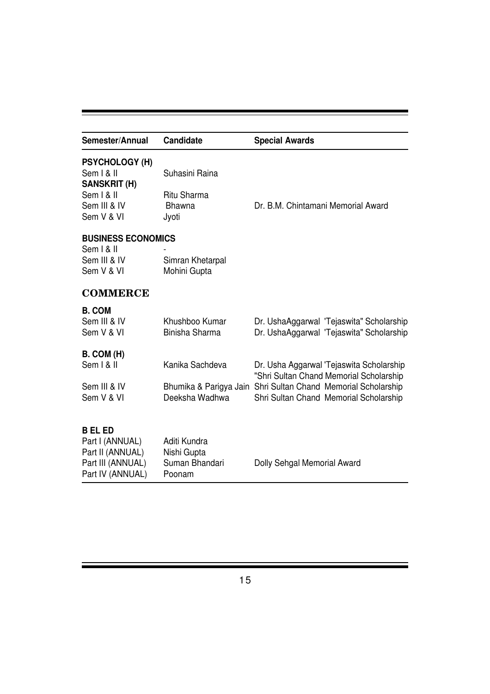| Semester/Annual                                                                              | <b>Candidate</b>                                        | <b>Special Awards</b>                                                                                   |
|----------------------------------------------------------------------------------------------|---------------------------------------------------------|---------------------------------------------------------------------------------------------------------|
| <b>PSYCHOLOGY (H)</b><br>Sem   &                                                             | Suhasini Raina                                          |                                                                                                         |
| <b>SANSKRIT (H)</b><br>Sem   &   <br>Sem III & IV<br>Sem V & VI                              | Ritu Sharma<br><b>Bhawna</b><br>Jyoti                   | Dr. B.M. Chintamani Memorial Award                                                                      |
| <b>BUSINESS ECONOMICS</b><br>Sem   &   <br>Sem III & IV<br>Sem V & VI                        | Simran Khetarpal<br>Mohini Gupta                        |                                                                                                         |
| <b>COMMERCE</b>                                                                              |                                                         |                                                                                                         |
| <b>B. COM</b><br>Sem III & IV<br>Sem V & VI                                                  | Khushboo Kumar<br>Binisha Sharma                        | Dr. UshaAggarwal 'Tejaswita" Scholarship<br>Dr. UshaAggarwal 'Tejaswita" Scholarship                    |
| B. COM (H)<br>Sem   &                                                                        | Kanika Sachdeva                                         | Dr. Usha Aggarwal 'Tejaswita Scholarship<br>"Shri Sultan Chand Memorial Scholarship                     |
| Sem III & IV<br>Sem V & VI                                                                   | Deeksha Wadhwa                                          | Bhumika & Parigya Jain Shri Sultan Chand Memorial Scholarship<br>Shri Sultan Chand Memorial Scholarship |
| <b>BELED</b><br>Part I (ANNUAL)<br>Part II (ANNUAL)<br>Part III (ANNUAL)<br>Part IV (ANNUAL) | Aditi Kundra<br>Nishi Gupta<br>Suman Bhandari<br>Poonam | Dolly Sehgal Memorial Award                                                                             |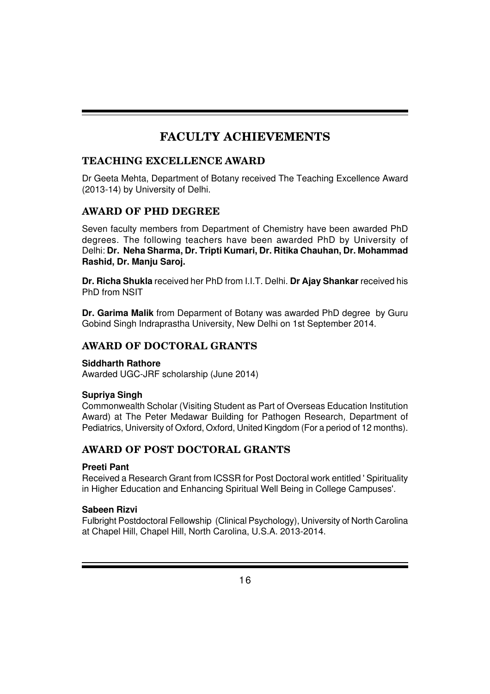# **FACULTY ACHIEVEMENTS**

## **TEACHING EXCELLENCE AWARD**

Dr Geeta Mehta, Department of Botany received The Teaching Excellence Award (2013-14) by University of Delhi.

## **AWARD OF PHD DEGREE**

Seven faculty members from Department of Chemistry have been awarded PhD degrees. The following teachers have been awarded PhD by University of Delhi: **Dr. Neha Sharma, Dr. Tripti Kumari, Dr. Ritika Chauhan, Dr. Mohammad Rashid, Dr. Manju Saroj.**

**Dr. Richa Shukla** received her PhD from I.I.T. Delhi. **Dr Ajay Shankar** received his PhD from NSIT

**Dr. Garima Malik** from Deparment of Botany was awarded PhD degree by Guru Gobind Singh Indraprastha University, New Delhi on 1st September 2014.

## **AWARD OF DOCTORAL GRANTS**

## **Siddharth Rathore**

Awarded UGC-JRF scholarship (June 2014)

## **Supriya Singh**

Commonwealth Scholar (Visiting Student as Part of Overseas Education Institution Award) at The Peter Medawar Building for Pathogen Research, Department of Pediatrics, University of Oxford, Oxford, United Kingdom (For a period of 12 months).

## **AWARD OF POST DOCTORAL GRANTS**

## **Preeti Pant**

Received a Research Grant from ICSSR for Post Doctoral work entitled ' Spirituality in Higher Education and Enhancing Spiritual Well Being in College Campuses'.

## **Sabeen Rizvi**

Fulbright Postdoctoral Fellowship (Clinical Psychology), University of North Carolina at Chapel Hill, Chapel Hill, North Carolina, U.S.A. 2013-2014.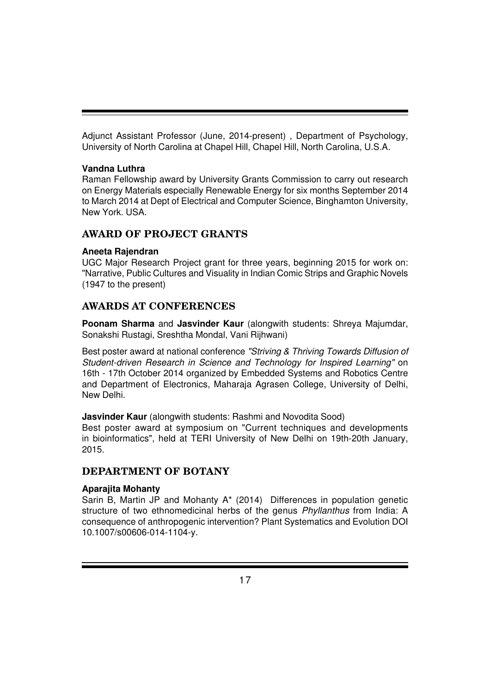Adjunct Assistant Professor (June, 2014-present) , Department of Psychology, University of North Carolina at Chapel Hill, Chapel Hill, North Carolina, U.S.A.

## **Vandna Luthra**

Raman Fellowship award by University Grants Commission to carry out research on Energy Materials especially Renewable Energy for six months September 2014 to March 2014 at Dept of Electrical and Computer Science, Binghamton University, New York. USA.

## **AWARD OF PROJECT GRANTS**

## **Aneeta Rajendran**

UGC Major Research Project grant for three years, beginning 2015 for work on: "Narrative, Public Cultures and Visuality in Indian Comic Strips and Graphic Novels (1947 to the present)

## **AWARDS AT CONFERENCES**

**Poonam Sharma** and **Jasvinder Kaur** (alongwith students: Shreya Majumdar, Sonakshi Rustagi, Sreshtha Mondal, Vani Rijhwani)

Best poster award at national conference *"Striving & Thriving Towards Diffusion of Student-driven Research in Science and Technology for Inspired Learning"* on 16th - 17th October 2014 organized by Embedded Systems and Robotics Centre and Department of Electronics, Maharaja Agrasen College, University of Delhi, New Delhi.

**Jasvinder Kaur** (alongwith students: Rashmi and Novodita Sood)

Best poster award at symposium on "Current techniques and developments in bioinformatics", held at TERI University of New Delhi on 19th-20th January, 2015.

## **DEPARTMENT OF BOTANY**

## **Aparajita Mohanty**

Sarin B, Martin JP and Mohanty A\* (2014) Differences in population genetic structure of two ethnomedicinal herbs of the genus *Phyllanthus* from India: A consequence of anthropogenic intervention? Plant Systematics and Evolution DOI 10.1007/s00606-014-1104-y.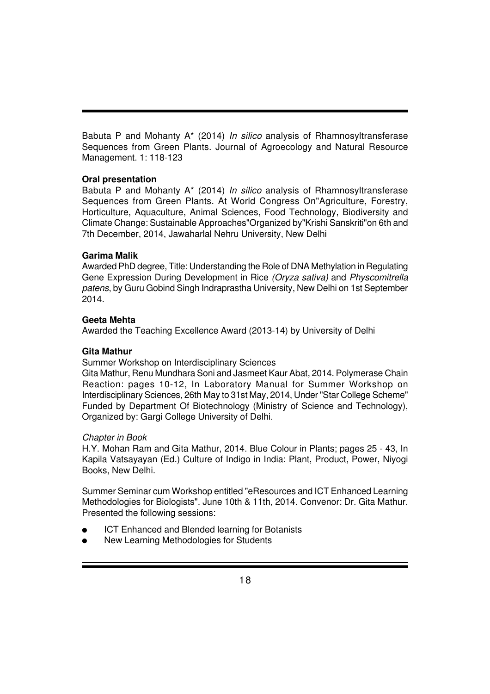Babuta P and Mohanty A\* (2014) *In silico* analysis of Rhamnosyltransferase Sequences from Green Plants. Journal of Agroecology and Natural Resource Management. 1: 118-123

## **Oral presentation**

Babuta P and Mohanty A\* (2014) *In silico* analysis of Rhamnosyltransferase Sequences from Green Plants. At World Congress On"Agriculture, Forestry, Horticulture, Aquaculture, Animal Sciences, Food Technology, Biodiversity and Climate Change: Sustainable Approaches"Organized by"Krishi Sanskriti"on 6th and 7th December, 2014, Jawaharlal Nehru University, New Delhi

## **Garima Malik**

Awarded PhD degree, Title: Understanding the Role of DNA Methylation in Regulating Gene Expression During Development in Rice *(Oryza sativa)* and *Physcomitrella patens*, by Guru Gobind Singh Indraprastha University, New Delhi on 1st September 2014.

## **Geeta Mehta**

Awarded the Teaching Excellence Award (2013-14) by University of Delhi

## **Gita Mathur**

Summer Workshop on Interdisciplinary Sciences

Gita Mathur, Renu Mundhara Soni and Jasmeet Kaur Abat, 2014. Polymerase Chain Reaction: pages 10-12, In Laboratory Manual for Summer Workshop on Interdisciplinary Sciences, 26th May to 31st May, 2014, Under "Star College Scheme" Funded by Department Of Biotechnology (Ministry of Science and Technology), Organized by: Gargi College University of Delhi.

## *Chapter in Book*

H.Y. Mohan Ram and Gita Mathur, 2014. Blue Colour in Plants; pages 25 - 43, In Kapila Vatsayayan (Ed.) Culture of Indigo in India: Plant, Product, Power, Niyogi Books, New Delhi.

Summer Seminar cum Workshop entitled "eResources and ICT Enhanced Learning Methodologies for Biologists". June 10th & 11th, 2014. Convenor: Dr. Gita Mathur. Presented the following sessions:

- **ICT Enhanced and Blended learning for Botanists**
- New Learning Methodologies for Students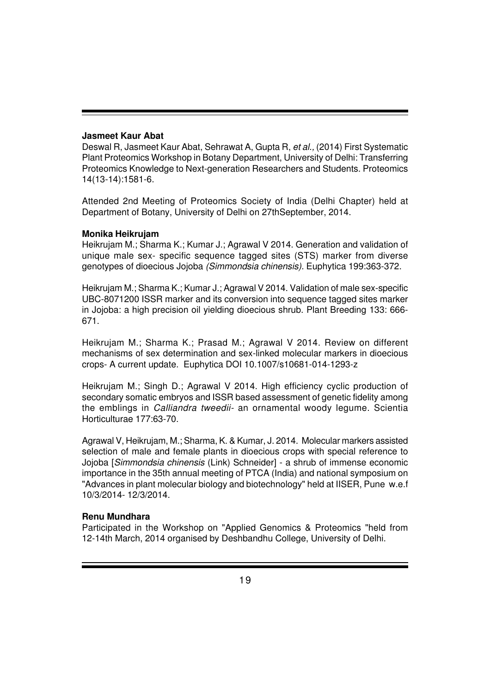#### **Jasmeet Kaur Abat**

Deswal R, Jasmeet Kaur Abat, Sehrawat A, Gupta R, *et al.,* (2014) First Systematic Plant Proteomics Workshop in Botany Department, University of Delhi: Transferring Proteomics Knowledge to Next-generation Researchers and Students. Proteomics 14(13-14):1581-6.

Attended 2nd Meeting of Proteomics Society of India (Delhi Chapter) held at Department of Botany, University of Delhi on 27thSeptember, 2014.

#### **Monika Heikrujam**

Heikrujam M.; Sharma K.; Kumar J.; Agrawal V 2014. Generation and validation of unique male sex- specific sequence tagged sites (STS) marker from diverse genotypes of dioecious Jojoba *(Simmondsia chinensis).* Euphytica 199:363-372.

Heikrujam M.; Sharma K.; Kumar J.; Agrawal V 2014. Validation of male sex-specific UBC-8071200 ISSR marker and its conversion into sequence tagged sites marker in Jojoba: a high precision oil yielding dioecious shrub. Plant Breeding 133: 666- 671.

Heikrujam M.; Sharma K.; Prasad M.; Agrawal V 2014. Review on different mechanisms of sex determination and sex-linked molecular markers in dioecious crops- A current update. Euphytica DOI 10.1007/s10681-014-1293-z

Heikrujam M.; Singh D.; Agrawal V 2014. High efficiency cyclic production of secondary somatic embryos and ISSR based assessment of genetic fidelity among the emblings in *Calliandra tweedii-* an ornamental woody legume. Scientia Horticulturae 177:63-70.

Agrawal V, Heikrujam, M.; Sharma, K. & Kumar, J. 2014. Molecular markers assisted selection of male and female plants in dioecious crops with special reference to Jojoba [*Simmondsia chinensis* (Link) Schneider] - a shrub of immense economic importance in the 35th annual meeting of PTCA (India) and national symposium on "Advances in plant molecular biology and biotechnology" held at IISER, Pune w.e.f 10/3/2014- 12/3/2014.

#### **Renu Mundhara**

Participated in the Workshop on "Applied Genomics & Proteomics "held from 12-14th March, 2014 organised by Deshbandhu College, University of Delhi.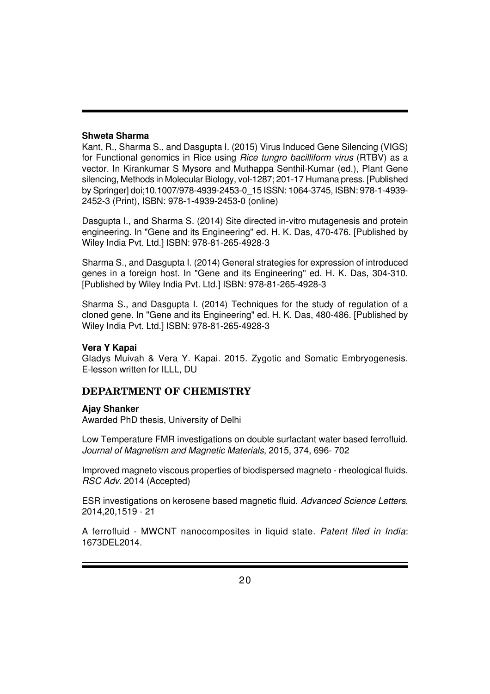#### **Shweta Sharma**

Kant, R., Sharma S., and Dasgupta I. (2015) Virus Induced Gene Silencing (VIGS) for Functional genomics in Rice using *Rice tungro bacilliform virus* (RTBV) as a vector. In Kirankumar S Mysore and Muthappa Senthil-Kumar (ed.), Plant Gene silencing, Methods in Molecular Biology, vol-1287; 201-17 Humana press. [Published by Springer] doi;10.1007/978-4939-2453-0\_15 ISSN: 1064-3745, ISBN: 978-1-4939- 2452-3 (Print), ISBN: 978-1-4939-2453-0 (online)

Dasgupta I., and Sharma S. (2014) Site directed in-vitro mutagenesis and protein engineering. In "Gene and its Engineering" ed. H. K. Das, 470-476. [Published by Wiley India Pvt. Ltd.] ISBN: 978-81-265-4928-3

Sharma S., and Dasgupta I. (2014) General strategies for expression of introduced genes in a foreign host. In "Gene and its Engineering" ed. H. K. Das, 304-310. [Published by Wiley India Pvt. Ltd.] ISBN: 978-81-265-4928-3

Sharma S., and Dasgupta I. (2014) Techniques for the study of regulation of a cloned gene. In "Gene and its Engineering" ed. H. K. Das, 480-486. [Published by Wiley India Pvt. Ltd.] ISBN: 978-81-265-4928-3

#### **Vera Y Kapai**

Gladys Muivah & Vera Y. Kapai. 2015. Zygotic and Somatic Embryogenesis. E-lesson written for ILLL, DU

## **DEPARTMENT OF CHEMISTRY**

#### **Ajay Shanker**

Awarded PhD thesis, University of Delhi

Low Temperature FMR investigations on double surfactant water based ferrofluid. *Journal of Magnetism and Magnetic Materials*, 2015, 374, 696- 702

Improved magneto viscous properties of biodispersed magneto - rheological fluids. *RSC Adv.* 2014 (Accepted)

ESR investigations on kerosene based magnetic fluid. *Advanced Science Letters*, 2014,20,1519 - 21

A ferrofluid - MWCNT nanocomposites in liquid state. *Patent filed in India*: 1673DEL2014.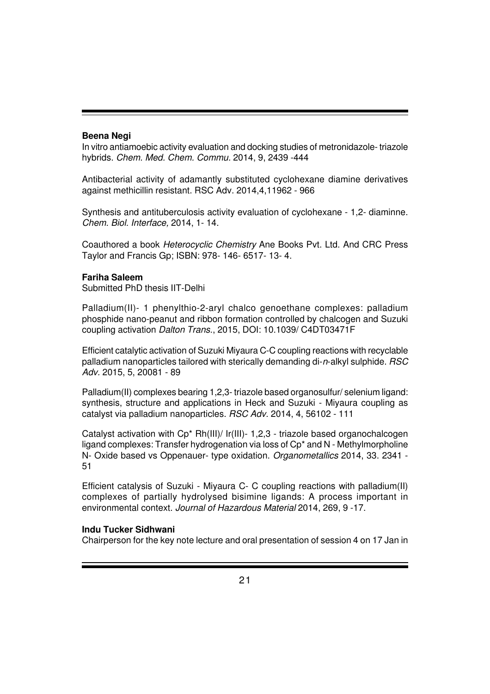#### **Beena Negi**

In vitro antiamoebic activity evaluation and docking studies of metronidazole- triazole hybrids. *Chem. Med. Chem. Commu.* 2014, 9, 2439 -444

Antibacterial activity of adamantly substituted cyclohexane diamine derivatives against methicillin resistant. RSC Adv. 2014,4,11962 - 966

Synthesis and antituberculosis activity evaluation of cyclohexane - 1,2- diaminne. *Chem. Biol. Interface,* 2014, 1- 14.

Coauthored a book *Heterocyclic Chemistry* Ane Books Pvt. Ltd. And CRC Press Taylor and Francis Gp; ISBN: 978- 146- 6517- 13- 4.

#### **Fariha Saleem**

Submitted PhD thesis IIT-Delhi

Palladium(II)- 1 phenylthio-2-aryl chalco genoethane complexes: palladium phosphide nano-peanut and ribbon formation controlled by chalcogen and Suzuki coupling activation *Dalton Trans.*, 2015, DOI: 10.1039/ C4DT03471F

Efficient catalytic activation of Suzuki Miyaura C-C coupling reactions with recyclable palladium nanoparticles tailored with sterically demanding di-*n*-alkyl sulphide. *RSC Adv.* 2015, 5, 20081 - 89

Palladium(II) complexes bearing 1,2,3- triazole based organosulfur/ selenium ligand: synthesis, structure and applications in Heck and Suzuki - Miyaura coupling as catalyst via palladium nanoparticles. *RSC Adv.* 2014, 4, 56102 - 111

Catalyst activation with Cp\* Rh(III)/ Ir(III)- 1,2,3 - triazole based organochalcogen ligand complexes: Transfer hydrogenation via loss of Cp\* and N - Methylmorpholine N- Oxide based vs Oppenauer- type oxidation. *Organometallics* 2014, 33. 2341 - 51

Efficient catalysis of Suzuki - Miyaura C- C coupling reactions with palladium(II) complexes of partially hydrolysed bisimine ligands: A process important in environmental context. *Journal of Hazardous Material* 2014, 269, 9 -17.

#### **Indu Tucker Sidhwani**

Chairperson for the key note lecture and oral presentation of session 4 on 17 Jan in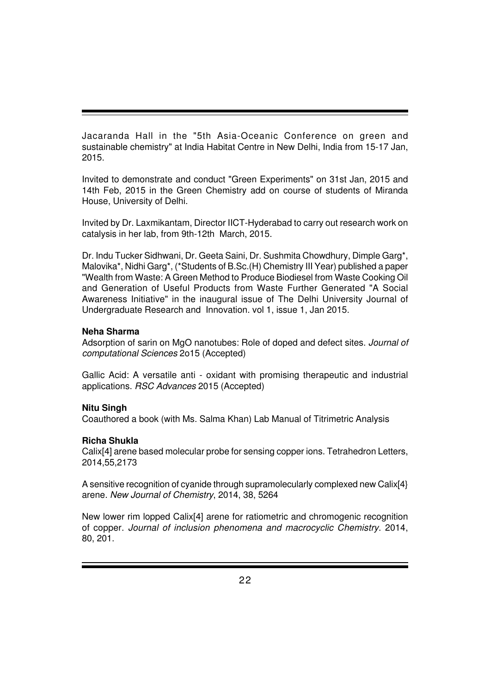Jacaranda Hall in the "5th Asia-Oceanic Conference on green and sustainable chemistry" at India Habitat Centre in New Delhi, India from 15-17 Jan, 2015.

Invited to demonstrate and conduct "Green Experiments" on 31st Jan, 2015 and 14th Feb, 2015 in the Green Chemistry add on course of students of Miranda House, University of Delhi.

Invited by Dr. Laxmikantam, Director IICT-Hyderabad to carry out research work on catalysis in her lab, from 9th-12th March, 2015.

Dr. Indu Tucker Sidhwani, Dr. Geeta Saini, Dr. Sushmita Chowdhury, Dimple Garg\*, Malovika\*, Nidhi Garg\*, (\*Students of B.Sc.(H) Chemistry III Year) published a paper "Wealth from Waste: A Green Method to Produce Biodiesel from Waste Cooking Oil and Generation of Useful Products from Waste Further Generated "A Social Awareness Initiative" in the inaugural issue of The Delhi University Journal of Undergraduate Research and Innovation. vol 1, issue 1, Jan 2015.

## **Neha Sharma**

Adsorption of sarin on MgO nanotubes: Role of doped and defect sites. *Journal of computational Sciences* 2o15 (Accepted)

Gallic Acid: A versatile anti - oxidant with promising therapeutic and industrial applications. *RSC Advances* 2015 (Accepted)

## **Nitu Singh**

Coauthored a book (with Ms. Salma Khan) Lab Manual of Titrimetric Analysis

## **Richa Shukla**

Calix[4] arene based molecular probe for sensing copper ions. Tetrahedron Letters, 2014,55,2173

A sensitive recognition of cyanide through supramolecularly complexed new Calix[4} arene. *New Journal of Chemistry*, 2014, 38, 5264

New lower rim lopped Calix[4] arene for ratiometric and chromogenic recognition of copper. *Journal of inclusion phenomena and macrocyclic Chemistry*. 2014, 80, 201.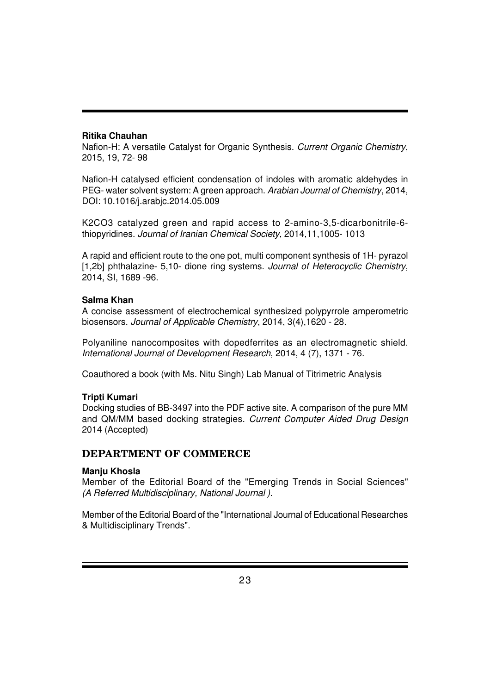## **Ritika Chauhan**

Nafion-H: A versatile Catalyst for Organic Synthesis. *Current Organic Chemistry*, 2015, 19, 72- 98

Nafion-H catalysed efficient condensation of indoles with aromatic aldehydes in PEG- water solvent system: A green approach. *Arabian Journal of Chemistry*, 2014, DOI: 10.1016/j.arabjc.2014.05.009

K2CO3 catalyzed green and rapid access to 2-amino-3,5-dicarbonitrile-6 thiopyridines. *Journal of Iranian Chemical Society*, 2014,11,1005- 1013

A rapid and efficient route to the one pot, multi component synthesis of 1H- pyrazol [1,2b] phthalazine- 5,10- dione ring systems. *Journal of Heterocyclic Chemistry*, 2014, SI, 1689 -96.

## **Salma Khan**

A concise assessment of electrochemical synthesized polypyrrole amperometric biosensors. *Journal of Applicable Chemistry*, 2014, 3(4),1620 - 28.

Polyaniline nanocomposites with dopedferrites as an electromagnetic shield. *International Journal of Development Research*, 2014, 4 (7), 1371 - 76.

Coauthored a book (with Ms. Nitu Singh) Lab Manual of Titrimetric Analysis

## **Tripti Kumari**

Docking studies of BB-3497 into the PDF active site. A comparison of the pure MM and QM/MM based docking strategies. *Current Computer Aided Drug Design* 2014 (Accepted)

## **DEPARTMENT OF COMMERCE**

## **Manju Khosla**

Member of the Editorial Board of the "Emerging Trends in Social Sciences" *(A Referred Multidisciplinary, National Journal )*.

Member of the Editorial Board of the "International Journal of Educational Researches & Multidisciplinary Trends".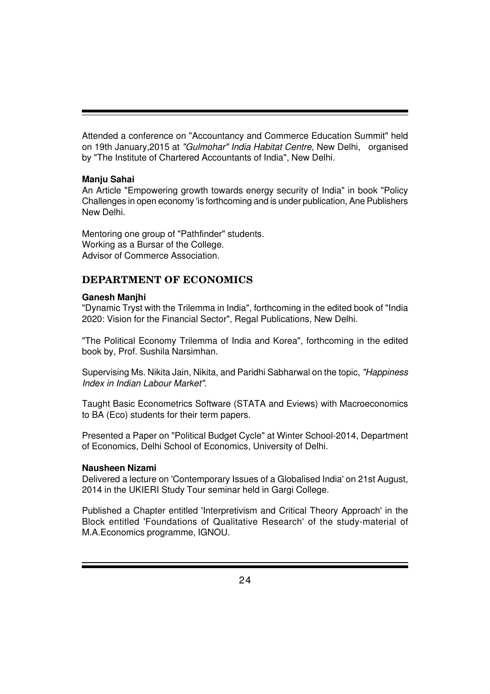Attended a conference on "Accountancy and Commerce Education Summit" held on 19th January,2015 at *"Gulmohar" India Habitat Centre*, New Delhi, organised by "The Institute of Chartered Accountants of India", New Delhi.

## **Manju Sahai**

An Article "Empowering growth towards energy security of India" in book "Policy Challenges in open economy 'is forthcoming and is under publication, Ane Publishers New Delhi.

Mentoring one group of "Pathfinder" students. Working as a Bursar of the College. Advisor of Commerce Association.

## **DEPARTMENT OF ECONOMICS**

## **Ganesh Manjhi**

"Dynamic Tryst with the Trilemma in India", forthcoming in the edited book of "India 2020: Vision for the Financial Sector", Regal Publications, New Delhi.

"The Political Economy Trilemma of India and Korea", forthcoming in the edited book by, Prof. Sushila Narsimhan.

Supervising Ms. Nikita Jain, Nikita, and Paridhi Sabharwal on the topic, *"Happiness Index in Indian Labour Market"*.

Taught Basic Econometrics Software (STATA and Eviews) with Macroeconomics to BA (Eco) students for their term papers.

Presented a Paper on "Political Budget Cycle" at Winter School-2014, Department of Economics, Delhi School of Economics, University of Delhi.

## **Nausheen Nizami**

Delivered a lecture on 'Contemporary Issues of a Globalised India' on 21st August, 2014 in the UKIERI Study Tour seminar held in Gargi College.

Published a Chapter entitled 'Interpretivism and Critical Theory Approach' in the Block entitled 'Foundations of Qualitative Research' of the study-material of M.A.Economics programme, IGNOU.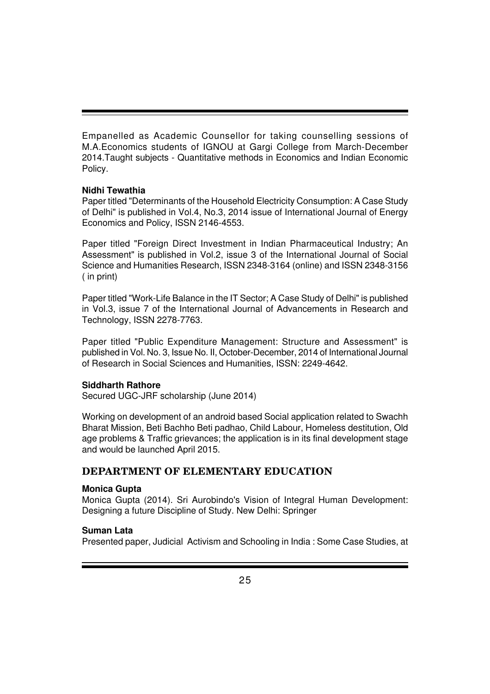Empanelled as Academic Counsellor for taking counselling sessions of M.A.Economics students of IGNOU at Gargi College from March-December 2014.Taught subjects - Quantitative methods in Economics and Indian Economic Policy.

## **Nidhi Tewathia**

Paper titled "Determinants of the Household Electricity Consumption: A Case Study of Delhi" is published in Vol.4, No.3, 2014 issue of International Journal of Energy Economics and Policy, ISSN 2146-4553.

Paper titled "Foreign Direct Investment in Indian Pharmaceutical Industry; An Assessment" is published in Vol.2, issue 3 of the International Journal of Social Science and Humanities Research, ISSN 2348-3164 (online) and ISSN 2348-3156 ( in print)

Paper titled "Work-Life Balance in the IT Sector; A Case Study of Delhi" is published in Vol.3, issue 7 of the International Journal of Advancements in Research and Technology, ISSN 2278-7763.

Paper titled "Public Expenditure Management: Structure and Assessment" is published in Vol. No. 3, Issue No. II, October-December, 2014 of International Journal of Research in Social Sciences and Humanities, ISSN: 2249-4642.

## **Siddharth Rathore**

Secured UGC-JRF scholarship (June 2014)

Working on development of an android based Social application related to Swachh Bharat Mission, Beti Bachho Beti padhao, Child Labour, Homeless destitution, Old age problems & Traffic grievances; the application is in its final development stage and would be launched April 2015.

## **DEPARTMENT OF ELEMENTARY EDUCATION**

## **Monica Gupta**

Monica Gupta (2014). Sri Aurobindo's Vision of Integral Human Development: Designing a future Discipline of Study. New Delhi: Springer

## **Suman Lata**

Presented paper, Judicial Activism and Schooling in India : Some Case Studies, at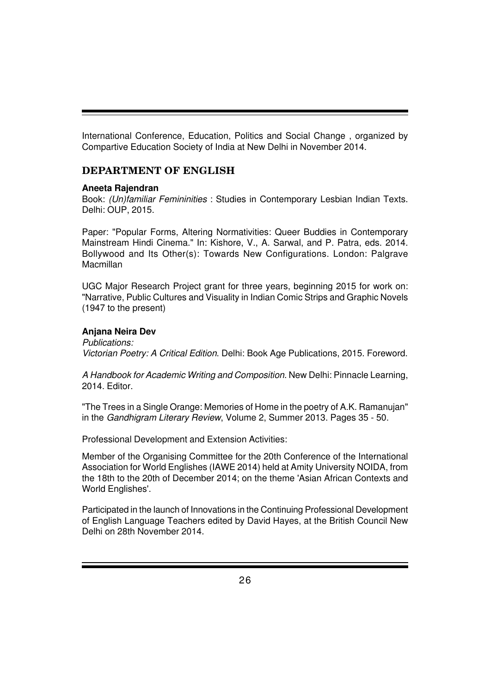International Conference, Education, Politics and Social Change , organized by Compartive Education Society of India at New Delhi in November 2014.

## **DEPARTMENT OF ENGLISH**

#### **Aneeta Rajendran**

Book: *(Un)familiar Femininities* : Studies in Contemporary Lesbian Indian Texts. Delhi: OUP, 2015.

Paper: "Popular Forms, Altering Normativities: Queer Buddies in Contemporary Mainstream Hindi Cinema." In: Kishore, V., A. Sarwal, and P. Patra, eds. 2014. Bollywood and Its Other(s): Towards New Configurations. London: Palgrave **Macmillan** 

UGC Major Research Project grant for three years, beginning 2015 for work on: "Narrative, Public Cultures and Visuality in Indian Comic Strips and Graphic Novels (1947 to the present)

## **Anjana Neira Dev**

*Publications: Victorian Poetry: A Critical Edition*. Delhi: Book Age Publications, 2015. Foreword.

*A Handbook for Academic Writing and Composition*. New Delhi: Pinnacle Learning, 2014. Editor.

"The Trees in a Single Orange: Memories of Home in the poetry of A.K. Ramanujan" in the *Gandhigram Literary Review*, Volume 2, Summer 2013. Pages 35 - 50.

Professional Development and Extension Activities:

Member of the Organising Committee for the 20th Conference of the International Association for World Englishes (IAWE 2014) held at Amity University NOIDA, from the 18th to the 20th of December 2014; on the theme 'Asian African Contexts and World Englishes'.

Participated in the launch of Innovations in the Continuing Professional Development of English Language Teachers edited by David Hayes, at the British Council New Delhi on 28th November 2014.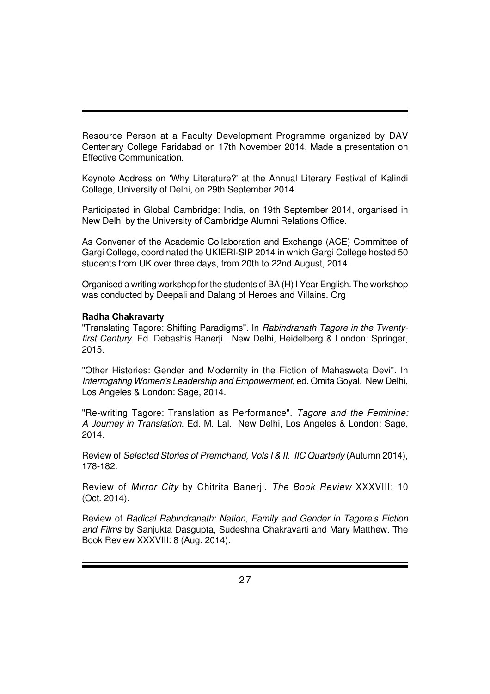Resource Person at a Faculty Development Programme organized by DAV Centenary College Faridabad on 17th November 2014. Made a presentation on Effective Communication.

Keynote Address on 'Why Literature?' at the Annual Literary Festival of Kalindi College, University of Delhi, on 29th September 2014.

Participated in Global Cambridge: India, on 19th September 2014, organised in New Delhi by the University of Cambridge Alumni Relations Office.

As Convener of the Academic Collaboration and Exchange (ACE) Committee of Gargi College, coordinated the UKIERI-SIP 2014 in which Gargi College hosted 50 students from UK over three days, from 20th to 22nd August, 2014.

Organised a writing workshop for the students of BA (H) I Year English. The workshop was conducted by Deepali and Dalang of Heroes and Villains. Org

#### **Radha Chakravarty**

"Translating Tagore: Shifting Paradigms". In *Rabindranath Tagore in the Twentyfirst Century*. Ed. Debashis Banerji. New Delhi, Heidelberg & London: Springer, 2015.

"Other Histories: Gender and Modernity in the Fiction of Mahasweta Devi". In *Interrogating Women's Leadership and Empowerment*, ed. Omita Goyal. New Delhi, Los Angeles & London: Sage, 2014.

"Re-writing Tagore: Translation as Performance". *Tagore and the Feminine: A Journey in Translation*. Ed. M. Lal. New Delhi, Los Angeles & London: Sage, 2014.

Review of *Selected Stories of Premchand, Vols I & II. IIC Quarterly* (Autumn 2014), 178-182.

Review of *Mirror City* by Chitrita Banerji. *The Book Review* XXXVIII: 10 (Oct. 2014).

Review of *Radical Rabindranath: Nation, Family and Gender in Tagore's Fiction and Films* by Sanjukta Dasgupta, Sudeshna Chakravarti and Mary Matthew. The Book Review XXXVIII: 8 (Aug. 2014).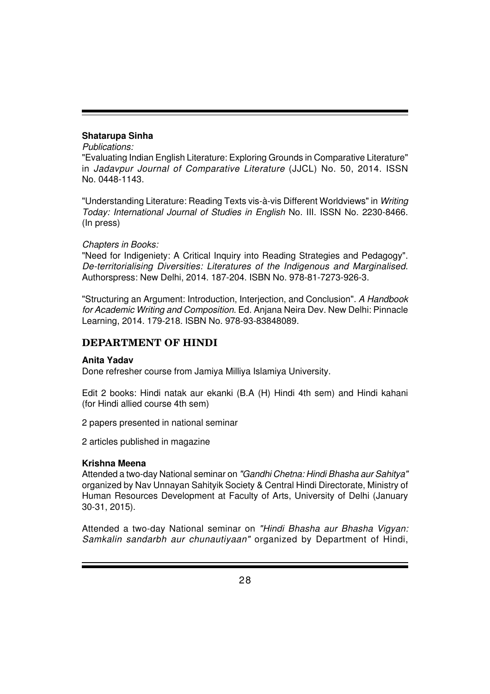## **Shatarupa Sinha**

#### *Publications:*

"Evaluating Indian English Literature: Exploring Grounds in Comparative Literature" in *Jadavpur Journal of Comparative Literature* (JJCL) No. 50, 2014. ISSN No. 0448-1143.

"Understanding Literature: Reading Texts vis-à-vis Different Worldviews" in *Writing Today: International Journal of Studies in English* No. III. ISSN No. 2230-8466. (In press)

## *Chapters in Books:*

"Need for Indigeniety: A Critical Inquiry into Reading Strategies and Pedagogy". *De-territorialising Diversities: Literatures of the Indigenous and Marginalised*. Authorspress: New Delhi, 2014. 187-204. ISBN No. 978-81-7273-926-3.

"Structuring an Argument: Introduction, Interjection, and Conclusion". *A Handbook for Academic Writing and Composition*. Ed. Anjana Neira Dev. New Delhi: Pinnacle Learning, 2014. 179-218. ISBN No. 978-93-83848089.

## **DEPARTMENT OF HINDI**

## **Anita Yadav**

Done refresher course from Jamiya Milliya Islamiya University.

Edit 2 books: Hindi natak aur ekanki (B.A (H) Hindi 4th sem) and Hindi kahani (for Hindi allied course 4th sem)

2 papers presented in national seminar

2 articles published in magazine

## **Krishna Meena**

Attended a two-day National seminar on *"Gandhi Chetna: Hindi Bhasha aur Sahitya"* organized by Nav Unnayan Sahityik Society & Central Hindi Directorate, Ministry of Human Resources Development at Faculty of Arts, University of Delhi (January 30-31, 2015).

Attended a two-day National seminar on *"Hindi Bhasha aur Bhasha Vigyan: Samkalin sandarbh aur chunautiyaan"* organized by Department of Hindi,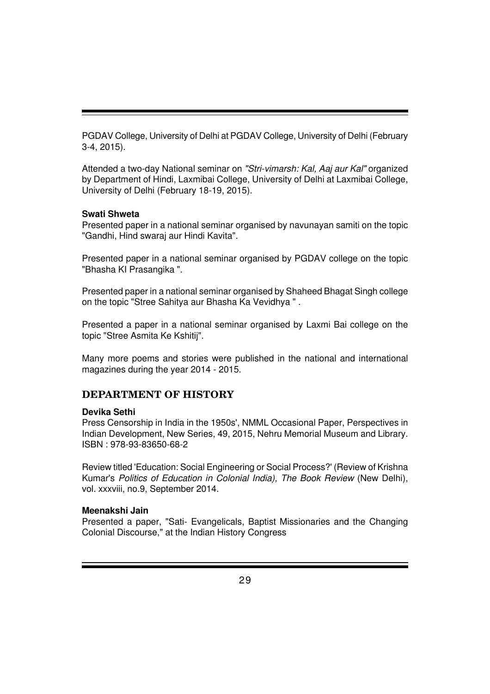PGDAV College, University of Delhi at PGDAV College, University of Delhi (February 3-4, 2015).

Attended a two-day National seminar on *"Stri-vimarsh: Kal, Aaj aur Kal"* organized by Department of Hindi, Laxmibai College, University of Delhi at Laxmibai College, University of Delhi (February 18-19, 2015).

#### **Swati Shweta**

Presented paper in a national seminar organised by navunayan samiti on the topic "Gandhi, Hind swaraj aur Hindi Kavita".

Presented paper in a national seminar organised by PGDAV college on the topic "Bhasha KI Prasangika ".

Presented paper in a national seminar organised by Shaheed Bhagat Singh college on the topic "Stree Sahitya aur Bhasha Ka Vevidhya " .

Presented a paper in a national seminar organised by Laxmi Bai college on the topic "Stree Asmita Ke Kshitij".

Many more poems and stories were published in the national and international magazines during the year 2014 - 2015.

## **DEPARTMENT OF HISTORY**

#### **Devika Sethi**

Press Censorship in India in the 1950s', NMML Occasional Paper, Perspectives in Indian Development, New Series, 49, 2015, Nehru Memorial Museum and Library. ISBN : 978-93-83650-68-2

Review titled 'Education: Social Engineering or Social Process?' (Review of Krishna Kumar's *Politics of Education in Colonial India), The Book Review* (New Delhi), vol. xxxviii, no.9, September 2014.

#### **Meenakshi Jain**

Presented a paper, "Sati- Evangelicals, Baptist Missionaries and the Changing Colonial Discourse," at the Indian History Congress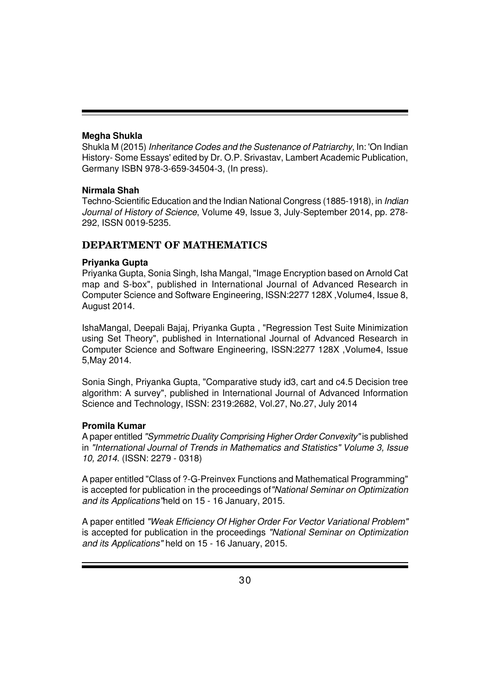#### **Megha Shukla**

Shukla M (2015) *Inheritance Codes and the Sustenance of Patriarchy*, In: 'On Indian History- Some Essays' edited by Dr. O.P. Srivastav, Lambert Academic Publication, Germany ISBN 978-3-659-34504-3, (In press).

## **Nirmala Shah**

Techno-Scientific Education and the Indian National Congress (1885-1918), in *Indian Journal of History of Science*, Volume 49, Issue 3, July-September 2014, pp. 278- 292, ISSN 0019-5235.

## **DEPARTMENT OF MATHEMATICS**

## **Priyanka Gupta**

Priyanka Gupta, Sonia Singh, Isha Mangal, "Image Encryption based on Arnold Cat map and S-box", published in International Journal of Advanced Research in Computer Science and Software Engineering, ISSN:2277 128X ,Volume4, Issue 8, August 2014.

IshaMangal, Deepali Bajaj, Priyanka Gupta , "Regression Test Suite Minimization using Set Theory", published in International Journal of Advanced Research in Computer Science and Software Engineering, ISSN:2277 128X ,Volume4, Issue 5,May 2014.

Sonia Singh, Priyanka Gupta, "Comparative study id3, cart and c4.5 Decision tree algorithm: A survey", published in International Journal of Advanced Information Science and Technology, ISSN: 2319:2682, Vol.27, No.27, July 2014

## **Promila Kumar**

A paper entitled *"Symmetric Duality Comprising Higher Order Convexity"* is published in *"International Journal of Trends in Mathematics and Statistics" Volume 3, Issue 10, 2014*. (ISSN: 2279 - 0318)

A paper entitled "Class of ?-G-Preinvex Functions and Mathematical Programming" is accepted for publication in the proceedings of*"National Seminar on Optimization and its Applications"*held on 15 - 16 January, 2015.

A paper entitled *"Weak Efficiency Of Higher Order For Vector Variational Problem"* is accepted for publication in the proceedings *"National Seminar on Optimization and its Applications"* held on 15 - 16 January, 2015.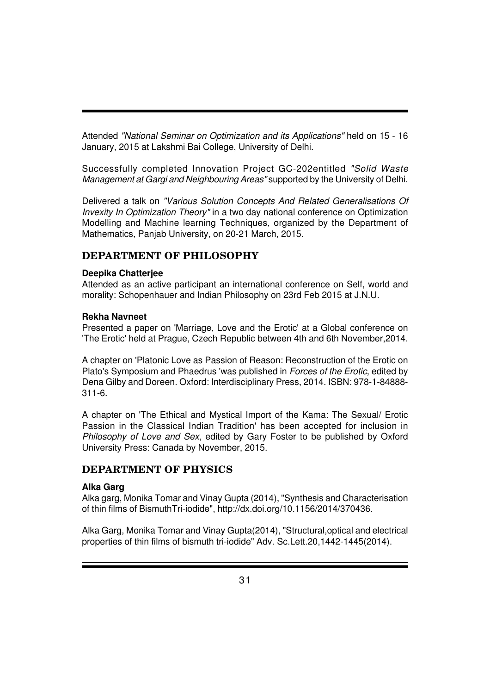Attended *"National Seminar on Optimization and its Applications"* held on 15 - 16 January, 2015 at Lakshmi Bai College, University of Delhi.

Successfully completed Innovation Project GC-202entitled *"Solid Waste Management at Gargi and Neighbouring Areas"* supported by the University of Delhi.

Delivered a talk on *"Various Solution Concepts And Related Generalisations Of Invexity In Optimization Theory"* in a two day national conference on Optimization Modelling and Machine learning Techniques, organized by the Department of Mathematics, Panjab University, on 20-21 March, 2015.

## **DEPARTMENT OF PHILOSOPHY**

#### **Deepika Chatterjee**

Attended as an active participant an international conference on Self, world and morality: Schopenhauer and Indian Philosophy on 23rd Feb 2015 at J.N.U.

#### **Rekha Navneet**

Presented a paper on 'Marriage, Love and the Erotic' at a Global conference on 'The Erotic' held at Prague, Czech Republic between 4th and 6th November,2014.

A chapter on 'Platonic Love as Passion of Reason: Reconstruction of the Erotic on Plato's Symposium and Phaedrus 'was published in *Forces of the Erotic*, edited by Dena Gilby and Doreen. Oxford: Interdisciplinary Press, 2014. ISBN: 978-1-84888- 311-6.

A chapter on 'The Ethical and Mystical Import of the Kama: The Sexual/ Erotic Passion in the Classical Indian Tradition' has been accepted for inclusion in *Philosophy of Love and Sex*, edited by Gary Foster to be published by Oxford University Press: Canada by November, 2015.

## **DEPARTMENT OF PHYSICS**

## **Alka Garg**

Alka garg, Monika Tomar and Vinay Gupta (2014), "Synthesis and Characterisation of thin films of BismuthTri-iodide", http://dx.doi.org/10.1156/2014/370436.

Alka Garg, Monika Tomar and Vinay Gupta(2014), "Structural,optical and electrical properties of thin films of bismuth tri-iodide" Adv. Sc.Lett.20,1442-1445(2014).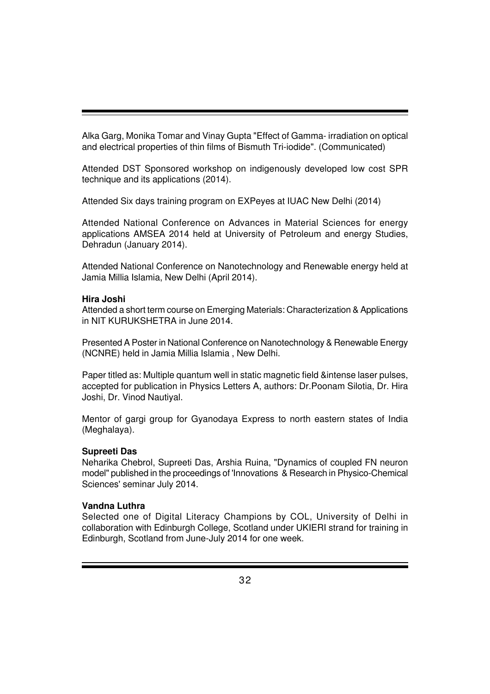Alka Garg, Monika Tomar and Vinay Gupta "Effect of Gamma- irradiation on optical and electrical properties of thin films of Bismuth Tri-iodide". (Communicated)

Attended DST Sponsored workshop on indigenously developed low cost SPR technique and its applications (2014).

Attended Six days training program on EXPeyes at IUAC New Delhi (2014)

Attended National Conference on Advances in Material Sciences for energy applications AMSEA 2014 held at University of Petroleum and energy Studies, Dehradun (January 2014).

Attended National Conference on Nanotechnology and Renewable energy held at Jamia Millia Islamia, New Delhi (April 2014).

#### **Hira Joshi**

Attended a short term course on Emerging Materials: Characterization & Applications in NIT KURUKSHETRA in June 2014.

Presented A Poster in National Conference on Nanotechnology & Renewable Energy (NCNRE) held in Jamia Millia Islamia , New Delhi.

Paper titled as: Multiple quantum well in static magnetic field &intense laser pulses, accepted for publication in Physics Letters A, authors: Dr.Poonam Silotia, Dr. Hira Joshi, Dr. Vinod Nautiyal.

Mentor of gargi group for Gyanodaya Express to north eastern states of India (Meghalaya).

## **Supreeti Das**

Neharika Chebrol, Supreeti Das, Arshia Ruina, "Dynamics of coupled FN neuron model" published in the proceedings of 'Innovations & Research in Physico-Chemical Sciences' seminar July 2014.

## **Vandna Luthra**

Selected one of Digital Literacy Champions by COL, University of Delhi in collaboration with Edinburgh College, Scotland under UKIERI strand for training in Edinburgh, Scotland from June-July 2014 for one week.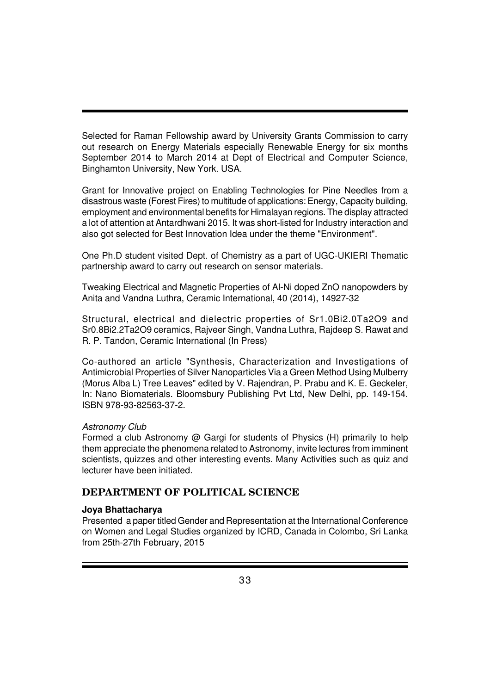Selected for Raman Fellowship award by University Grants Commission to carry out research on Energy Materials especially Renewable Energy for six months September 2014 to March 2014 at Dept of Electrical and Computer Science, Binghamton University, New York. USA.

Grant for Innovative project on Enabling Technologies for Pine Needles from a disastrous waste (Forest Fires) to multitude of applications: Energy, Capacity building, employment and environmental benefits for Himalayan regions. The display attracted a lot of attention at Antardhwani 2015. It was short-listed for Industry interaction and also got selected for Best Innovation Idea under the theme "Environment".

One Ph.D student visited Dept. of Chemistry as a part of UGC-UKIERI Thematic partnership award to carry out research on sensor materials.

Tweaking Electrical and Magnetic Properties of Al-Ni doped ZnO nanopowders by Anita and Vandna Luthra, Ceramic International, 40 (2014), 14927-32

Structural, electrical and dielectric properties of Sr1.0Bi2.0Ta2O9 and Sr0.8Bi2.2Ta2O9 ceramics, Rajveer Singh, Vandna Luthra, Rajdeep S. Rawat and R. P. Tandon, Ceramic International (In Press)

Co-authored an article "Synthesis, Characterization and Investigations of Antimicrobial Properties of Silver Nanoparticles Via a Green Method Using Mulberry (Morus Alba L) Tree Leaves" edited by V. Rajendran, P. Prabu and K. E. Geckeler, In: Nano Biomaterials. Bloomsbury Publishing Pvt Ltd, New Delhi, pp. 149-154. ISBN 978-93-82563-37-2.

## *Astronomy Club*

Formed a club Astronomy @ Gargi for students of Physics (H) primarily to help them appreciate the phenomena related to Astronomy, invite lectures from imminent scientists, quizzes and other interesting events. Many Activities such as quiz and lecturer have been initiated.

## **DEPARTMENT OF POLITICAL SCIENCE**

## **Joya Bhattacharya**

Presented a paper titled Gender and Representation at the International Conference on Women and Legal Studies organized by ICRD, Canada in Colombo, Sri Lanka from 25th-27th February, 2015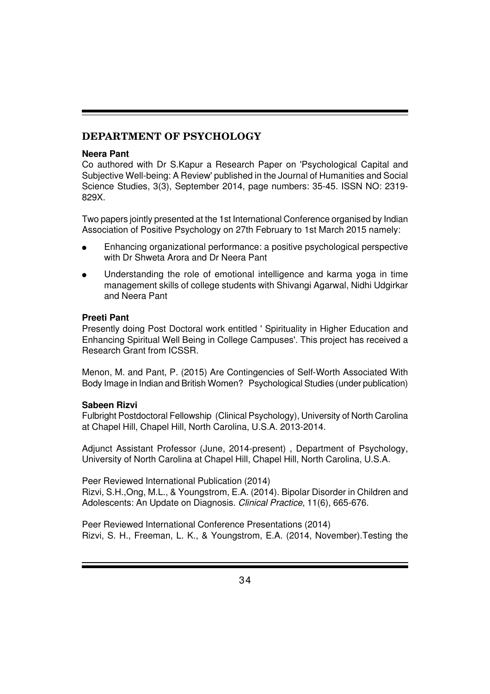## **DEPARTMENT OF PSYCHOLOGY**

#### **Neera Pant**

Co authored with Dr S.Kapur a Research Paper on 'Psychological Capital and Subjective Well-being: A Review' published in the Journal of Humanities and Social Science Studies, 3(3), September 2014, page numbers: 35-45. ISSN NO: 2319- 829X.

Two papers jointly presented at the 1st International Conference organised by Indian Association of Positive Psychology on 27th February to 1st March 2015 namely:

- Enhancing organizational performance: a positive psychological perspective with Dr Shweta Arora and Dr Neera Pant
- Understanding the role of emotional intelligence and karma yoga in time management skills of college students with Shivangi Agarwal, Nidhi Udgirkar and Neera Pant

#### **Preeti Pant**

Presently doing Post Doctoral work entitled ' Spirituality in Higher Education and Enhancing Spiritual Well Being in College Campuses'. This project has received a Research Grant from ICSSR.

Menon, M. and Pant, P. (2015) Are Contingencies of Self-Worth Associated With Body Image in Indian and British Women? Psychological Studies (under publication)

## **Sabeen Rizvi**

Fulbright Postdoctoral Fellowship (Clinical Psychology), University of North Carolina at Chapel Hill, Chapel Hill, North Carolina, U.S.A. 2013-2014.

Adjunct Assistant Professor (June, 2014-present) , Department of Psychology, University of North Carolina at Chapel Hill, Chapel Hill, North Carolina, U.S.A.

Peer Reviewed International Publication (2014)

Rizvi, S.H.,Ong, M.L., & Youngstrom, E.A. (2014). Bipolar Disorder in Children and Adolescents: An Update on Diagnosis. *Clinical Practice*, 11(6), 665-676.

Peer Reviewed International Conference Presentations (2014) Rizvi, S. H., Freeman, L. K., & Youngstrom, E.A. (2014, November).Testing the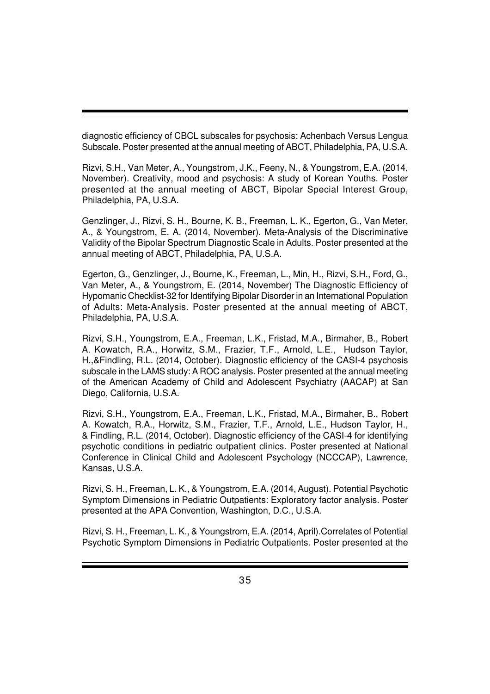diagnostic efficiency of CBCL subscales for psychosis: Achenbach Versus Lengua Subscale. Poster presented at the annual meeting of ABCT, Philadelphia, PA, U.S.A.

Rizvi, S.H., Van Meter, A., Youngstrom, J.K., Feeny, N., & Youngstrom, E.A. (2014, November). Creativity, mood and psychosis: A study of Korean Youths. Poster presented at the annual meeting of ABCT, Bipolar Special Interest Group, Philadelphia, PA, U.S.A.

Genzlinger, J., Rizvi, S. H., Bourne, K. B., Freeman, L. K., Egerton, G., Van Meter, A., & Youngstrom, E. A. (2014, November). Meta-Analysis of the Discriminative Validity of the Bipolar Spectrum Diagnostic Scale in Adults. Poster presented at the annual meeting of ABCT, Philadelphia, PA, U.S.A.

Egerton, G., Genzlinger, J., Bourne, K., Freeman, L., Min, H., Rizvi, S.H., Ford, G., Van Meter, A., & Youngstrom, E. (2014, November) The Diagnostic Efficiency of Hypomanic Checklist-32 for Identifying Bipolar Disorder in an International Population of Adults: Meta-Analysis. Poster presented at the annual meeting of ABCT, Philadelphia, PA, U.S.A.

Rizvi, S.H., Youngstrom, E.A., Freeman, L.K., Fristad, M.A., Birmaher, B., Robert A. Kowatch, R.A., Horwitz, S.M., Frazier, T.F., Arnold, L.E., Hudson Taylor, H.,&Findling, R.L. (2014, October). Diagnostic efficiency of the CASI-4 psychosis subscale in the LAMS study: A ROC analysis. Poster presented at the annual meeting of the American Academy of Child and Adolescent Psychiatry (AACAP) at San Diego, California, U.S.A.

Rizvi, S.H., Youngstrom, E.A., Freeman, L.K., Fristad, M.A., Birmaher, B., Robert A. Kowatch, R.A., Horwitz, S.M., Frazier, T.F., Arnold, L.E., Hudson Taylor, H., & Findling, R.L. (2014, October). Diagnostic efficiency of the CASI-4 for identifying psychotic conditions in pediatric outpatient clinics. Poster presented at National Conference in Clinical Child and Adolescent Psychology (NCCCAP), Lawrence, Kansas, U.S.A.

Rizvi, S. H., Freeman, L. K., & Youngstrom, E.A. (2014, August). Potential Psychotic Symptom Dimensions in Pediatric Outpatients: Exploratory factor analysis. Poster presented at the APA Convention, Washington, D.C., U.S.A.

Rizvi, S. H., Freeman, L. K., & Youngstrom, E.A. (2014, April).Correlates of Potential Psychotic Symptom Dimensions in Pediatric Outpatients. Poster presented at the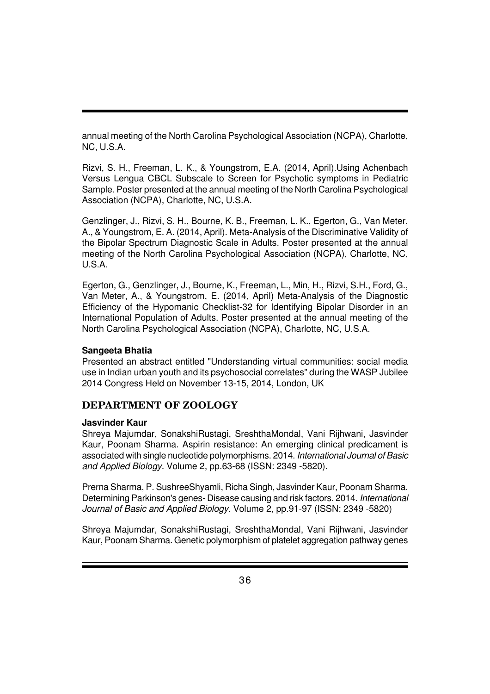annual meeting of the North Carolina Psychological Association (NCPA), Charlotte, NC, U.S.A.

Rizvi, S. H., Freeman, L. K., & Youngstrom, E.A. (2014, April).Using Achenbach Versus Lengua CBCL Subscale to Screen for Psychotic symptoms in Pediatric Sample. Poster presented at the annual meeting of the North Carolina Psychological Association (NCPA), Charlotte, NC, U.S.A.

Genzlinger, J., Rizvi, S. H., Bourne, K. B., Freeman, L. K., Egerton, G., Van Meter, A., & Youngstrom, E. A. (2014, April). Meta-Analysis of the Discriminative Validity of the Bipolar Spectrum Diagnostic Scale in Adults. Poster presented at the annual meeting of the North Carolina Psychological Association (NCPA), Charlotte, NC, U.S.A.

Egerton, G., Genzlinger, J., Bourne, K., Freeman, L., Min, H., Rizvi, S.H., Ford, G., Van Meter, A., & Youngstrom, E. (2014, April) Meta-Analysis of the Diagnostic Efficiency of the Hypomanic Checklist-32 for Identifying Bipolar Disorder in an International Population of Adults. Poster presented at the annual meeting of the North Carolina Psychological Association (NCPA), Charlotte, NC, U.S.A.

#### **Sangeeta Bhatia**

Presented an abstract entitled "Understanding virtual communities: social media use in Indian urban youth and its psychosocial correlates" during the WASP Jubilee 2014 Congress Held on November 13-15, 2014, London, UK

## **DEPARTMENT OF ZOOLOGY**

## **Jasvinder Kaur**

Shreya Majumdar, SonakshiRustagi, SreshthaMondal, Vani Rijhwani, Jasvinder Kaur, Poonam Sharma. Aspirin resistance: An emerging clinical predicament is associated with single nucleotide polymorphisms. 2014. *International Journal of Basic and Applied Biology*. Volume 2, pp.63-68 (ISSN: 2349 -5820).

Prerna Sharma, P. SushreeShyamli, Richa Singh, Jasvinder Kaur, Poonam Sharma. Determining Parkinson's genes- Disease causing and risk factors. 2014. *International Journal of Basic and Applied Biology*. Volume 2, pp.91-97 (ISSN: 2349 -5820)

Shreya Majumdar, SonakshiRustagi, SreshthaMondal, Vani Rijhwani, Jasvinder Kaur, Poonam Sharma. Genetic polymorphism of platelet aggregation pathway genes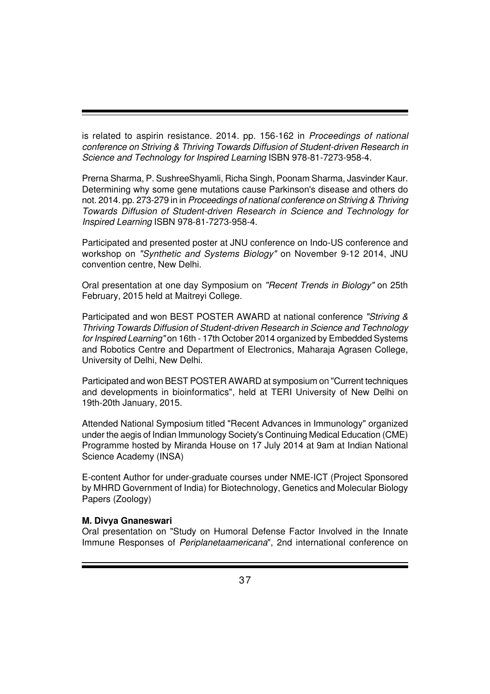is related to aspirin resistance. 2014. pp. 156-162 in *Proceedings of national conference on Striving & Thriving Towards Diffusion of Student-driven Research in Science and Technology for Inspired Learning* ISBN 978-81-7273-958-4.

Prerna Sharma, P. SushreeShyamli, Richa Singh, Poonam Sharma, Jasvinder Kaur. Determining why some gene mutations cause Parkinson's disease and others do not. 2014. pp. 273-279 in in *Proceedings of national conference on Striving & Thriving Towards Diffusion of Student-driven Research in Science and Technology for Inspired Learning* ISBN 978-81-7273-958-4.

Participated and presented poster at JNU conference on Indo-US conference and workshop on *"Synthetic and Systems Biology"* on November 9-12 2014, JNU convention centre, New Delhi.

Oral presentation at one day Symposium on *"Recent Trends in Biology"* on 25th February, 2015 held at Maitreyi College.

Participated and won BEST POSTER AWARD at national conference *"Striving & Thriving Towards Diffusion of Student-driven Research in Science and Technology for Inspired Learning"* on 16th - 17th October 2014 organized by Embedded Systems and Robotics Centre and Department of Electronics, Maharaja Agrasen College, University of Delhi, New Delhi.

Participated and won BEST POSTER AWARD at symposium on "Current techniques and developments in bioinformatics", held at TERI University of New Delhi on 19th-20th January, 2015.

Attended National Symposium titled "Recent Advances in Immunology" organized under the aegis of Indian Immunology Society's Continuing Medical Education (CME) Programme hosted by Miranda House on 17 July 2014 at 9am at Indian National Science Academy (INSA)

E-content Author for under-graduate courses under NME-ICT (Project Sponsored by MHRD Government of India) for Biotechnology, Genetics and Molecular Biology Papers (Zoology)

#### **M. Divya Gnaneswari**

Oral presentation on "Study on Humoral Defense Factor Involved in the Innate Immune Responses of *Periplanetaamericana*", 2nd international conference on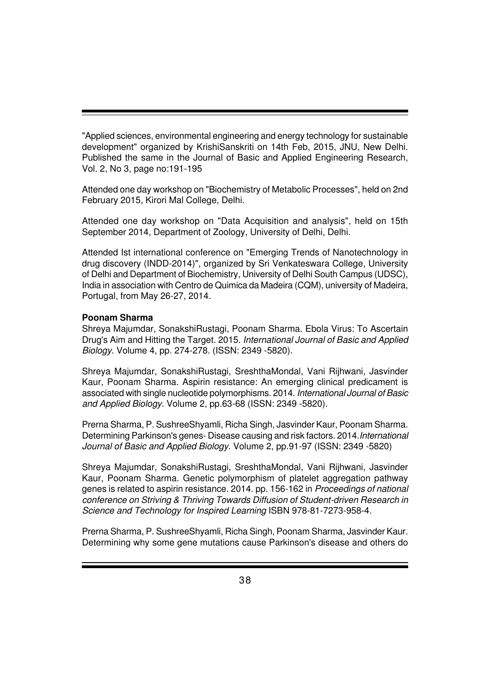"Applied sciences, environmental engineering and energy technology for sustainable development" organized by KrishiSanskriti on 14th Feb, 2015, JNU, New Delhi. Published the same in the Journal of Basic and Applied Engineering Research, Vol. 2, No 3, page no:191-195

Attended one day workshop on "Biochemistry of Metabolic Processes", held on 2nd February 2015, Kirori Mal College, Delhi.

Attended one day workshop on "Data Acquisition and analysis", held on 15th September 2014, Department of Zoology, University of Delhi, Delhi.

Attended Ist international conference on "Emerging Trends of Nanotechnology in drug discovery (INDD-2014)", organized by Sri Venkateswara College, University of Delhi and Department of Biochemistry, University of Delhi South Campus (UDSC), India in association with Centro de Quimica da Madeira (CQM), university of Madeira, Portugal, from May 26-27, 2014.

#### **Poonam Sharma**

Shreya Majumdar, SonakshiRustagi, Poonam Sharma. Ebola Virus: To Ascertain Drug's Aim and Hitting the Target. 2015. *International Journal of Basic and Applied Biology*. Volume 4, pp. 274-278. (ISSN: 2349 -5820).

Shreya Majumdar, SonakshiRustagi, SreshthaMondal, Vani Rijhwani, Jasvinder Kaur, Poonam Sharma. Aspirin resistance: An emerging clinical predicament is associated with single nucleotide polymorphisms. 2014. *International Journal of Basic and Applied Biology*. Volume 2, pp.63-68 (ISSN: 2349 -5820).

Prerna Sharma, P. SushreeShyamli, Richa Singh, Jasvinder Kaur, Poonam Sharma. Determining Parkinson's genes- Disease causing and risk factors. 2014.*International Journal of Basic and Applied Biology*. Volume 2, pp.91-97 (ISSN: 2349 -5820)

Shreya Majumdar, SonakshiRustagi, SreshthaMondal, Vani Rijhwani, Jasvinder Kaur, Poonam Sharma. Genetic polymorphism of platelet aggregation pathway genes is related to aspirin resistance. 2014. pp. 156-162 in *Proceedings of national conference on Striving & Thriving Towards Diffusion of Student-driven Research in Science and Technology for Inspired Learning* ISBN 978-81-7273-958-4.

Prerna Sharma, P. SushreeShyamli, Richa Singh, Poonam Sharma, Jasvinder Kaur. Determining why some gene mutations cause Parkinson's disease and others do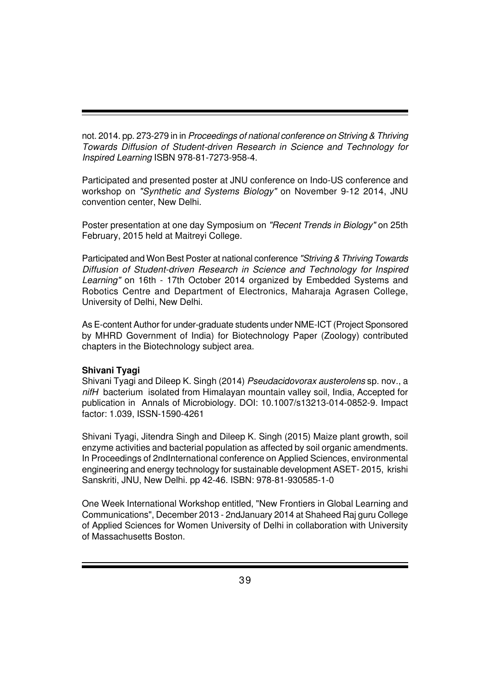not. 2014. pp. 273-279 in in *Proceedings of national conference on Striving & Thriving Towards Diffusion of Student-driven Research in Science and Technology for Inspired Learning* ISBN 978-81-7273-958-4.

Participated and presented poster at JNU conference on Indo-US conference and workshop on *"Synthetic and Systems Biology"* on November 9-12 2014, JNU convention center, New Delhi.

Poster presentation at one day Symposium on *"Recent Trends in Biology"* on 25th February, 2015 held at Maitreyi College.

Participated and Won Best Poster at national conference *"Striving & Thriving Towards Diffusion of Student-driven Research in Science and Technology for Inspired Learning"* on 16th - 17th October 2014 organized by Embedded Systems and Robotics Centre and Department of Electronics, Maharaja Agrasen College, University of Delhi, New Delhi.

As E-content Author for under-graduate students under NME-ICT (Project Sponsored by MHRD Government of India) for Biotechnology Paper (Zoology) contributed chapters in the Biotechnology subject area.

#### **Shivani Tyagi**

Shivani Tyagi and Dileep K. Singh (2014) *Pseudacidovorax austerolens* sp. nov., a *nifH* bacterium isolated from Himalayan mountain valley soil, India, Accepted for publication in Annals of Microbiology. DOI: 10.1007/s13213-014-0852-9. Impact factor: 1.039, ISSN-1590-4261

Shivani Tyagi, Jitendra Singh and Dileep K. Singh (2015) Maize plant growth, soil enzyme activities and bacterial population as affected by soil organic amendments. In Proceedings of 2ndInternational conference on Applied Sciences, environmental engineering and energy technology for sustainable development ASET- 2015, krishi Sanskriti, JNU, New Delhi. pp 42-46. ISBN: 978-81-930585-1-0

One Week International Workshop entitled, "New Frontiers in Global Learning and Communications", December 2013 - 2ndJanuary 2014 at Shaheed Raj guru College of Applied Sciences for Women University of Delhi in collaboration with University of Massachusetts Boston.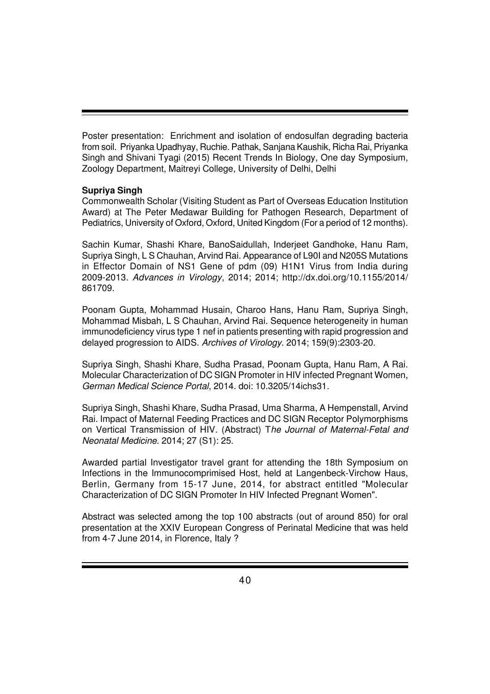Poster presentation: Enrichment and isolation of endosulfan degrading bacteria from soil. Priyanka Upadhyay, Ruchie. Pathak, Sanjana Kaushik, Richa Rai, Priyanka Singh and Shivani Tyagi (2015) Recent Trends In Biology, One day Symposium, Zoology Department, Maitreyi College, University of Delhi, Delhi

#### **Supriya Singh**

Commonwealth Scholar (Visiting Student as Part of Overseas Education Institution Award) at The Peter Medawar Building for Pathogen Research, Department of Pediatrics, University of Oxford, Oxford, United Kingdom (For a period of 12 months).

Sachin Kumar, Shashi Khare, BanoSaidullah, Inderjeet Gandhoke, Hanu Ram, Supriya Singh, L S Chauhan, Arvind Rai. Appearance of L90I and N205S Mutations in Effector Domain of NS1 Gene of pdm (09) H1N1 Virus from India during 2009-2013. *Advances in Virology*, 2014; 2014; http://dx.doi.org/10.1155/2014/ 861709.

Poonam Gupta, Mohammad Husain, Charoo Hans, Hanu Ram, Supriya Singh, Mohammad Misbah, L S Chauhan, Arvind Rai. Sequence heterogeneity in human immunodeficiency virus type 1 nef in patients presenting with rapid progression and delayed progression to AIDS. *Archives of Virology*. 2014; 159(9):2303-20.

Supriya Singh, Shashi Khare, Sudha Prasad, Poonam Gupta, Hanu Ram, A Rai. Molecular Characterization of DC SIGN Promoter in HIV infected Pregnant Women, *German Medical Science Portal*, 2014. doi: 10.3205/14ichs31.

Supriya Singh, Shashi Khare, Sudha Prasad, Uma Sharma, A Hempenstall, Arvind Rai. Impact of Maternal Feeding Practices and DC SIGN Receptor Polymorphisms on Vertical Transmission of HIV. (Abstract) T*he Journal of Maternal-Fetal and Neonatal Medicine*. 2014; 27 (S1): 25.

Awarded partial Investigator travel grant for attending the 18th Symposium on Infections in the Immunocomprimised Host, held at Langenbeck-Virchow Haus, Berlin, Germany from 15-17 June, 2014, for abstract entitled "Molecular Characterization of DC SIGN Promoter In HIV Infected Pregnant Women".

Abstract was selected among the top 100 abstracts (out of around 850) for oral presentation at the XXIV European Congress of Perinatal Medicine that was held from 4-7 June 2014, in Florence, Italy ?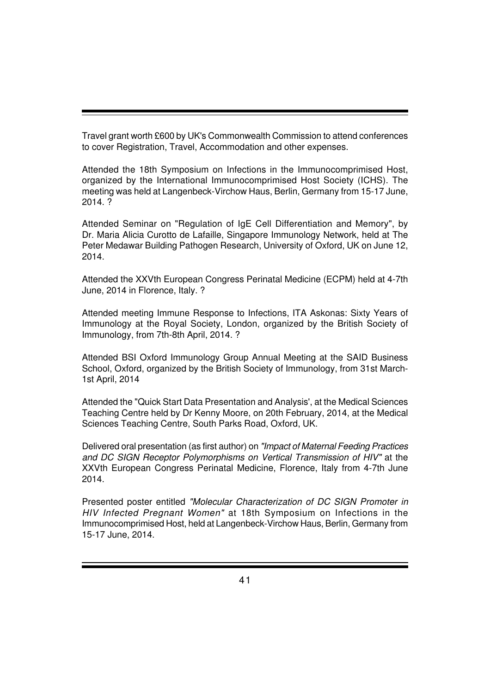Travel grant worth £600 by UK's Commonwealth Commission to attend conferences to cover Registration, Travel, Accommodation and other expenses.

Attended the 18th Symposium on Infections in the Immunocomprimised Host, organized by the International Immunocomprimised Host Society (ICHS). The meeting was held at Langenbeck-Virchow Haus, Berlin, Germany from 15-17 June, 2014. ?

Attended Seminar on "Regulation of IgE Cell Differentiation and Memory", by Dr. Maria Alicia Curotto de Lafaille, Singapore Immunology Network, held at The Peter Medawar Building Pathogen Research, University of Oxford, UK on June 12, 2014.

Attended the XXVth European Congress Perinatal Medicine (ECPM) held at 4-7th June, 2014 in Florence, Italy. ?

Attended meeting Immune Response to Infections, ITA Askonas: Sixty Years of Immunology at the Royal Society, London, organized by the British Society of Immunology, from 7th-8th April, 2014. ?

Attended BSI Oxford Immunology Group Annual Meeting at the SAID Business School, Oxford, organized by the British Society of Immunology, from 31st March-1st April, 2014

Attended the "Quick Start Data Presentation and Analysis', at the Medical Sciences Teaching Centre held by Dr Kenny Moore, on 20th February, 2014, at the Medical Sciences Teaching Centre, South Parks Road, Oxford, UK.

Delivered oral presentation (as first author) on *"Impact of Maternal Feeding Practices and DC SIGN Receptor Polymorphisms on Vertical Transmission of HIV"* at the XXVth European Congress Perinatal Medicine, Florence, Italy from 4-7th June 2014.

Presented poster entitled *"Molecular Characterization of DC SIGN Promoter in HIV Infected Pregnant Women"* at 18th Symposium on Infections in the Immunocomprimised Host, held at Langenbeck-Virchow Haus, Berlin, Germany from 15-17 June, 2014.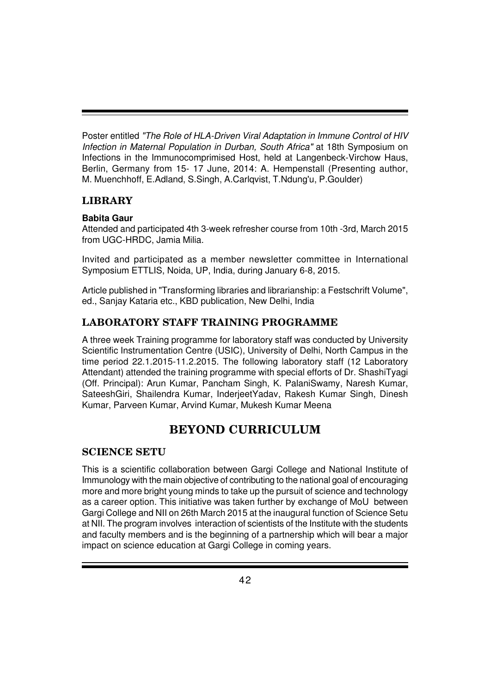Poster entitled *"The Role of HLA-Driven Viral Adaptation in Immune Control of HIV Infection in Maternal Population in Durban, South Africa"* at 18th Symposium on Infections in the Immunocomprimised Host, held at Langenbeck-Virchow Haus, Berlin, Germany from 15- 17 June, 2014: A. Hempenstall (Presenting author, M. Muenchhoff, E.Adland, S.Singh, A.Carlqvist, T.Ndung'u, P.Goulder)

## **LIBRARY**

#### **Babita Gaur**

Attended and participated 4th 3-week refresher course from 10th -3rd, March 2015 from UGC-HRDC, Jamia Milia.

Invited and participated as a member newsletter committee in International Symposium ETTLIS, Noida, UP, India, during January 6-8, 2015.

Article published in "Transforming libraries and librarianship: a Festschrift Volume", ed., Sanjay Kataria etc., KBD publication, New Delhi, India

## **LABORATORY STAFF TRAINING PROGRAMME**

A three week Training programme for laboratory staff was conducted by University Scientific Instrumentation Centre (USIC), University of Delhi, North Campus in the time period 22.1.2015-11.2.2015. The following laboratory staff (12 Laboratory Attendant) attended the training programme with special efforts of Dr. ShashiTyagi (Off. Principal): Arun Kumar, Pancham Singh, K. PalaniSwamy, Naresh Kumar, SateeshGiri, Shailendra Kumar, InderjeetYadav, Rakesh Kumar Singh, Dinesh Kumar, Parveen Kumar, Arvind Kumar, Mukesh Kumar Meena

## **BEYOND CURRICULUM**

#### **SCIENCE SETU**

This is a scientific collaboration between Gargi College and National Institute of Immunology with the main objective of contributing to the national goal of encouraging more and more bright young minds to take up the pursuit of science and technology as a career option. This initiative was taken further by exchange of MoU between Gargi College and NII on 26th March 2015 at the inaugural function of Science Setu at NII. The program involves interaction of scientists of the Institute with the students and faculty members and is the beginning of a partnership which will bear a major impact on science education at Gargi College in coming years.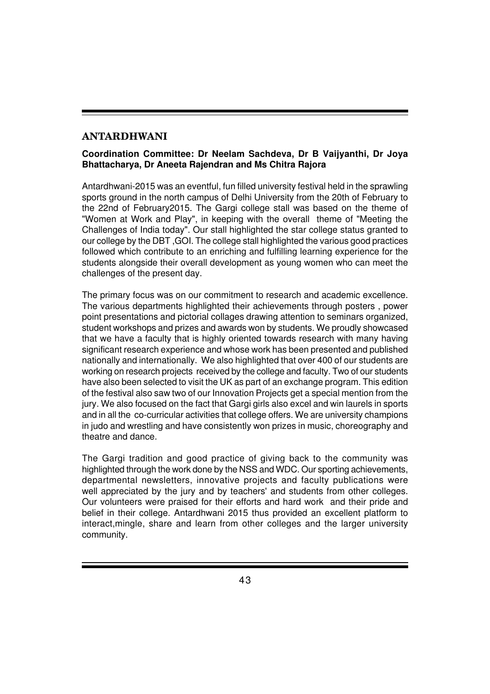## **ANTARDHWANI**

#### **Coordination Committee: Dr Neelam Sachdeva, Dr B Vaijyanthi, Dr Joya Bhattacharya, Dr Aneeta Rajendran and Ms Chitra Rajora**

Antardhwani-2015 was an eventful, fun filled university festival held in the sprawling sports ground in the north campus of Delhi University from the 20th of February to the 22nd of February2015. The Gargi college stall was based on the theme of "Women at Work and Play", in keeping with the overall theme of "Meeting the Challenges of India today". Our stall highlighted the star college status granted to our college by the DBT ,GOI. The college stall highlighted the various good practices followed which contribute to an enriching and fulfilling learning experience for the students alongside their overall development as young women who can meet the challenges of the present day.

The primary focus was on our commitment to research and academic excellence. The various departments highlighted their achievements through posters , power point presentations and pictorial collages drawing attention to seminars organized, student workshops and prizes and awards won by students. We proudly showcased that we have a faculty that is highly oriented towards research with many having significant research experience and whose work has been presented and published nationally and internationally. We also highlighted that over 400 of our students are working on research projects received by the college and faculty. Two of our students have also been selected to visit the UK as part of an exchange program. This edition of the festival also saw two of our Innovation Projects get a special mention from the jury. We also focused on the fact that Gargi girls also excel and win laurels in sports and in all the co-curricular activities that college offers. We are university champions in judo and wrestling and have consistently won prizes in music, choreography and theatre and dance.

The Gargi tradition and good practice of giving back to the community was highlighted through the work done by the NSS and WDC. Our sporting achievements, departmental newsletters, innovative projects and faculty publications were well appreciated by the jury and by teachers' and students from other colleges. Our volunteers were praised for their efforts and hard work and their pride and belief in their college. Antardhwani 2015 thus provided an excellent platform to interact,mingle, share and learn from other colleges and the larger university community.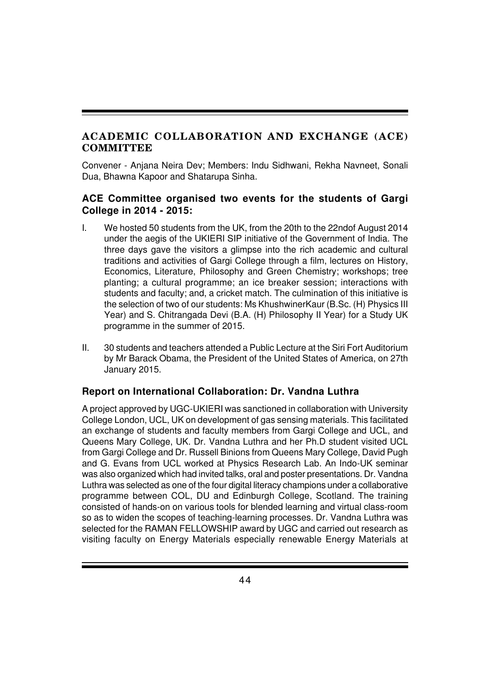## **ACADEMIC COLLABORATION AND EXCHANGE (ACE) COMMITTEE**

Convener - Anjana Neira Dev; Members: Indu Sidhwani, Rekha Navneet, Sonali Dua, Bhawna Kapoor and Shatarupa Sinha.

#### **ACE Committee organised two events for the students of Gargi College in 2014 - 2015:**

- I. We hosted 50 students from the UK, from the 20th to the 22ndof August 2014 under the aegis of the UKIERI SIP initiative of the Government of India. The three days gave the visitors a glimpse into the rich academic and cultural traditions and activities of Gargi College through a film, lectures on History, Economics, Literature, Philosophy and Green Chemistry; workshops; tree planting; a cultural programme; an ice breaker session; interactions with students and faculty; and, a cricket match. The culmination of this initiative is the selection of two of our students: Ms KhushwinerKaur (B.Sc. (H) Physics III Year) and S. Chitrangada Devi (B.A. (H) Philosophy II Year) for a Study UK programme in the summer of 2015.
- II. 30 students and teachers attended a Public Lecture at the Siri Fort Auditorium by Mr Barack Obama, the President of the United States of America, on 27th January 2015.

#### **Report on International Collaboration: Dr. Vandna Luthra**

A project approved by UGC-UKIERI was sanctioned in collaboration with University College London, UCL, UK on development of gas sensing materials. This facilitated an exchange of students and faculty members from Gargi College and UCL, and Queens Mary College, UK. Dr. Vandna Luthra and her Ph.D student visited UCL from Gargi College and Dr. Russell Binions from Queens Mary College, David Pugh and G. Evans from UCL worked at Physics Research Lab. An Indo-UK seminar was also organized which had invited talks, oral and poster presentations. Dr. Vandna Luthra was selected as one of the four digital literacy champions under a collaborative programme between COL, DU and Edinburgh College, Scotland. The training consisted of hands-on on various tools for blended learning and virtual class-room so as to widen the scopes of teaching-learning processes. Dr. Vandna Luthra was selected for the RAMAN FELLOWSHIP award by UGC and carried out research as visiting faculty on Energy Materials especially renewable Energy Materials at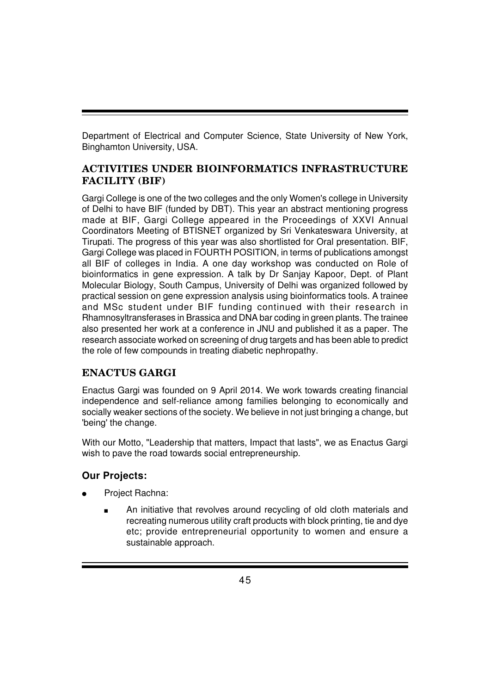Department of Electrical and Computer Science, State University of New York, Binghamton University, USA.

## **ACTIVITIES UNDER BIOINFORMATICS INFRASTRUCTURE FACILITY (BIF)**

Gargi College is one of the two colleges and the only Women's college in University of Delhi to have BIF (funded by DBT). This year an abstract mentioning progress made at BIF, Gargi College appeared in the Proceedings of XXVI Annual Coordinators Meeting of BTISNET organized by Sri Venkateswara University, at Tirupati. The progress of this year was also shortlisted for Oral presentation. BIF, Gargi College was placed in FOURTH POSITION, in terms of publications amongst all BIF of colleges in India. A one day workshop was conducted on Role of bioinformatics in gene expression. A talk by Dr Sanjay Kapoor, Dept. of Plant Molecular Biology, South Campus, University of Delhi was organized followed by practical session on gene expression analysis using bioinformatics tools. A trainee and MSc student under BIF funding continued with their research in Rhamnosyltransferases in Brassica and DNA bar coding in green plants. The trainee also presented her work at a conference in JNU and published it as a paper. The research associate worked on screening of drug targets and has been able to predict the role of few compounds in treating diabetic nephropathy.

## **ENACTUS GARGI**

Enactus Gargi was founded on 9 April 2014. We work towards creating financial independence and self-reliance among families belonging to economically and socially weaker sections of the society. We believe in not just bringing a change, but 'being' the change.

With our Motto, "Leadership that matters, Impact that lasts", we as Enactus Gargi wish to pave the road towards social entrepreneurship.

## **Our Projects:**

- Project Rachna:
	- An initiative that revolves around recycling of old cloth materials and recreating numerous utility craft products with block printing, tie and dye etc; provide entrepreneurial opportunity to women and ensure a sustainable approach.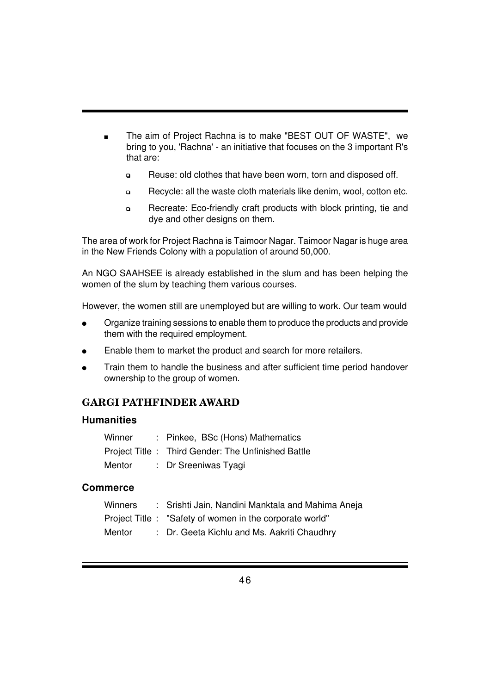- The aim of Project Rachna is to make "BEST OUT OF WASTE", we bring to you, 'Rachna' - an initiative that focuses on the 3 important R's that are:
	- ❏ Reuse: old clothes that have been worn, torn and disposed off.
	- ❏ Recycle: all the waste cloth materials like denim, wool, cotton etc.
	- ❏ Recreate: Eco-friendly craft products with block printing, tie and dye and other designs on them.

The area of work for Project Rachna is Taimoor Nagar. Taimoor Nagar is huge area in the New Friends Colony with a population of around 50,000.

An NGO SAAHSEE is already established in the slum and has been helping the women of the slum by teaching them various courses.

However, the women still are unemployed but are willing to work. Our team would

- Organize training sessions to enable them to produce the products and provide them with the required employment.
- Enable them to market the product and search for more retailers.
- Train them to handle the business and after sufficient time period handover ownership to the group of women.

## **GARGI PATHFINDER AWARD**

#### **Humanities**

| Winner | : Pinkee, BSc (Hons) Mathematics                   |
|--------|----------------------------------------------------|
|        | Project Title: Third Gender: The Unfinished Battle |
| Mentor | : Dr Sreeniwas Tyagi                               |

#### **Commerce**

| Winners | : Srishti Jain, Nandini Manktala and Mahima Aneja        |
|---------|----------------------------------------------------------|
|         | Project Title : "Safety of women in the corporate world" |
| Mentor  | : Dr. Geeta Kichlu and Ms. Aakriti Chaudhry              |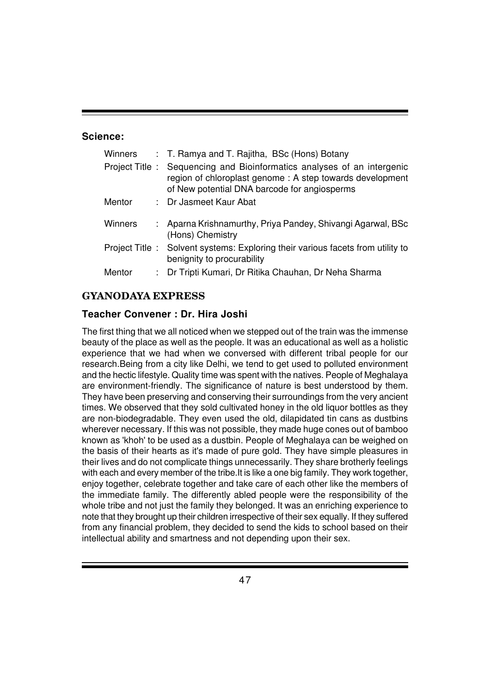#### **Science:**

| Winners | : T. Ramya and T. Rajitha, BSc (Hons) Botany                                                                                                                                       |
|---------|------------------------------------------------------------------------------------------------------------------------------------------------------------------------------------|
|         | Project Title: Sequencing and Bioinformatics analyses of an intergenic<br>region of chloroplast genome: A step towards development<br>of New potential DNA barcode for angiosperms |
| Mentor  | : Dr Jasmeet Kaur Abat                                                                                                                                                             |
| Winners | : Aparna Krishnamurthy, Priya Pandey, Shivangi Agarwal, BSc<br>(Hons) Chemistry                                                                                                    |
|         | Project Title: Solvent systems: Exploring their various facets from utility to<br>benignity to procurability                                                                       |
| Mentor  | : Dr Tripti Kumari, Dr Ritika Chauhan, Dr Neha Sharma                                                                                                                              |

## **GYANODAYA EXPRESS**

#### **Teacher Convener : Dr. Hira Joshi**

The first thing that we all noticed when we stepped out of the train was the immense beauty of the place as well as the people. It was an educational as well as a holistic experience that we had when we conversed with different tribal people for our research.Being from a city like Delhi, we tend to get used to polluted environment and the hectic lifestyle. Quality time was spent with the natives. People of Meghalaya are environment-friendly. The significance of nature is best understood by them. They have been preserving and conserving their surroundings from the very ancient times. We observed that they sold cultivated honey in the old liquor bottles as they are non-biodegradable. They even used the old, dilapidated tin cans as dustbins wherever necessary. If this was not possible, they made huge cones out of bamboo known as 'khoh' to be used as a dustbin. People of Meghalaya can be weighed on the basis of their hearts as it's made of pure gold. They have simple pleasures in their lives and do not complicate things unnecessarily. They share brotherly feelings with each and every member of the tribe.It is like a one big family. They work together, enjoy together, celebrate together and take care of each other like the members of the immediate family. The differently abled people were the responsibility of the whole tribe and not just the family they belonged. It was an enriching experience to note that they brought up their children irrespective of their sex equally. If they suffered from any financial problem, they decided to send the kids to school based on their intellectual ability and smartness and not depending upon their sex.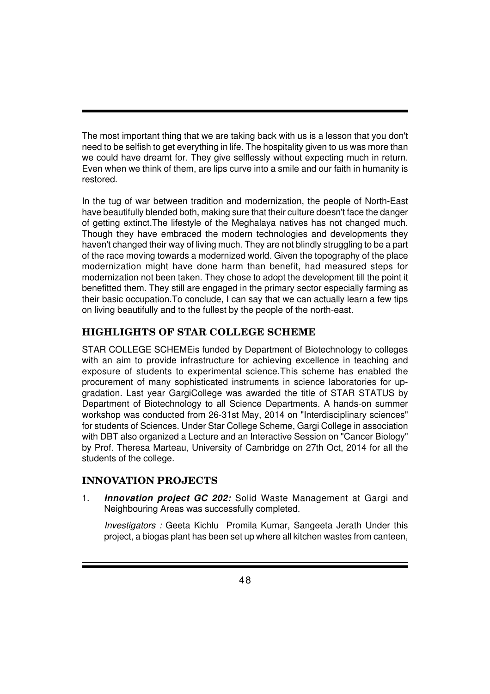The most important thing that we are taking back with us is a lesson that you don't need to be selfish to get everything in life. The hospitality given to us was more than we could have dreamt for. They give selflessly without expecting much in return. Even when we think of them, are lips curve into a smile and our faith in humanity is restored.

In the tug of war between tradition and modernization, the people of North-East have beautifully blended both, making sure that their culture doesn't face the danger of getting extinct.The lifestyle of the Meghalaya natives has not changed much. Though they have embraced the modern technologies and developments they haven't changed their way of living much. They are not blindly struggling to be a part of the race moving towards a modernized world. Given the topography of the place modernization might have done harm than benefit, had measured steps for modernization not been taken. They chose to adopt the development till the point it benefitted them. They still are engaged in the primary sector especially farming as their basic occupation.To conclude, I can say that we can actually learn a few tips on living beautifully and to the fullest by the people of the north-east.

## **HIGHLIGHTS OF STAR COLLEGE SCHEME**

STAR COLLEGE SCHEMEis funded by Department of Biotechnology to colleges with an aim to provide infrastructure for achieving excellence in teaching and exposure of students to experimental science.This scheme has enabled the procurement of many sophisticated instruments in science laboratories for upgradation. Last year GargiCollege was awarded the title of STAR STATUS by Department of Biotechnology to all Science Departments. A hands-on summer workshop was conducted from 26-31st May, 2014 on "Interdisciplinary sciences" for students of Sciences. Under Star College Scheme, Gargi College in association with DBT also organized a Lecture and an Interactive Session on "Cancer Biology" by Prof. Theresa Marteau, University of Cambridge on 27th Oct, 2014 for all the students of the college.

## **INNOVATION PROJECTS**

1. *Innovation project GC 202:* Solid Waste Management at Gargi and Neighbouring Areas was successfully completed.

*Investigators :* Geeta Kichlu Promila Kumar, Sangeeta Jerath Under this project, a biogas plant has been set up where all kitchen wastes from canteen,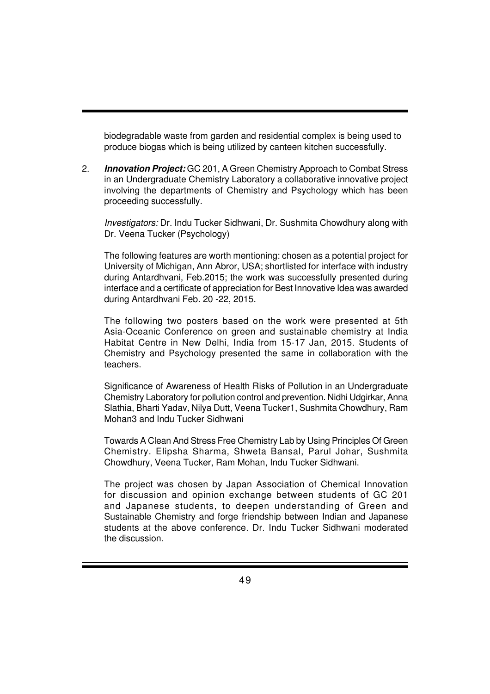biodegradable waste from garden and residential complex is being used to produce biogas which is being utilized by canteen kitchen successfully.

2. *Innovation Project:* GC 201, A Green Chemistry Approach to Combat Stress in an Undergraduate Chemistry Laboratory a collaborative innovative project involving the departments of Chemistry and Psychology which has been proceeding successfully.

*Investigators:* Dr. Indu Tucker Sidhwani, Dr. Sushmita Chowdhury along with Dr. Veena Tucker (Psychology)

The following features are worth mentioning: chosen as a potential project for University of Michigan, Ann Abror, USA; shortlisted for interface with industry during Antardhvani, Feb.2015; the work was successfully presented during interface and a certificate of appreciation for Best Innovative Idea was awarded during Antardhvani Feb. 20 -22, 2015.

The following two posters based on the work were presented at 5th Asia-Oceanic Conference on green and sustainable chemistry at India Habitat Centre in New Delhi, India from 15-17 Jan, 2015. Students of Chemistry and Psychology presented the same in collaboration with the teachers.

Significance of Awareness of Health Risks of Pollution in an Undergraduate Chemistry Laboratory for pollution control and prevention. Nidhi Udgirkar, Anna Slathia, Bharti Yadav, Nilya Dutt, Veena Tucker1, Sushmita Chowdhury, Ram Mohan3 and Indu Tucker Sidhwani

Towards A Clean And Stress Free Chemistry Lab by Using Principles Of Green Chemistry. Elipsha Sharma, Shweta Bansal, Parul Johar, Sushmita Chowdhury, Veena Tucker, Ram Mohan, Indu Tucker Sidhwani.

The project was chosen by Japan Association of Chemical Innovation for discussion and opinion exchange between students of GC 201 and Japanese students, to deepen understanding of Green and Sustainable Chemistry and forge friendship between Indian and Japanese students at the above conference. Dr. Indu Tucker Sidhwani moderated the discussion.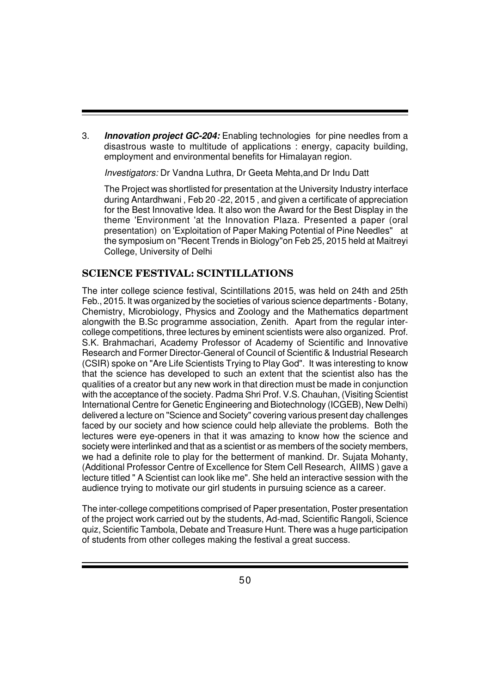3. *Innovation project GC-204:* Enabling technologies for pine needles from a disastrous waste to multitude of applications : energy, capacity building, employment and environmental benefits for Himalayan region.

*Investigators:* Dr Vandna Luthra, Dr Geeta Mehta,and Dr Indu Datt

The Project was shortlisted for presentation at the University Industry interface during Antardhwani , Feb 20 -22, 2015 , and given a certificate of appreciation for the Best Innovative Idea. It also won the Award for the Best Display in the theme 'Environment 'at the Innovation Plaza. Presented a paper (oral presentation) on 'Exploitation of Paper Making Potential of Pine Needles" at the symposium on "Recent Trends in Biology"on Feb 25, 2015 held at Maitreyi College, University of Delhi

#### **SCIENCE FESTIVAL: SCINTILLATIONS**

The inter college science festival, Scintillations 2015, was held on 24th and 25th Feb., 2015. It was organized by the societies of various science departments - Botany, Chemistry, Microbiology, Physics and Zoology and the Mathematics department alongwith the B.Sc programme association, Zenith. Apart from the regular intercollege competitions, three lectures by eminent scientists were also organized. Prof. S.K. Brahmachari, Academy Professor of Academy of Scientific and Innovative Research and Former Director-General of Council of Scientific & Industrial Research (CSIR) spoke on "Are Life Scientists Trying to Play God". It was interesting to know that the science has developed to such an extent that the scientist also has the qualities of a creator but any new work in that direction must be made in conjunction with the acceptance of the society. Padma Shri Prof. V.S. Chauhan, (Visiting Scientist International Centre for Genetic Engineering and Biotechnology (ICGEB), New Delhi) delivered a lecture on "Science and Society" covering various present day challenges faced by our society and how science could help alleviate the problems. Both the lectures were eye-openers in that it was amazing to know how the science and society were interlinked and that as a scientist or as members of the society members, we had a definite role to play for the betterment of mankind. Dr. Sujata Mohanty, (Additional Professor Centre of Excellence for Stem Cell Research, AIIMS ) gave a lecture titled " A Scientist can look like me". She held an interactive session with the audience trying to motivate our girl students in pursuing science as a career.

The inter-college competitions comprised of Paper presentation, Poster presentation of the project work carried out by the students, Ad-mad, Scientific Rangoli, Science quiz, Scientific Tambola, Debate and Treasure Hunt. There was a huge participation of students from other colleges making the festival a great success.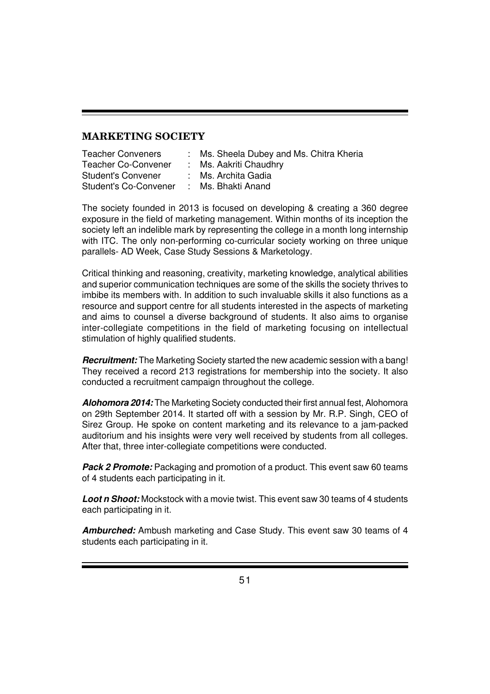### **MARKETING SOCIETY**

| : Ms. Sheela Dubey and Ms. Chitra Kheria |
|------------------------------------------|
| : Ms. Aakriti Chaudhry                   |
| : Ms. Archita Gadia                      |
| : Ms. Bhakti Anand                       |
|                                          |

The society founded in 2013 is focused on developing & creating a 360 degree exposure in the field of marketing management. Within months of its inception the society left an indelible mark by representing the college in a month long internship with ITC. The only non-performing co-curricular society working on three unique parallels- AD Week, Case Study Sessions & Marketology.

Critical thinking and reasoning, creativity, marketing knowledge, analytical abilities and superior communication techniques are some of the skills the society thrives to imbibe its members with. In addition to such invaluable skills it also functions as a resource and support centre for all students interested in the aspects of marketing and aims to counsel a diverse background of students. It also aims to organise inter-collegiate competitions in the field of marketing focusing on intellectual stimulation of highly qualified students.

*Recruitment:* The Marketing Society started the new academic session with a bang! They received a record 213 registrations for membership into the society. It also conducted a recruitment campaign throughout the college.

*Alohomora 2014:* The Marketing Society conducted their first annual fest, Alohomora on 29th September 2014. It started off with a session by Mr. R.P. Singh, CEO of Sirez Group. He spoke on content marketing and its relevance to a jam-packed auditorium and his insights were very well received by students from all colleges. After that, three inter-collegiate competitions were conducted.

*Pack 2 Promote:* Packaging and promotion of a product. This event saw 60 teams of 4 students each participating in it.

*Loot n Shoot:* Mockstock with a movie twist. This event saw 30 teams of 4 students each participating in it.

*Amburched:* Ambush marketing and Case Study. This event saw 30 teams of 4 students each participating in it.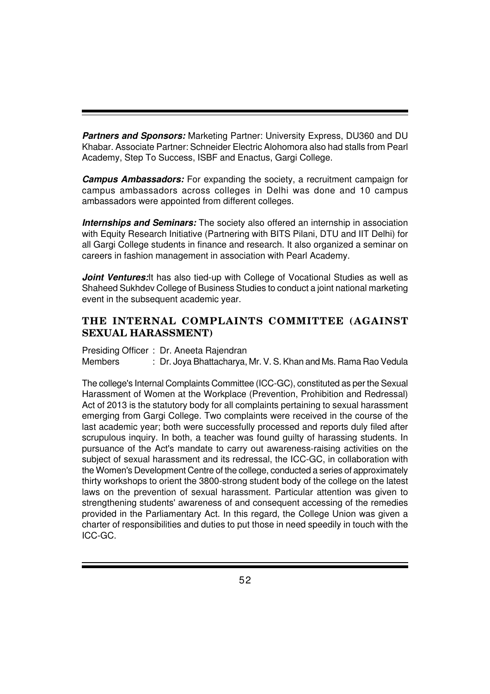*Partners and Sponsors:* Marketing Partner: University Express, DU360 and DU Khabar. Associate Partner: Schneider Electric Alohomora also had stalls from Pearl Academy, Step To Success, ISBF and Enactus, Gargi College.

*Campus Ambassadors:* For expanding the society, a recruitment campaign for campus ambassadors across colleges in Delhi was done and 10 campus ambassadors were appointed from different colleges.

**Internships and Seminars:** The society also offered an internship in association with Equity Research Initiative (Partnering with BITS Pilani, DTU and IIT Delhi) for all Gargi College students in finance and research. It also organized a seminar on careers in fashion management in association with Pearl Academy.

*Joint Ventures:*It has also tied-up with College of Vocational Studies as well as Shaheed Sukhdev College of Business Studies to conduct a joint national marketing event in the subsequent academic year.

## **THE INTERNAL COMPLAINTS COMMITTEE (AGAINST SEXUAL HARASSMENT)**

Presiding Officer : Dr. Aneeta Rajendran Members : Dr. Joya Bhattacharya, Mr. V. S. Khan and Ms. Rama Rao Vedula

The college's Internal Complaints Committee (ICC-GC), constituted as per the Sexual Harassment of Women at the Workplace (Prevention, Prohibition and Redressal) Act of 2013 is the statutory body for all complaints pertaining to sexual harassment emerging from Gargi College. Two complaints were received in the course of the last academic year; both were successfully processed and reports duly filed after scrupulous inquiry. In both, a teacher was found guilty of harassing students. In pursuance of the Act's mandate to carry out awareness-raising activities on the subject of sexual harassment and its redressal, the ICC-GC, in collaboration with the Women's Development Centre of the college, conducted a series of approximately thirty workshops to orient the 3800-strong student body of the college on the latest laws on the prevention of sexual harassment. Particular attention was given to strengthening students' awareness of and consequent accessing of the remedies provided in the Parliamentary Act. In this regard, the College Union was given a charter of responsibilities and duties to put those in need speedily in touch with the ICC-GC.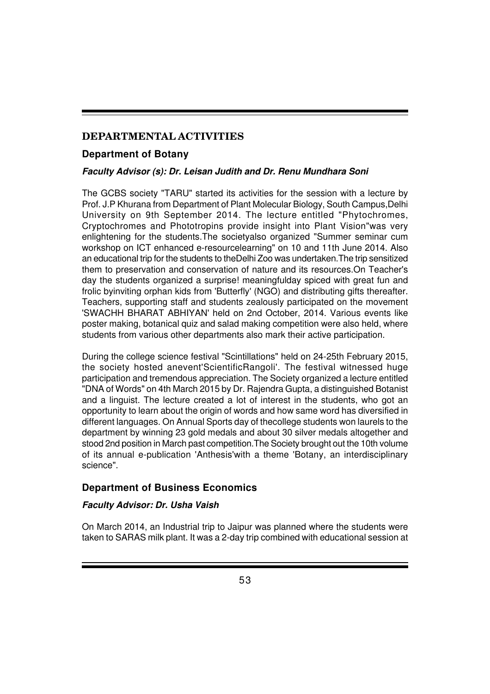## **DEPARTMENTAL ACTIVITIES**

#### **Department of Botany**

#### *Faculty Advisor (s): Dr. Leisan Judith and Dr. Renu Mundhara Soni*

The GCBS society "TARU" started its activities for the session with a lecture by Prof. J.P Khurana from Department of Plant Molecular Biology, South Campus, Delhi University on 9th September 2014. The lecture entitled "Phytochromes, Cryptochromes and Phototropins provide insight into Plant Vision"was very enlightening for the students.The societyalso organized "Summer seminar cum workshop on ICT enhanced e-resourcelearning" on 10 and 11th June 2014. Also an educational trip for the students to theDelhi Zoo was undertaken.The trip sensitized them to preservation and conservation of nature and its resources.On Teacher's day the students organized a surprise! meaningfulday spiced with great fun and frolic byinviting orphan kids from 'Butterfly' (NGO) and distributing gifts thereafter. Teachers, supporting staff and students zealously participated on the movement 'SWACHH BHARAT ABHIYAN' held on 2nd October, 2014. Various events like poster making, botanical quiz and salad making competition were also held, where students from various other departments also mark their active participation.

During the college science festival "Scintillations" held on 24-25th February 2015, the society hosted anevent'ScientificRangoli'. The festival witnessed huge participation and tremendous appreciation. The Society organized a lecture entitled "DNA of Words" on 4th March 2015 by Dr. Rajendra Gupta, a distinguished Botanist and a linguist. The lecture created a lot of interest in the students, who got an opportunity to learn about the origin of words and how same word has diversified in different languages. On Annual Sports day of thecollege students won laurels to the department by winning 23 gold medals and about 30 silver medals altogether and stood 2nd position in March past competition.The Society brought out the 10th volume of its annual e-publication 'Anthesis'with a theme 'Botany, an interdisciplinary science".

## **Department of Business Economics**

#### *Faculty Advisor: Dr. Usha Vaish*

On March 2014, an Industrial trip to Jaipur was planned where the students were taken to SARAS milk plant. It was a 2-day trip combined with educational session at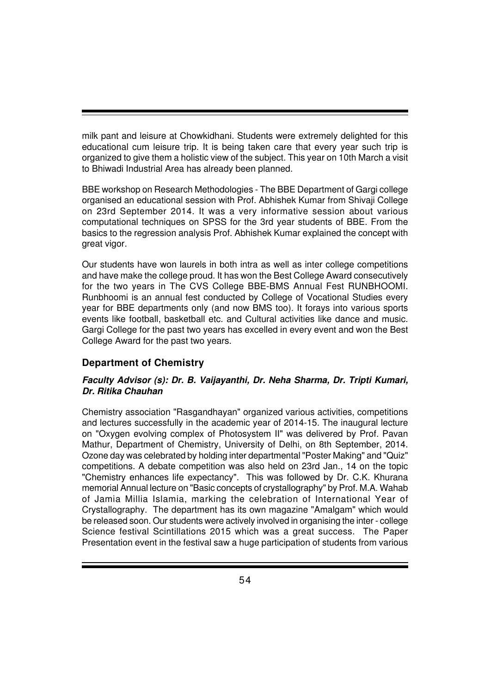milk pant and leisure at Chowkidhani. Students were extremely delighted for this educational cum leisure trip. It is being taken care that every year such trip is organized to give them a holistic view of the subject. This year on 10th March a visit to Bhiwadi Industrial Area has already been planned.

BBE workshop on Research Methodologies - The BBE Department of Gargi college organised an educational session with Prof. Abhishek Kumar from Shivaji College on 23rd September 2014. It was a very informative session about various computational techniques on SPSS for the 3rd year students of BBE. From the basics to the regression analysis Prof. Abhishek Kumar explained the concept with great vigor.

Our students have won laurels in both intra as well as inter college competitions and have make the college proud. It has won the Best College Award consecutively for the two years in The CVS College BBE-BMS Annual Fest RUNBHOOMI. Runbhoomi is an annual fest conducted by College of Vocational Studies every year for BBE departments only (and now BMS too). It forays into various sports events like football, basketball etc. and Cultural activities like dance and music. Gargi College for the past two years has excelled in every event and won the Best College Award for the past two years.

## **Department of Chemistry**

#### *Faculty Advisor (s): Dr. B. Vaijayanthi, Dr. Neha Sharma, Dr. Tripti Kumari, Dr. Ritika Chauhan*

Chemistry association "Rasgandhayan" organized various activities, competitions and lectures successfully in the academic year of 2014-15. The inaugural lecture on "Oxygen evolving complex of Photosystem II" was delivered by Prof. Pavan Mathur, Department of Chemistry, University of Delhi, on 8th September, 2014. Ozone day was celebrated by holding inter departmental "Poster Making" and "Quiz" competitions. A debate competition was also held on 23rd Jan., 14 on the topic "Chemistry enhances life expectancy". This was followed by Dr. C.K. Khurana memorial Annual lecture on "Basic concepts of crystallography" by Prof. M.A. Wahab of Jamia Millia Islamia, marking the celebration of International Year of Crystallography. The department has its own magazine "Amalgam" which would be released soon. Our students were actively involved in organising the inter - college Science festival Scintillations 2015 which was a great success. The Paper Presentation event in the festival saw a huge participation of students from various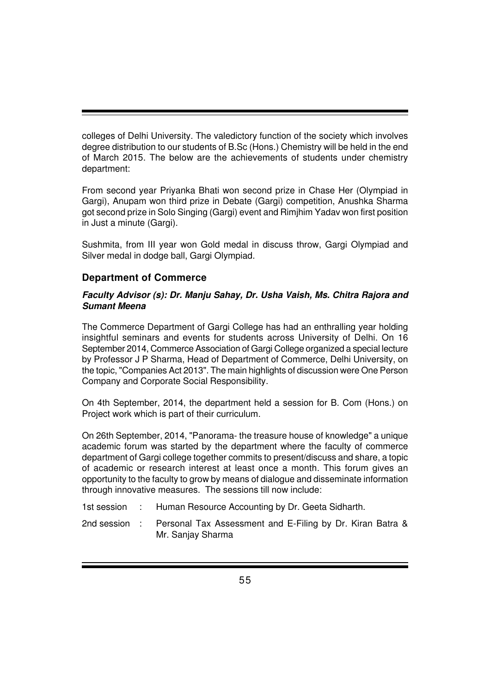colleges of Delhi University. The valedictory function of the society which involves degree distribution to our students of B.Sc (Hons.) Chemistry will be held in the end of March 2015. The below are the achievements of students under chemistry department:

From second year Priyanka Bhati won second prize in Chase Her (Olympiad in Gargi), Anupam won third prize in Debate (Gargi) competition, Anushka Sharma got second prize in Solo Singing (Gargi) event and Rimjhim Yadav won first position in Just a minute (Gargi).

Sushmita, from III year won Gold medal in discuss throw, Gargi Olympiad and Silver medal in dodge ball, Gargi Olympiad.

#### **Department of Commerce**

#### *Faculty Advisor (s): Dr. Manju Sahay, Dr. Usha Vaish, Ms. Chitra Rajora and Sumant Meena*

The Commerce Department of Gargi College has had an enthralling year holding insightful seminars and events for students across University of Delhi. On 16 September 2014, Commerce Association of Gargi College organized a special lecture by Professor J P Sharma, Head of Department of Commerce, Delhi University, on the topic, "Companies Act 2013". The main highlights of discussion were One Person Company and Corporate Social Responsibility.

On 4th September, 2014, the department held a session for B. Com (Hons.) on Project work which is part of their curriculum.

On 26th September, 2014, "Panorama- the treasure house of knowledge" a unique academic forum was started by the department where the faculty of commerce department of Gargi college together commits to present/discuss and share, a topic of academic or research interest at least once a month. This forum gives an opportunity to the faculty to grow by means of dialogue and disseminate information through innovative measures. The sessions till now include:

- 1st session : Human Resource Accounting by Dr. Geeta Sidharth.
- 2nd session : Personal Tax Assessment and E-Filing by Dr. Kiran Batra & Mr. Sanjay Sharma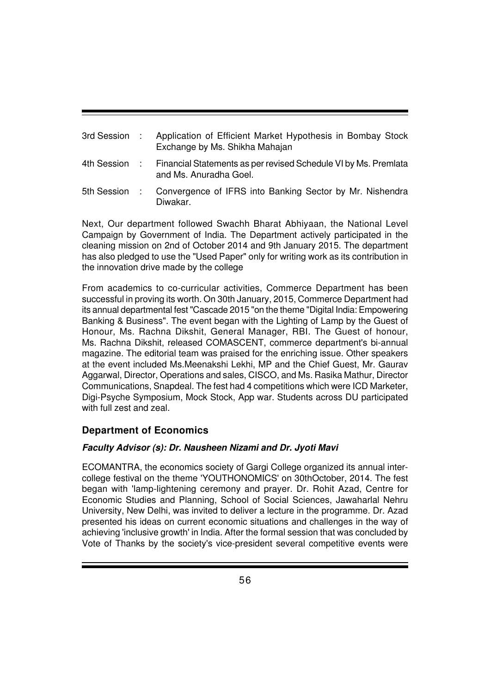| 3rd Session : | Application of Efficient Market Hypothesis in Bombay Stock<br>Exchange by Ms. Shikha Mahajan |
|---------------|----------------------------------------------------------------------------------------------|
| 4th Session : | Financial Statements as per revised Schedule VI by Ms. Premiata<br>and Ms. Anuradha Goel.    |
| 5th Session : | Convergence of IFRS into Banking Sector by Mr. Nishendra<br>Diwakar.                         |

Next, Our department followed Swachh Bharat Abhiyaan, the National Level Campaign by Government of India. The Department actively participated in the cleaning mission on 2nd of October 2014 and 9th January 2015. The department has also pledged to use the "Used Paper" only for writing work as its contribution in the innovation drive made by the college

From academics to co-curricular activities, Commerce Department has been successful in proving its worth. On 30th January, 2015, Commerce Department had its annual departmental fest "Cascade 2015 "on the theme "Digital India: Empowering Banking & Business". The event began with the Lighting of Lamp by the Guest of Honour, Ms. Rachna Dikshit, General Manager, RBI. The Guest of honour, Ms. Rachna Dikshit, released COMASCENT, commerce department's bi-annual magazine. The editorial team was praised for the enriching issue. Other speakers at the event included Ms.Meenakshi Lekhi, MP and the Chief Guest, Mr. Gaurav Aggarwal, Director, Operations and sales, CISCO, and Ms. Rasika Mathur, Director Communications, Snapdeal. The fest had 4 competitions which were ICD Marketer, Digi-Psyche Symposium, Mock Stock, App war. Students across DU participated with full zest and zeal.

## **Department of Economics**

## *Faculty Advisor (s): Dr. Nausheen Nizami and Dr. Jyoti Mavi*

ECOMANTRA, the economics society of Gargi College organized its annual intercollege festival on the theme 'YOUTHONOMICS' on 30thOctober, 2014. The fest began with 'lamp-lightening ceremony and prayer. Dr. Rohit Azad, Centre for Economic Studies and Planning, School of Social Sciences, Jawaharlal Nehru University, New Delhi, was invited to deliver a lecture in the programme. Dr. Azad presented his ideas on current economic situations and challenges in the way of achieving 'inclusive growth' in India. After the formal session that was concluded by Vote of Thanks by the society's vice-president several competitive events were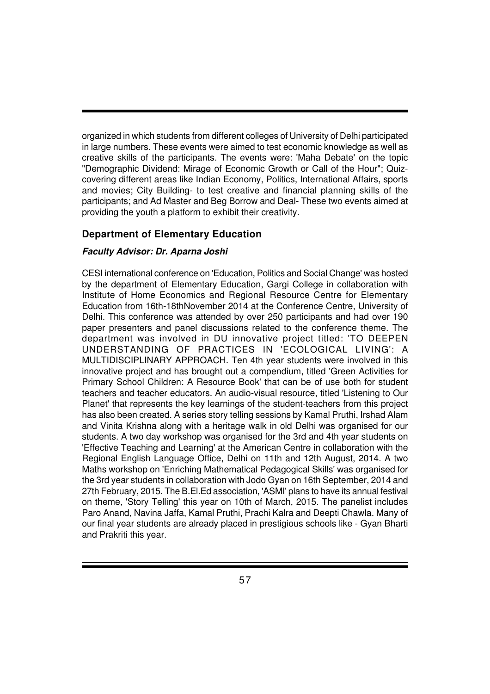organized in which students from different colleges of University of Delhi participated in large numbers. These events were aimed to test economic knowledge as well as creative skills of the participants. The events were: 'Maha Debate' on the topic "Demographic Dividend: Mirage of Economic Growth or Call of the Hour"; Quizcovering different areas like Indian Economy, Politics, International Affairs, sports and movies; City Building- to test creative and financial planning skills of the participants; and Ad Master and Beg Borrow and Deal- These two events aimed at providing the youth a platform to exhibit their creativity.

#### **Department of Elementary Education**

#### *Faculty Advisor: Dr. Aparna Joshi*

CESI international conference on 'Education, Politics and Social Change' was hosted by the department of Elementary Education, Gargi College in collaboration with Institute of Home Economics and Regional Resource Centre for Elementary Education from 16th-18thNovember 2014 at the Conference Centre, University of Delhi. This conference was attended by over 250 participants and had over 190 paper presenters and panel discussions related to the conference theme. The department was involved in DU innovative project titled: 'TO DEEPEN UNDERSTANDING OF PRACTICES IN 'ECOLOGICAL LIVING': A MULTIDISCIPLINARY APPROACH. Ten 4th year students were involved in this innovative project and has brought out a compendium, titled 'Green Activities for Primary School Children: A Resource Book' that can be of use both for student teachers and teacher educators. An audio-visual resource, titled 'Listening to Our Planet' that represents the key learnings of the student-teachers from this project has also been created. A series story telling sessions by Kamal Pruthi, Irshad Alam and Vinita Krishna along with a heritage walk in old Delhi was organised for our students. A two day workshop was organised for the 3rd and 4th year students on 'Effective Teaching and Learning' at the American Centre in collaboration with the Regional English Language Office, Delhi on 11th and 12th August, 2014. A two Maths workshop on 'Enriching Mathematical Pedagogical Skills' was organised for the 3rd year students in collaboration with Jodo Gyan on 16th September, 2014 and 27th February, 2015. The B.El.Ed association, 'ASMI' plans to have its annual festival on theme, 'Story Telling' this year on 10th of March, 2015. The panelist includes Paro Anand, Navina Jaffa, Kamal Pruthi, Prachi Kalra and Deepti Chawla. Many of our final year students are already placed in prestigious schools like - Gyan Bharti and Prakriti this year.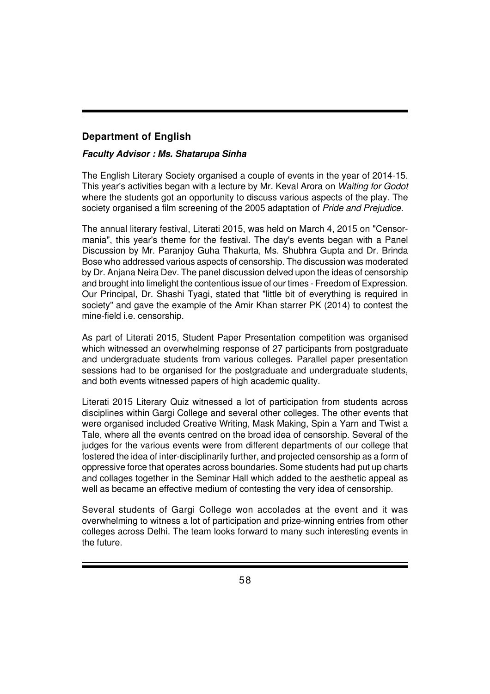## **Department of English**

#### *Faculty Advisor : Ms. Shatarupa Sinha*

The English Literary Society organised a couple of events in the year of 2014-15. This year's activities began with a lecture by Mr. Keval Arora on *Waiting for Godot* where the students got an opportunity to discuss various aspects of the play. The society organised a film screening of the 2005 adaptation of *Pride and Prejudice*.

The annual literary festival, Literati 2015, was held on March 4, 2015 on "Censormania", this year's theme for the festival. The day's events began with a Panel Discussion by Mr. Paranjoy Guha Thakurta, Ms. Shubhra Gupta and Dr. Brinda Bose who addressed various aspects of censorship. The discussion was moderated by Dr. Anjana Neira Dev. The panel discussion delved upon the ideas of censorship and brought into limelight the contentious issue of our times - Freedom of Expression. Our Principal, Dr. Shashi Tyagi, stated that "little bit of everything is required in society" and gave the example of the Amir Khan starrer PK (2014) to contest the mine-field i.e. censorship.

As part of Literati 2015, Student Paper Presentation competition was organised which witnessed an overwhelming response of 27 participants from postgraduate and undergraduate students from various colleges. Parallel paper presentation sessions had to be organised for the postgraduate and undergraduate students, and both events witnessed papers of high academic quality.

Literati 2015 Literary Quiz witnessed a lot of participation from students across disciplines within Gargi College and several other colleges. The other events that were organised included Creative Writing, Mask Making, Spin a Yarn and Twist a Tale, where all the events centred on the broad idea of censorship. Several of the judges for the various events were from different departments of our college that fostered the idea of inter-disciplinarily further, and projected censorship as a form of oppressive force that operates across boundaries. Some students had put up charts and collages together in the Seminar Hall which added to the aesthetic appeal as well as became an effective medium of contesting the very idea of censorship.

Several students of Gargi College won accolades at the event and it was overwhelming to witness a lot of participation and prize-winning entries from other colleges across Delhi. The team looks forward to many such interesting events in the future.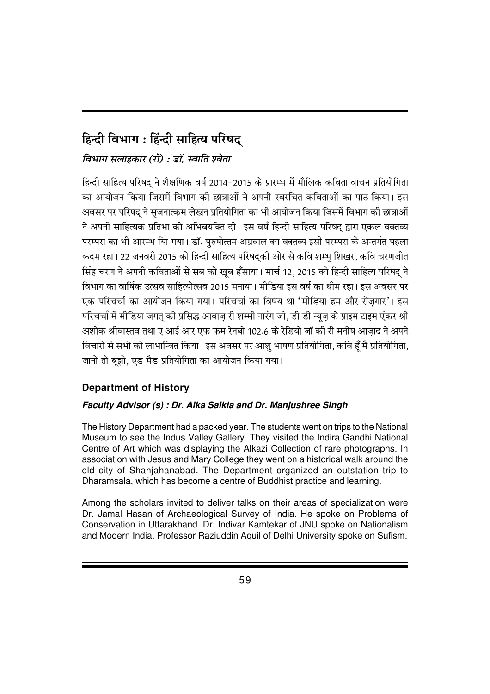# **हिन्दी विभाग : हिंन्दी साहित्य परिषद**

## *faभाग सलाहकार (रो) : डॉ. स्वाति श्वेता*

हिन्दी साहित्य परिषद ने शैक्षणिक वर्ष 2014–2015 के प्रारम्भ में मौलिक कविता वाचन प्रतियोगिता का आयोजन किया जिसमें विभाग की छात्राओं ने अपनी स्वरचित कविताओं का पाठ किया। इस अवसर पर परिषद ने सजनात्कम लेखन प्रतियोगिता का भी आयोजन किया जिसमें विभाग की छात्राओं ने अपनी साहित्यक प्रतिभा को अभिबयक्ति दी। इस वर्ष हिन्दी साहित्य परिषद द्वारा एकल वक्तव्य परम्परा का भी आरम्भ याि गया। डॉ. परुषोत्तम अग्रवाल का वक्तव्य इसी परम्परा के अन्तर्गत पहला कदम रहा। 22 जनवरी 2015 को हिन्दी साहित्य परिषदकी ओर से कवि शम्भ शिखर, कवि चरणजीत सिंह चरण ने अपनी कविताओं से सब को खब हँसाया। मार्च 12, 2015 को हिन्दी साहित्य परिषद ने विभाग का वार्षिक उत्सव साहित्योत्सव 2015 मनाया। मीडिया इस वर्ष का थीम रहा। इस अवसर पर एक परिचर्चा का आयोजन किया गया। परिचर्चा का विषय था 'मीडिया हम और रोजगार'। इस परिचर्चा में मीडिया जगत की प्रसिद्ध आवाज री शम्मी नारंग जी. डी डी न्यूज के प्राइम टाइम एंकर श्री अशोक श्रीवास्तव तथा ए आई आर एफ फम रेनबो 102.6 के रेडियो जॉ की री मनीष आजाद ने अपने विचारों से सभी को लाभान्वित किया। इस अवसर पर आशु भाषण प्रतियोगिता, कवि हूँ मैं प्रतियोगिता, जानो तो बूझो, एड मैड प्रतियोगिता का आयोजन किया गया।

## **Department of History**

## *Faculty Advisor (s) : Dr. Alka Saikia and Dr. Manjushree Singh*

The History Department had a packed year. The students went on trips to the National Museum to see the Indus Valley Gallery. They visited the Indira Gandhi National Centre of Art which was displaying the Alkazi Collection of rare photographs. In association with Jesus and Mary College they went on a historical walk around the old city of Shahjahanabad. The Department organized an outstation trip to Dharamsala, which has become a centre of Buddhist practice and learning.

Among the scholars invited to deliver talks on their areas of specialization were Dr. Jamal Hasan of Archaeological Survey of India. He spoke on Problems of Conservation in Uttarakhand. Dr. Indivar Kamtekar of JNU spoke on Nationalism and Modern India. Professor Raziuddin Aquil of Delhi University spoke on Sufism.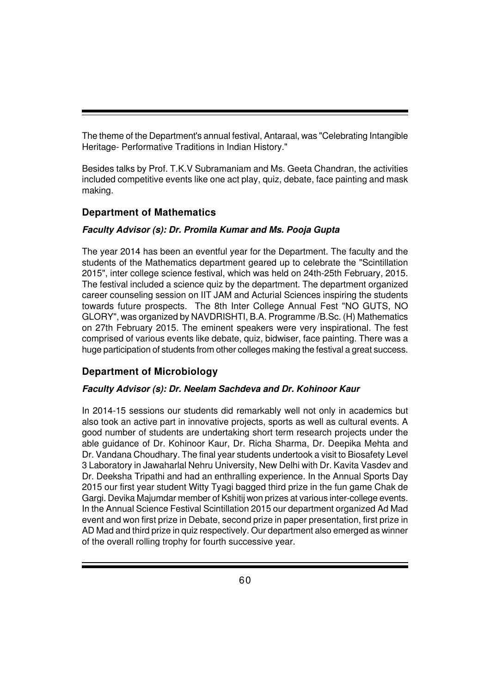The theme of the Department's annual festival, Antaraal, was "Celebrating Intangible Heritage- Performative Traditions in Indian History."

Besides talks by Prof. T.K.V Subramaniam and Ms. Geeta Chandran, the activities included competitive events like one act play, quiz, debate, face painting and mask making.

## **Department of Mathematics**

#### *Faculty Advisor (s): Dr. Promila Kumar and Ms. Pooja Gupta*

The year 2014 has been an eventful year for the Department. The faculty and the students of the Mathematics department geared up to celebrate the "Scintillation 2015", inter college science festival, which was held on 24th-25th February, 2015. The festival included a science quiz by the department. The department organized career counseling session on IIT JAM and Acturial Sciences inspiring the students towards future prospects. The 8th Inter College Annual Fest "NO GUTS, NO GLORY", was organized by NAVDRISHTI, B.A. Programme /B.Sc. (H) Mathematics on 27th February 2015. The eminent speakers were very inspirational. The fest comprised of various events like debate, quiz, bidwiser, face painting. There was a huge participation of students from other colleges making the festival a great success.

## **Department of Microbiology**

#### *Faculty Advisor (s): Dr. Neelam Sachdeva and Dr. Kohinoor Kaur*

In 2014-15 sessions our students did remarkably well not only in academics but also took an active part in innovative projects, sports as well as cultural events. A good number of students are undertaking short term research projects under the able guidance of Dr. Kohinoor Kaur, Dr. Richa Sharma, Dr. Deepika Mehta and Dr. Vandana Choudhary. The final year students undertook a visit to Biosafety Level 3 Laboratory in Jawaharlal Nehru University, New Delhi with Dr. Kavita Vasdev and Dr. Deeksha Tripathi and had an enthralling experience. In the Annual Sports Day 2015 our first year student Witty Tyagi bagged third prize in the fun game Chak de Gargi. Devika Majumdar member of Kshitij won prizes at various inter-college events. In the Annual Science Festival Scintillation 2015 our department organized Ad Mad event and won first prize in Debate, second prize in paper presentation, first prize in AD Mad and third prize in quiz respectively. Our department also emerged as winner of the overall rolling trophy for fourth successive year.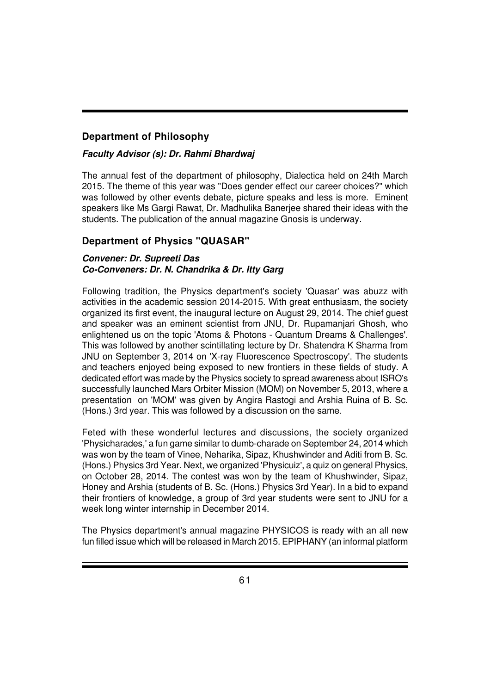## **Department of Philosophy**

#### *Faculty Advisor (s): Dr. Rahmi Bhardwaj*

The annual fest of the department of philosophy, Dialectica held on 24th March 2015. The theme of this year was "Does gender effect our career choices?" which was followed by other events debate, picture speaks and less is more. Eminent speakers like Ms Gargi Rawat, Dr. Madhulika Banerjee shared their ideas with the students. The publication of the annual magazine Gnosis is underway.

#### **Department of Physics "QUASAR"**

#### *Convener: Dr. Supreeti Das Co-Conveners: Dr. N. Chandrika & Dr. Itty Garg*

Following tradition, the Physics department's society 'Quasar' was abuzz with activities in the academic session 2014-2015. With great enthusiasm, the society organized its first event, the inaugural lecture on August 29, 2014. The chief guest and speaker was an eminent scientist from JNU, Dr. Rupamanjari Ghosh, who enlightened us on the topic 'Atoms & Photons - Quantum Dreams & Challenges'. This was followed by another scintillating lecture by Dr. Shatendra K Sharma from JNU on September 3, 2014 on 'X-ray Fluorescence Spectroscopy'. The students and teachers enjoyed being exposed to new frontiers in these fields of study. A dedicated effort was made by the Physics society to spread awareness about ISRO's successfully launched Mars Orbiter Mission (MOM) on November 5, 2013, where a presentation on 'MOM' was given by Angira Rastogi and Arshia Ruina of B. Sc. (Hons.) 3rd year. This was followed by a discussion on the same.

Feted with these wonderful lectures and discussions, the society organized 'Physicharades,' a fun game similar to dumb-charade on September 24, 2014 which was won by the team of Vinee, Neharika, Sipaz, Khushwinder and Aditi from B. Sc. (Hons.) Physics 3rd Year. Next, we organized 'Physicuiz', a quiz on general Physics, on October 28, 2014. The contest was won by the team of Khushwinder, Sipaz, Honey and Arshia (students of B. Sc. (Hons.) Physics 3rd Year). In a bid to expand their frontiers of knowledge, a group of 3rd year students were sent to JNU for a week long winter internship in December 2014.

The Physics department's annual magazine PHYSICOS is ready with an all new fun filled issue which will be released in March 2015. EPIPHANY (an informal platform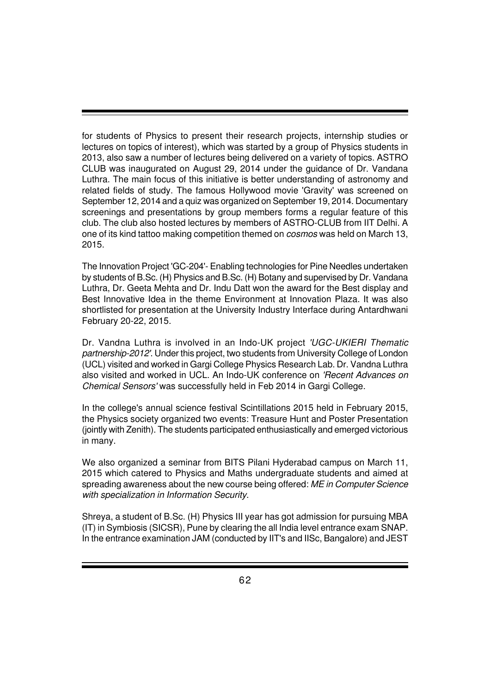for students of Physics to present their research projects, internship studies or lectures on topics of interest), which was started by a group of Physics students in 2013, also saw a number of lectures being delivered on a variety of topics. ASTRO CLUB was inaugurated on August 29, 2014 under the guidance of Dr. Vandana Luthra. The main focus of this initiative is better understanding of astronomy and related fields of study. The famous Hollywood movie 'Gravity' was screened on September 12, 2014 and a quiz was organized on September 19, 2014. Documentary screenings and presentations by group members forms a regular feature of this club. The club also hosted lectures by members of ASTRO-CLUB from IIT Delhi. A one of its kind tattoo making competition themed on *cosmos* was held on March 13, 2015.

The Innovation Project 'GC-204'- Enabling technologies for Pine Needles undertaken by students of B.Sc. (H) Physics and B.Sc. (H) Botany and supervised by Dr. Vandana Luthra, Dr. Geeta Mehta and Dr. Indu Datt won the award for the Best display and Best Innovative Idea in the theme Environment at Innovation Plaza. It was also shortlisted for presentation at the University Industry Interface during Antardhwani February 20-22, 2015.

Dr. Vandna Luthra is involved in an Indo-UK project *'UGC-UKIERI Thematic partnership-2012'*. Under this project, two students from University College of London (UCL) visited and worked in Gargi College Physics Research Lab. Dr. Vandna Luthra also visited and worked in UCL. An Indo-UK conference on *'Recent Advances on Chemical Sensors'* was successfully held in Feb 2014 in Gargi College.

In the college's annual science festival Scintillations 2015 held in February 2015, the Physics society organized two events: Treasure Hunt and Poster Presentation (jointly with Zenith). The students participated enthusiastically and emerged victorious in many.

We also organized a seminar from BITS Pilani Hyderabad campus on March 11, 2015 which catered to Physics and Maths undergraduate students and aimed at spreading awareness about the new course being offered: *ME in Computer Science with specialization in Information Security*.

Shreya, a student of B.Sc. (H) Physics III year has got admission for pursuing MBA (IT) in Symbiosis (SICSR), Pune by clearing the all India level entrance exam SNAP. In the entrance examination JAM (conducted by IIT's and IISc, Bangalore) and JEST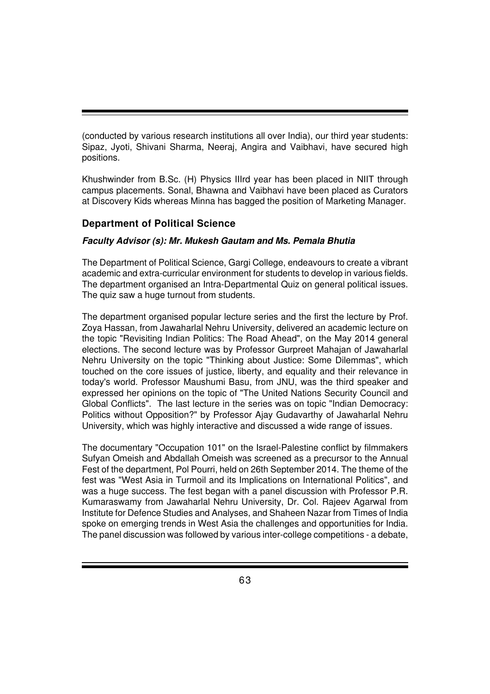(conducted by various research institutions all over India), our third year students: Sipaz, Jyoti, Shivani Sharma, Neeraj, Angira and Vaibhavi, have secured high positions.

Khushwinder from B.Sc. (H) Physics IIIrd year has been placed in NIIT through campus placements. Sonal, Bhawna and Vaibhavi have been placed as Curators at Discovery Kids whereas Minna has bagged the position of Marketing Manager.

## **Department of Political Science**

#### *Faculty Advisor (s): Mr. Mukesh Gautam and Ms. Pemala Bhutia*

The Department of Political Science, Gargi College, endeavours to create a vibrant academic and extra-curricular environment for students to develop in various fields. The department organised an Intra-Departmental Quiz on general political issues. The quiz saw a huge turnout from students.

The department organised popular lecture series and the first the lecture by Prof. Zoya Hassan, from Jawaharlal Nehru University, delivered an academic lecture on the topic "Revisiting Indian Politics: The Road Ahead", on the May 2014 general elections. The second lecture was by Professor Gurpreet Mahajan of Jawaharlal Nehru University on the topic "Thinking about Justice: Some Dilemmas", which touched on the core issues of justice, liberty, and equality and their relevance in today's world. Professor Maushumi Basu, from JNU, was the third speaker and expressed her opinions on the topic of "The United Nations Security Council and Global Conflicts". The last lecture in the series was on topic "Indian Democracy: Politics without Opposition?" by Professor Ajay Gudavarthy of Jawaharlal Nehru University, which was highly interactive and discussed a wide range of issues.

The documentary "Occupation 101" on the Israel-Palestine conflict by filmmakers Sufyan Omeish and Abdallah Omeish was screened as a precursor to the Annual Fest of the department, Pol Pourri, held on 26th September 2014. The theme of the fest was "West Asia in Turmoil and its Implications on International Politics", and was a huge success. The fest began with a panel discussion with Professor P.R. Kumaraswamy from Jawaharlal Nehru University, Dr. Col. Rajeev Agarwal from Institute for Defence Studies and Analyses, and Shaheen Nazar from Times of India spoke on emerging trends in West Asia the challenges and opportunities for India. The panel discussion was followed by various inter-college competitions - a debate,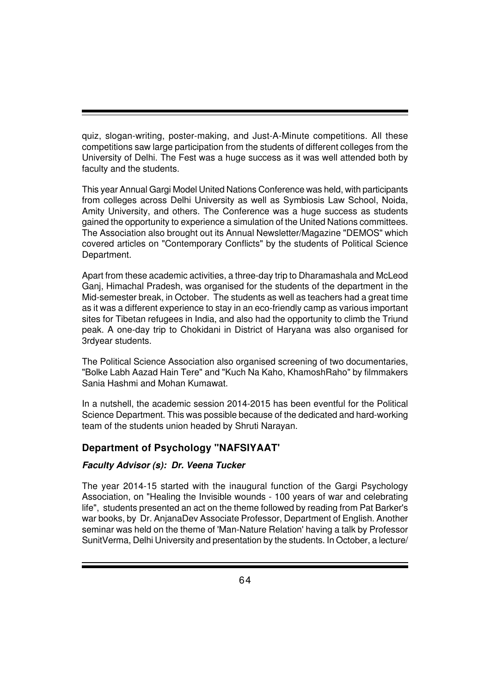quiz, slogan-writing, poster-making, and Just-A-Minute competitions. All these competitions saw large participation from the students of different colleges from the University of Delhi. The Fest was a huge success as it was well attended both by faculty and the students.

This year Annual Gargi Model United Nations Conference was held, with participants from colleges across Delhi University as well as Symbiosis Law School, Noida, Amity University, and others. The Conference was a huge success as students gained the opportunity to experience a simulation of the United Nations committees. The Association also brought out its Annual Newsletter/Magazine "DEMOS" which covered articles on "Contemporary Conflicts" by the students of Political Science Department.

Apart from these academic activities, a three-day trip to Dharamashala and McLeod Ganj, Himachal Pradesh, was organised for the students of the department in the Mid-semester break, in October. The students as well as teachers had a great time as it was a different experience to stay in an eco-friendly camp as various important sites for Tibetan refugees in India, and also had the opportunity to climb the Triund peak. A one-day trip to Chokidani in District of Haryana was also organised for 3rdyear students.

The Political Science Association also organised screening of two documentaries, "Bolke Labh Aazad Hain Tere" and "Kuch Na Kaho, KhamoshRaho" by filmmakers Sania Hashmi and Mohan Kumawat.

In a nutshell, the academic session 2014-2015 has been eventful for the Political Science Department. This was possible because of the dedicated and hard-working team of the students union headed by Shruti Narayan.

## **Department of Psychology "NAFSIYAAT'**

#### *Faculty Advisor (s): Dr. Veena Tucker*

The year 2014-15 started with the inaugural function of the Gargi Psychology Association, on "Healing the Invisible wounds - 100 years of war and celebrating life", students presented an act on the theme followed by reading from Pat Barker's war books, by Dr. AnjanaDev Associate Professor, Department of English. Another seminar was held on the theme of 'Man-Nature Relation' having a talk by Professor SunitVerma, Delhi University and presentation by the students. In October, a lecture/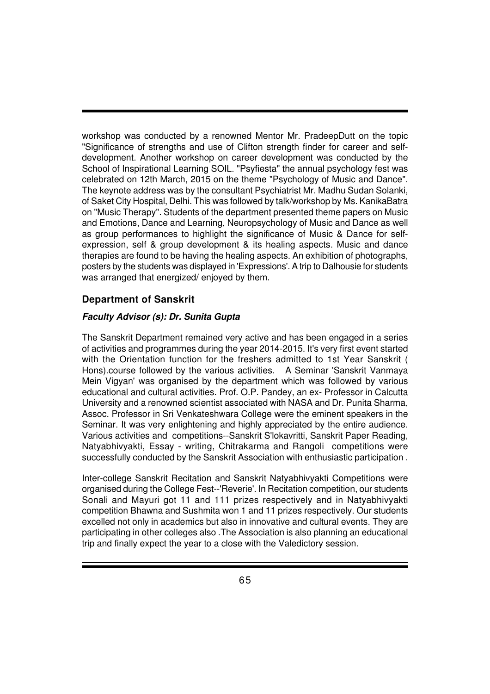workshop was conducted by a renowned Mentor Mr. PradeepDutt on the topic "Significance of strengths and use of Clifton strength finder for career and selfdevelopment. Another workshop on career development was conducted by the School of Inspirational Learning SOIL. "Psyfiesta" the annual psychology fest was celebrated on 12th March, 2015 on the theme "Psychology of Music and Dance". The keynote address was by the consultant Psychiatrist Mr. Madhu Sudan Solanki, of Saket City Hospital, Delhi. This was followed by talk/workshop by Ms. KanikaBatra on "Music Therapy". Students of the department presented theme papers on Music and Emotions, Dance and Learning, Neuropsychology of Music and Dance as well as group performances to highlight the significance of Music & Dance for selfexpression, self & group development & its healing aspects. Music and dance therapies are found to be having the healing aspects. An exhibition of photographs, posters by the students was displayed in 'Expressions'. A trip to Dalhousie for students was arranged that energized/ enjoyed by them.

#### **Department of Sanskrit**

#### *Faculty Advisor (s): Dr. Sunita Gupta*

The Sanskrit Department remained very active and has been engaged in a series of activities and programmes during the year 2014-2015. It's very first event started with the Orientation function for the freshers admitted to 1st Year Sanskrit ( Hons).course followed by the various activities. A Seminar 'Sanskrit Vanmaya Mein Vigyan' was organised by the department which was followed by various educational and cultural activities. Prof. O.P. Pandey, an ex- Professor in Calcutta University and a renowned scientist associated with NASA and Dr. Punita Sharma, Assoc. Professor in Sri Venkateshwara College were the eminent speakers in the Seminar. It was very enlightening and highly appreciated by the entire audience. Various activities and competitions--Sanskrit S'lokavritti, Sanskrit Paper Reading, Natyabhivyakti, Essay - writing, Chitrakarma and Rangoli competitions were successfully conducted by the Sanskrit Association with enthusiastic participation .

Inter-college Sanskrit Recitation and Sanskrit Natyabhivyakti Competitions were organised during the College Fest--'Reverie'. In Recitation competition, our students Sonali and Mayuri got 11 and 111 prizes respectively and in Natyabhivyakti competition Bhawna and Sushmita won 1 and 11 prizes respectively. Our students excelled not only in academics but also in innovative and cultural events. They are participating in other colleges also .The Association is also planning an educational trip and finally expect the year to a close with the Valedictory session.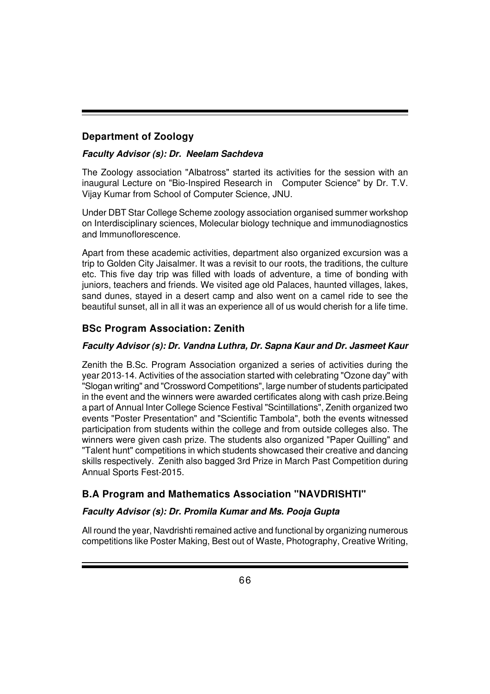## **Department of Zoology**

#### *Faculty Advisor (s): Dr. Neelam Sachdeva*

The Zoology association "Albatross" started its activities for the session with an inaugural Lecture on "Bio-Inspired Research in Computer Science" by Dr. T.V. Vijay Kumar from School of Computer Science, JNU.

Under DBT Star College Scheme zoology association organised summer workshop on Interdisciplinary sciences, Molecular biology technique and immunodiagnostics and Immunoflorescence.

Apart from these academic activities, department also organized excursion was a trip to Golden City Jaisalmer. It was a revisit to our roots, the traditions, the culture etc. This five day trip was filled with loads of adventure, a time of bonding with juniors, teachers and friends. We visited age old Palaces, haunted villages, lakes, sand dunes, stayed in a desert camp and also went on a camel ride to see the beautiful sunset, all in all it was an experience all of us would cherish for a life time.

#### **BSc Program Association: Zenith**

#### *Faculty Advisor (s): Dr. Vandna Luthra, Dr. Sapna Kaur and Dr. Jasmeet Kaur*

Zenith the B.Sc. Program Association organized a series of activities during the year 2013-14. Activities of the association started with celebrating "Ozone day" with "Slogan writing" and "Crossword Competitions", large number of students participated in the event and the winners were awarded certificates along with cash prize.Being a part of Annual Inter College Science Festival "Scintillations", Zenith organized two events "Poster Presentation" and "Scientific Tambola", both the events witnessed participation from students within the college and from outside colleges also. The winners were given cash prize. The students also organized "Paper Quilling" and "Talent hunt" competitions in which students showcased their creative and dancing skills respectively. Zenith also bagged 3rd Prize in March Past Competition during Annual Sports Fest-2015.

#### **B.A Program and Mathematics Association "NAVDRISHTI"**

#### *Faculty Advisor (s): Dr. Promila Kumar and Ms. Pooja Gupta*

All round the year, Navdrishti remained active and functional by organizing numerous competitions like Poster Making, Best out of Waste, Photography, Creative Writing,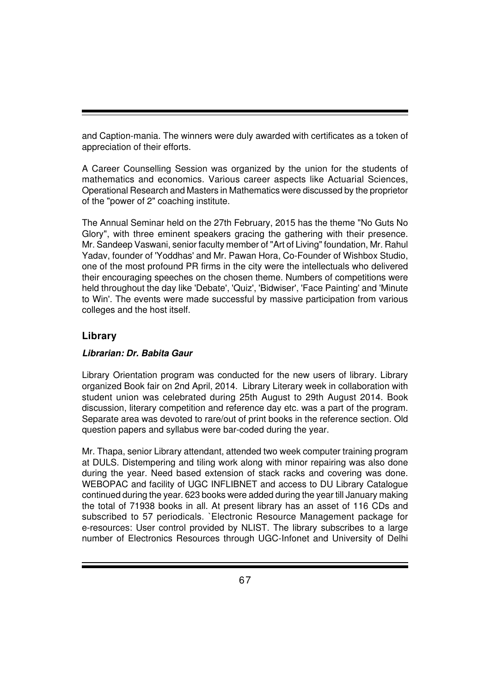and Caption-mania. The winners were duly awarded with certificates as a token of appreciation of their efforts.

A Career Counselling Session was organized by the union for the students of mathematics and economics. Various career aspects like Actuarial Sciences, Operational Research and Masters in Mathematics were discussed by the proprietor of the "power of 2" coaching institute.

The Annual Seminar held on the 27th February, 2015 has the theme "No Guts No Glory", with three eminent speakers gracing the gathering with their presence. Mr. Sandeep Vaswani, senior faculty member of "Art of Living" foundation, Mr. Rahul Yadav, founder of 'Yoddhas' and Mr. Pawan Hora, Co-Founder of Wishbox Studio, one of the most profound PR firms in the city were the intellectuals who delivered their encouraging speeches on the chosen theme. Numbers of competitions were held throughout the day like 'Debate', 'Quiz', 'Bidwiser', 'Face Painting' and 'Minute to Win'. The events were made successful by massive participation from various colleges and the host itself.

## **Library**

#### *Librarian: Dr. Babita Gaur*

Library Orientation program was conducted for the new users of library. Library organized Book fair on 2nd April, 2014. Library Literary week in collaboration with student union was celebrated during 25th August to 29th August 2014. Book discussion, literary competition and reference day etc. was a part of the program. Separate area was devoted to rare/out of print books in the reference section. Old question papers and syllabus were bar-coded during the year.

Mr. Thapa, senior Library attendant, attended two week computer training program at DULS. Distempering and tiling work along with minor repairing was also done during the year. Need based extension of stack racks and covering was done. WEBOPAC and facility of UGC INFLIBNET and access to DU Library Catalogue continued during the year. 623 books were added during the year till January making the total of 71938 books in all. At present library has an asset of 116 CDs and subscribed to 57 periodicals. `Electronic Resource Management package for e-resources: User control provided by NLIST. The library subscribes to a large number of Electronics Resources through UGC-Infonet and University of Delhi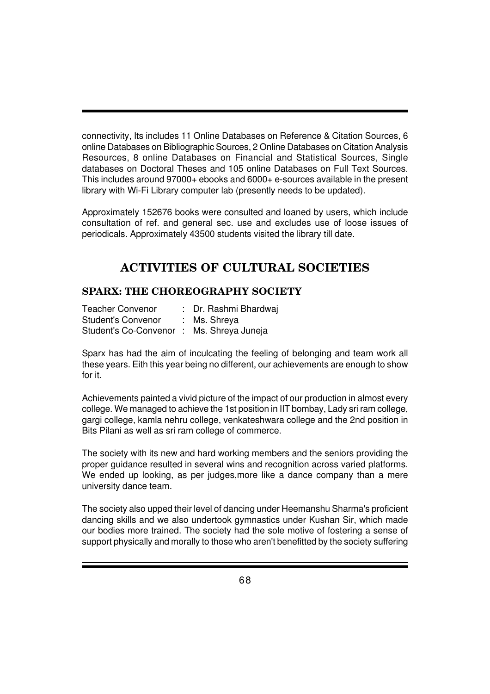connectivity, Its includes 11 Online Databases on Reference & Citation Sources, 6 online Databases on Bibliographic Sources, 2 Online Databases on Citation Analysis Resources, 8 online Databases on Financial and Statistical Sources, Single databases on Doctoral Theses and 105 online Databases on Full Text Sources. This includes around 97000+ ebooks and 6000+ e-sources available in the present library with Wi-Fi Library computer lab (presently needs to be updated).

Approximately 152676 books were consulted and loaned by users, which include consultation of ref. and general sec. use and excludes use of loose issues of periodicals. Approximately 43500 students visited the library till date.

## **ACTIVITIES OF CULTURAL SOCIETIES**

## **SPARX: THE CHOREOGRAPHY SOCIETY**

| <b>Teacher Convenor</b>                  | : Dr. Rashmi Bhardwaj |
|------------------------------------------|-----------------------|
| <b>Student's Convenor</b>                | : Ms. Shreya          |
| Student's Co-Convenor: Ms. Shreya Juneja |                       |

Sparx has had the aim of inculcating the feeling of belonging and team work all these years. Eith this year being no different, our achievements are enough to show for it.

Achievements painted a vivid picture of the impact of our production in almost every college. We managed to achieve the 1st position in IIT bombay, Lady sri ram college, gargi college, kamla nehru college, venkateshwara college and the 2nd position in Bits Pilani as well as sri ram college of commerce.

The society with its new and hard working members and the seniors providing the proper guidance resulted in several wins and recognition across varied platforms. We ended up looking, as per judges,more like a dance company than a mere university dance team.

The society also upped their level of dancing under Heemanshu Sharma's proficient dancing skills and we also undertook gymnastics under Kushan Sir, which made our bodies more trained. The society had the sole motive of fostering a sense of support physically and morally to those who aren't benefitted by the society suffering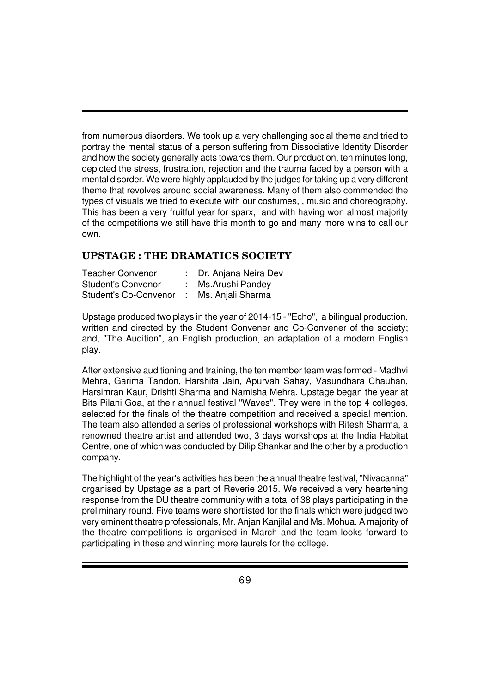from numerous disorders. We took up a very challenging social theme and tried to portray the mental status of a person suffering from Dissociative Identity Disorder and how the society generally acts towards them. Our production, ten minutes long, depicted the stress, frustration, rejection and the trauma faced by a person with a mental disorder. We were highly applauded by the judges for taking up a very different theme that revolves around social awareness. Many of them also commended the types of visuals we tried to execute with our costumes, , music and choreography. This has been a very fruitful year for sparx, and with having won almost majority of the competitions we still have this month to go and many more wins to call our own.

#### **UPSTAGE : THE DRAMATICS SOCIETY**

| <b>Teacher Convenor</b>      | : Dr. Anjana Neira Dev |
|------------------------------|------------------------|
| <b>Student's Convenor</b>    | : Ms. Arushi Pandey    |
| <b>Student's Co-Convenor</b> | : Ms. Anjali Sharma    |

Upstage produced two plays in the year of 2014-15 - "Echo", a bilingual production, written and directed by the Student Convener and Co-Convener of the society; and, "The Audition", an English production, an adaptation of a modern English play.

After extensive auditioning and training, the ten member team was formed - Madhvi Mehra, Garima Tandon, Harshita Jain, Apurvah Sahay, Vasundhara Chauhan, Harsimran Kaur, Drishti Sharma and Namisha Mehra. Upstage began the year at Bits Pilani Goa, at their annual festival "Waves". They were in the top 4 colleges, selected for the finals of the theatre competition and received a special mention. The team also attended a series of professional workshops with Ritesh Sharma, a renowned theatre artist and attended two, 3 days workshops at the India Habitat Centre, one of which was conducted by Dilip Shankar and the other by a production company.

The highlight of the year's activities has been the annual theatre festival, "Nivacanna" organised by Upstage as a part of Reverie 2015. We received a very heartening response from the DU theatre community with a total of 38 plays participating in the preliminary round. Five teams were shortlisted for the finals which were judged two very eminent theatre professionals, Mr. Anjan Kanjilal and Ms. Mohua. A majority of the theatre competitions is organised in March and the team looks forward to participating in these and winning more laurels for the college.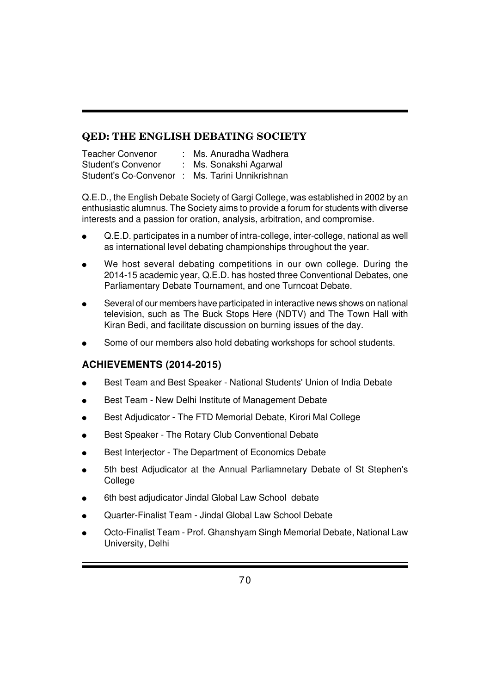## **QED: THE ENGLISH DEBATING SOCIETY**

| <b>Teacher Convenor</b>   | Ms. Anuradha Wadhera    |
|---------------------------|-------------------------|
| <b>Student's Convenor</b> | : Ms. Sonakshi Agarwal  |
| Student's Co-Convenor:    | Ms. Tarini Unnikrishnan |

Q.E.D., the English Debate Society of Gargi College, was established in 2002 by an enthusiastic alumnus. The Society aims to provide a forum for students with diverse interests and a passion for oration, analysis, arbitration, and compromise.

- Q.E.D. participates in a number of intra-college, inter-college, national as well as international level debating championships throughout the year.
- We host several debating competitions in our own college. During the 2014-15 academic year, Q.E.D. has hosted three Conventional Debates, one Parliamentary Debate Tournament, and one Turncoat Debate.
- Several of our members have participated in interactive news shows on national television, such as The Buck Stops Here (NDTV) and The Town Hall with Kiran Bedi, and facilitate discussion on burning issues of the day.
- Some of our members also hold debating workshops for school students.

## **ACHIEVEMENTS (2014-2015)**

- Best Team and Best Speaker National Students' Union of India Debate
- Best Team New Delhi Institute of Management Debate
- Best Adjudicator The FTD Memorial Debate, Kirori Mal College
- Best Speaker The Rotary Club Conventional Debate
- Best Interjector The Department of Economics Debate
- 5th best Adjudicator at the Annual Parliamnetary Debate of St Stephen's College
- 6th best adjudicator Jindal Global Law School debate
- Quarter-Finalist Team Jindal Global Law School Debate
- Octo-Finalist Team Prof. Ghanshyam Singh Memorial Debate, National Law University, Delhi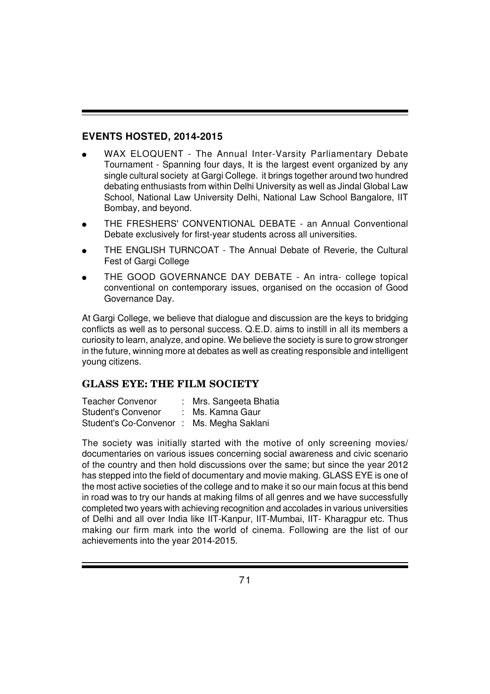## **EVENTS HOSTED, 2014-2015**

- WAX ELOQUENT The Annual Inter-Varsity Parliamentary Debate Tournament - Spanning four days, It is the largest event organized by any single cultural society at Gargi College. it brings together around two hundred debating enthusiasts from within Delhi University as well as Jindal Global Law School, National Law University Delhi, National Law School Bangalore, IIT Bombay, and beyond.
- THE FRESHERS' CONVENTIONAL DEBATE an Annual Conventional Debate exclusively for first-year students across all universities.
- THE ENGLISH TURNCOAT The Annual Debate of Reverie, the Cultural Fest of Gargi College
- THE GOOD GOVERNANCE DAY DEBATE An intra- college topical conventional on contemporary issues, organised on the occasion of Good Governance Day.

At Gargi College, we believe that dialogue and discussion are the keys to bridging conflicts as well as to personal success. Q.E.D. aims to instill in all its members a curiosity to learn, analyze, and opine. We believe the society is sure to grow stronger in the future, winning more at debates as well as creating responsible and intelligent young citizens.

## **GLASS EYE: THE FILM SOCIETY**

Teacher Convenor : Mrs. Sangeeta Bhatia Student's Convenor : Ms. Kamna Gaur Student's Co-Convenor : Ms. Megha Saklani

The society was initially started with the motive of only screening movies/ documentaries on various issues concerning social awareness and civic scenario of the country and then hold discussions over the same; but since the year 2012 has stepped into the field of documentary and movie making. GLASS EYE is one of the most active societies of the college and to make it so our main focus at this bend in road was to try our hands at making films of all genres and we have successfully completed two years with achieving recognition and accolades in various universities of Delhi and all over India like IIT-Kanpur, IIT-Mumbai, IIT- Kharagpur etc. Thus making our firm mark into the world of cinema. Following are the list of our achievements into the year 2014-2015.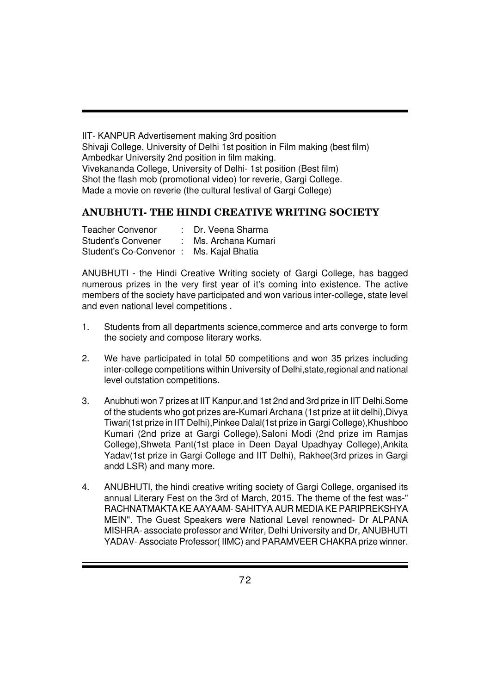IIT- KANPUR Advertisement making 3rd position Shivaji College, University of Delhi 1st position in Film making (best film) Ambedkar University 2nd position in film making. Vivekananda College, University of Delhi- 1st position (Best film) Shot the flash mob (promotional video) for reverie, Gargi College. Made a movie on reverie (the cultural festival of Gargi College)

## **ANUBHUTI- THE HINDI CREATIVE WRITING SOCIETY**

| Teacher Convenor                        | : Dr. Veena Sharma |
|-----------------------------------------|--------------------|
| Student's Convener                      | Ms. Archana Kumari |
| Student's Co-Convenor: Ms. Kajal Bhatia |                    |

ANUBHUTI - the Hindi Creative Writing society of Gargi College, has bagged numerous prizes in the very first year of it's coming into existence. The active members of the society have participated and won various inter-college, state level and even national level competitions .

- 1. Students from all departments science,commerce and arts converge to form the society and compose literary works.
- 2. We have participated in total 50 competitions and won 35 prizes including inter-college competitions within University of Delhi,state,regional and national level outstation competitions.
- 3. Anubhuti won 7 prizes at IIT Kanpur,and 1st 2nd and 3rd prize in IIT Delhi.Some of the students who got prizes are-Kumari Archana (1st prize at iit delhi),Divya Tiwari(1st prize in IIT Delhi),Pinkee Dalal(1st prize in Gargi College),Khushboo Kumari (2nd prize at Gargi College),Saloni Modi (2nd prize im Ramjas College),Shweta Pant(1st place in Deen Dayal Upadhyay College),Ankita Yadav(1st prize in Gargi College and IIT Delhi), Rakhee(3rd prizes in Gargi andd LSR) and many more.
- 4. ANUBHUTI, the hindi creative writing society of Gargi College, organised its annual Literary Fest on the 3rd of March, 2015. The theme of the fest was-" RACHNATMAKTA KE AAYAAM- SAHITYA AUR MEDIA KE PARIPREKSHYA MEIN". The Guest Speakers were National Level renowned- Dr ALPANA MISHRA- associate professor and Writer, Delhi University and Dr, ANUBHUTI YADAV- Associate Professor(IIMC) and PARAMVEER CHAKRA prize winner.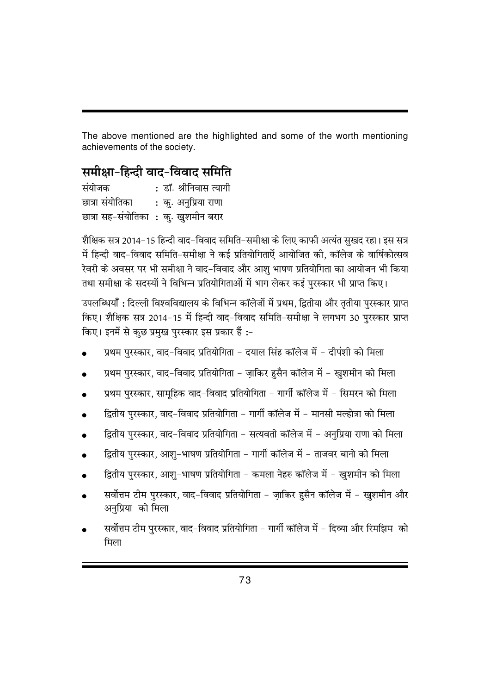The above mentioned are the highlighted and some of the worth mentioning achievements of the society.

# **समीक्षा-हिन्दी वाद-विवाद समिति**

| संयोजक          | : डॉ. श्रीनिवास त्यागी               |
|-----------------|--------------------------------------|
| छात्रा संयोतिका | : कु. अनुप्रिया राणा                 |
|                 | छात्रा सह-संयोतिका : कु. खुशमीन बरार |

शैक्षिक सत्र 2014-15 हिन्दी वाद-विवाद समिति-समीक्षा के लिए काफी अत्यंत सुखद रहा। इस सत्र में हिन्दी वाद-विवाद समिति-समीक्षा ने कई प्रतियोगिताऐं आयोजित की, कॉलेज के वार्षिकोत्सव रेवरी के अवसर पर भी समीक्षा ने वाद-विवाद और आशु भाषण प्रतियोगिता का आयोजन भी किया तथा समीक्षा के सदस्यों ने विभिन्न प्रतियोगिताओं में भाग लेकर कई पुरस्कार भी प्राप्त किए।

उपलब्धियाँ : दिल्ली विश्वविद्यालय के विभिन्न कॉलेजों में प्रथम, द्वितीया और तृतीया पुरस्कार प्राप्त fकए। शैक्षिक सत्र 2014-15 में हिन्दी वाद-विवाद समिति-समीक्षा ने लगभग 30 पुरस्कार प्राप्त किए। इनमें से कुछ प्रमुख पुरस्कार इस प्रकार हैं :-

- प्रथम पुरस्कार, वाद-विवाद प्रतियोगिता दयाल सिंह कॉलेज में दीपंशी को मिला
- प्रथम पुरस्कार, वाद-विवाद प्रतियोगिता ज़ाकिर हुसैन कॉलेज में खुशमीन को मिला
- प्रथम पुरस्कार, सामुहिक वाद-विवाद प्रतियोगिता गार्गी कॉलेज में सिमरन को मिला
- द्वितीय पुरस्कार, वाद-विवाद प्रतियोगिता गार्गी कॉलेज में मानसी मल्होत्रा को मिला
- हितीय पुरस्कार, वाद-विवाद प्रतियोगिता सत्यवती कॉलेज में अनुप्रिया राणा को मिला
- हितीय पुरस्कार, आशु–भाषण प्रतियोगिता गार्गी कॉलेज में ताजवर बानो को मिला
- द्वितीय पुरस्कार, आशु-भाषण प्रतियोगिता कमला नेहरु कॉलेज में खुशमीन को मिला
- सर्वोत्तम टीम पुरस्कार, वाद-विवाद प्रतियोगिता ज़ाकिर हुसैन कॉलेज में खुशमीन और अनप्रिया को मिला
- सर्वोत्तम टीम पुरस्कार, वाद-विवाद प्रतियोगिता गार्गी कॉलेज में दिव्या और रिमझिम को मिला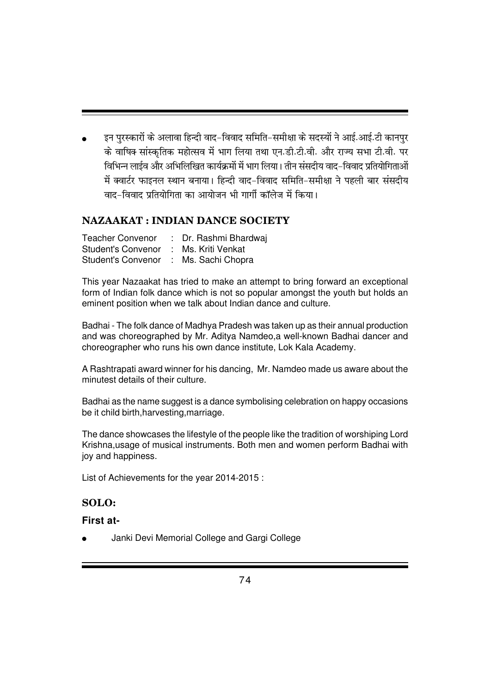इन पुरस्कारों के अलावा हिन्दी वाद-विवाद समिति-समीक्षा के सदस्यों ने आई.आई.टी कानपुर के वाषिक सांस्कतिक महोत्सव में भाग लिया तथा एन.डी.टी.वी. और राज्य सभा टी.वी. पर faभिन्न लाईव और अभिलिखित कार्यक्रमों में भाग लिया। तीन संसदीय वाद-विवाद प्रतियोगिताओं में क्वार्टर फाइनल स्थान बनाया। हिन्दी वाद-विवाद समिति-समीक्षा ने पहली बार संसदीय वाद-विवाद प्रतियोगिता का आयोजन भी गार्गी कॉलेज में किया।

### **NAZAAKAT : INDIAN DANCE SOCIETY**

| <b>Teacher Convenor</b>               | : Dr. Rashmi Bhardwaj |
|---------------------------------------|-----------------------|
| <b>Student's Convenor</b>             | : Ms. Kriti Venkat    |
| Student's Convenor : Ms. Sachi Chopra |                       |

This year Nazaakat has tried to make an attempt to bring forward an exceptional form of Indian folk dance which is not so popular amongst the youth but holds an eminent position when we talk about Indian dance and culture.

Badhai - The folk dance of Madhya Pradesh was taken up as their annual production and was choreographed by Mr. Aditya Namdeo,a well-known Badhai dancer and choreographer who runs his own dance institute, Lok Kala Academy.

A Rashtrapati award winner for his dancing, Mr. Namdeo made us aware about the minutest details of their culture.

Badhai as the name suggest is a dance symbolising celebration on happy occasions be it child birth,harvesting,marriage.

The dance showcases the lifestyle of the people like the tradition of worshiping Lord Krishna,usage of musical instruments. Both men and women perform Badhai with joy and happiness.

List of Achievements for the year 2014-2015 :

#### **SOLO:**

#### **First at-**

Janki Devi Memorial College and Gargi College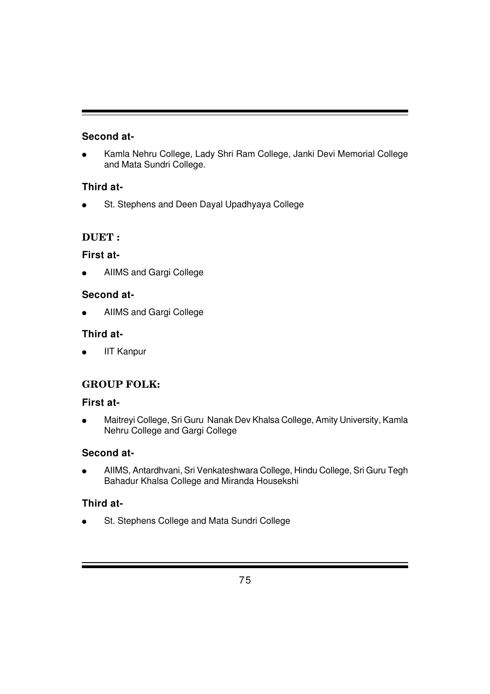## **Second at-**

Kamla Nehru College, Lady Shri Ram College, Janki Devi Memorial College and Mata Sundri College.

## **Third at-**

St. Stephens and Deen Dayal Upadhyaya College

# **DUET :**

## **First at-**

● AIIMS and Gargi College

## **Second at-**

AIIMS and Gargi College

## **Third at-**

**IIT Kanpur** 

# **GROUP FOLK:**

### **First at-**

● Maitreyi College, Sri Guru Nanak Dev Khalsa College, Amity University, Kamla Nehru College and Gargi College

### **Second at-**

● AIIMS, Antardhvani, Sri Venkateshwara College, Hindu College, Sri Guru Tegh Bahadur Khalsa College and Miranda Housekshi

# **Third at-**

St. Stephens College and Mata Sundri College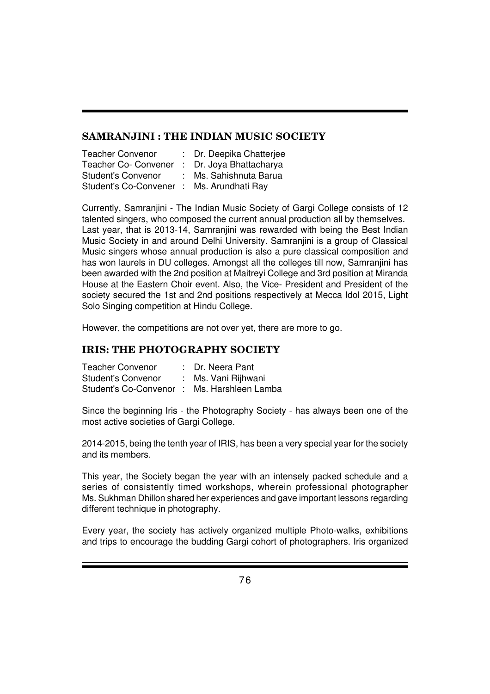#### **SAMRANJINI : THE INDIAN MUSIC SOCIETY**

| <b>Teacher Convenor</b>      | : Dr. Deepika Chatterjee |
|------------------------------|--------------------------|
| <b>Teacher Co- Convener</b>  | : Dr. Joya Bhattacharya  |
| <b>Student's Convenor</b>    | : Ms. Sahishnuta Barua   |
| <b>Student's Co-Convener</b> | : Ms. Arundhati Ray      |

Currently, Samranjini - The Indian Music Society of Gargi College consists of 12 talented singers, who composed the current annual production all by themselves. Last year, that is 2013-14, Samranjini was rewarded with being the Best Indian Music Society in and around Delhi University. Samranjini is a group of Classical Music singers whose annual production is also a pure classical composition and has won laurels in DU colleges. Amongst all the colleges till now, Samranjini has been awarded with the 2nd position at Maitreyi College and 3rd position at Miranda House at the Eastern Choir event. Also, the Vice- President and President of the society secured the 1st and 2nd positions respectively at Mecca Idol 2015, Light Solo Singing competition at Hindu College.

However, the competitions are not over yet, there are more to go.

#### **IRIS: THE PHOTOGRAPHY SOCIETY**

| <b>Teacher Convenor</b>                    | : Dr. Neera Pant    |
|--------------------------------------------|---------------------|
| <b>Student's Convenor</b>                  | : Ms. Vani Rijhwani |
| Student's Co-Convenor: Ms. Harshleen Lamba |                     |

Since the beginning Iris - the Photography Society - has always been one of the most active societies of Gargi College.

2014-2015, being the tenth year of IRIS, has been a very special year for the society and its members.

This year, the Society began the year with an intensely packed schedule and a series of consistently timed workshops, wherein professional photographer Ms. Sukhman Dhillon shared her experiences and gave important lessons regarding different technique in photography.

Every year, the society has actively organized multiple Photo-walks, exhibitions and trips to encourage the budding Gargi cohort of photographers. Iris organized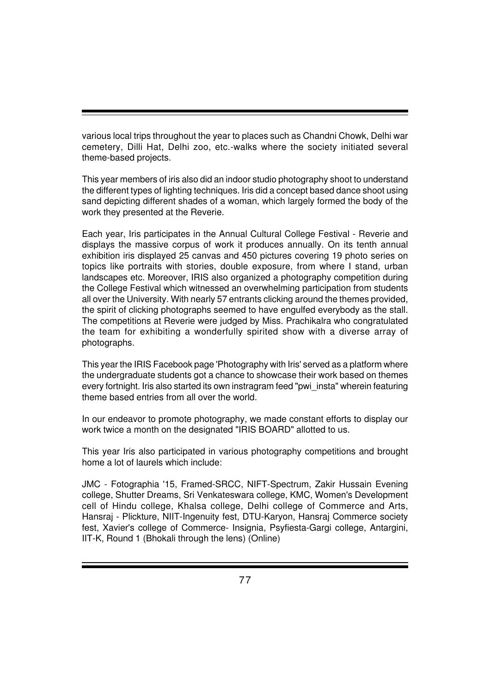various local trips throughout the year to places such as Chandni Chowk, Delhi war cemetery, Dilli Hat, Delhi zoo, etc.-walks where the society initiated several theme-based projects.

This year members of iris also did an indoor studio photography shoot to understand the different types of lighting techniques. Iris did a concept based dance shoot using sand depicting different shades of a woman, which largely formed the body of the work they presented at the Reverie.

Each year, Iris participates in the Annual Cultural College Festival - Reverie and displays the massive corpus of work it produces annually. On its tenth annual exhibition iris displayed 25 canvas and 450 pictures covering 19 photo series on topics like portraits with stories, double exposure, from where I stand, urban landscapes etc. Moreover, IRIS also organized a photography competition during the College Festival which witnessed an overwhelming participation from students all over the University. With nearly 57 entrants clicking around the themes provided, the spirit of clicking photographs seemed to have engulfed everybody as the stall. The competitions at Reverie were judged by Miss. Prachikalra who congratulated the team for exhibiting a wonderfully spirited show with a diverse array of photographs.

This year the IRIS Facebook page 'Photography with Iris' served as a platform where the undergraduate students got a chance to showcase their work based on themes every fortnight. Iris also started its own instragram feed "pwi\_insta" wherein featuring theme based entries from all over the world.

In our endeavor to promote photography, we made constant efforts to display our work twice a month on the designated "IRIS BOARD" allotted to us.

This year Iris also participated in various photography competitions and brought home a lot of laurels which include:

JMC - Fotographia '15, Framed-SRCC, NIFT-Spectrum, Zakir Hussain Evening college, Shutter Dreams, Sri Venkateswara college, KMC, Women's Development cell of Hindu college, Khalsa college, Delhi college of Commerce and Arts, Hansraj - Plickture, NIIT-Ingenuity fest, DTU-Karyon, Hansraj Commerce society fest, Xavier's college of Commerce- Insignia, Psyfiesta-Gargi college, Antargini, IIT-K, Round 1 (Bhokali through the lens) (Online)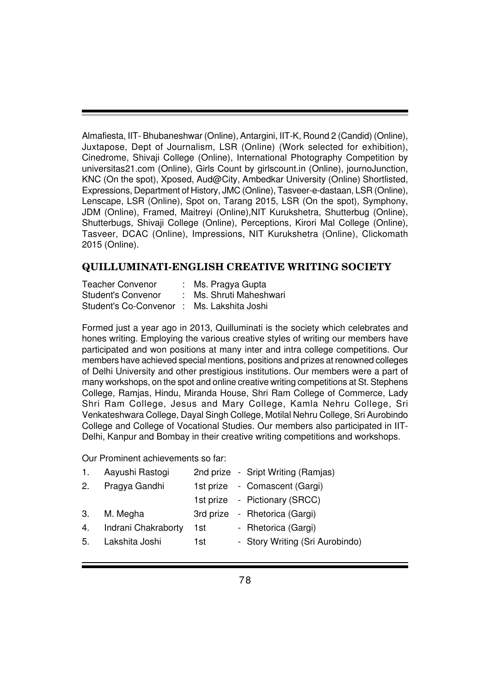Almafiesta, IIT- Bhubaneshwar (Online), Antargini, IIT-K, Round 2 (Candid) (Online), Juxtapose, Dept of Journalism, LSR (Online) (Work selected for exhibition), Cinedrome, Shivaji College (Online), International Photography Competition by universitas21.com (Online), Girls Count by girlscount.in (Online), journoJunction, KNC (On the spot), Xposed, Aud@City, Ambedkar University (Online) Shortlisted, Expressions, Department of History, JMC (Online), Tasveer-e-dastaan, LSR (Online), Lenscape, LSR (Online), Spot on, Tarang 2015, LSR (On the spot), Symphony, JDM (Online), Framed, Maitreyi (Online),NIT Kurukshetra, Shutterbug (Online), Shutterbugs, Shivaji College (Online), Perceptions, Kirori Mal College (Online), Tasveer, DCAC (Online), Impressions, NIT Kurukshetra (Online), Clickomath 2015 (Online).

#### **QUILLUMINATI-ENGLISH CREATIVE WRITING SOCIETY**

| <b>Teacher Convenor</b>                   | : Ms. Pragya Gupta      |
|-------------------------------------------|-------------------------|
| <b>Student's Convenor</b>                 | : Ms. Shruti Maheshwari |
| Student's Co-Convenor: Ms. Lakshita Joshi |                         |

Formed just a year ago in 2013, Quilluminati is the society which celebrates and hones writing. Employing the various creative styles of writing our members have participated and won positions at many inter and intra college competitions. Our members have achieved special mentions, positions and prizes at renowned colleges of Delhi University and other prestigious institutions. Our members were a part of many workshops, on the spot and online creative writing competitions at St. Stephens College, Ramjas, Hindu, Miranda House, Shri Ram College of Commerce, Lady Shri Ram College, Jesus and Mary College, Kamla Nehru College, Sri Venkateshwara College, Dayal Singh College, Motilal Nehru College, Sri Aurobindo College and College of Vocational Studies. Our members also participated in IIT-Delhi, Kanpur and Bombay in their creative writing competitions and workshops.

Our Prominent achievements so far:

| 1. | Aayushi Rastogi        |     | 2nd prize - Sript Writing (Ramjas) |
|----|------------------------|-----|------------------------------------|
|    | 2. Pragya Gandhi       |     | 1st prize - Comascent (Gargi)      |
|    |                        |     | 1st prize - Pictionary (SRCC)      |
|    | 3. M. Megha            |     | 3rd prize - Rhetorica (Gargi)      |
|    | 4. Indrani Chakraborty | 1st | - Rhetorica (Gargi)                |
|    | 5. Lakshita Joshi      | 1st | - Story Writing (Sri Aurobindo)    |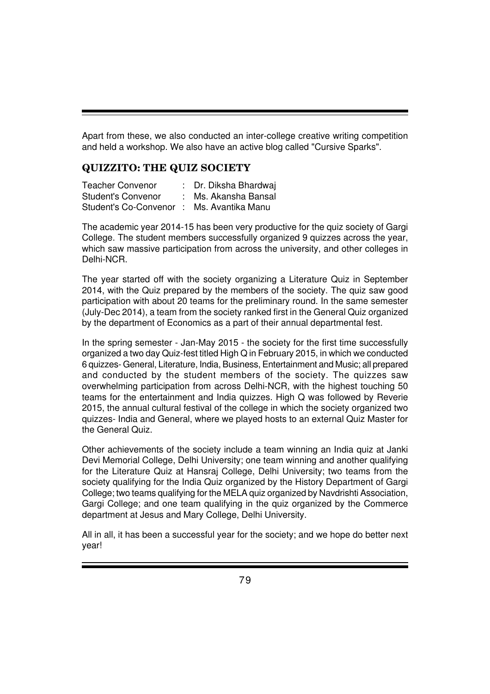Apart from these, we also conducted an inter-college creative writing competition and held a workshop. We also have an active blog called "Cursive Sparks".

### **QUIZZITO: THE QUIZ SOCIETY**

Teacher Convenor : Dr. Diksha Bhardwai Student's Convenor : Ms. Akansha Bansal Student's Co-Convenor : Ms. Avantika Manu

The academic year 2014-15 has been very productive for the quiz society of Gargi College. The student members successfully organized 9 quizzes across the year, which saw massive participation from across the university, and other colleges in Delhi-NCR.

The year started off with the society organizing a Literature Quiz in September 2014, with the Quiz prepared by the members of the society. The quiz saw good participation with about 20 teams for the preliminary round. In the same semester (July-Dec 2014), a team from the society ranked first in the General Quiz organized by the department of Economics as a part of their annual departmental fest.

In the spring semester - Jan-May 2015 - the society for the first time successfully organized a two day Quiz-fest titled High Q in February 2015, in which we conducted 6 quizzes- General, Literature, India, Business, Entertainment and Music; all prepared and conducted by the student members of the society. The quizzes saw overwhelming participation from across Delhi-NCR, with the highest touching 50 teams for the entertainment and India quizzes. High Q was followed by Reverie 2015, the annual cultural festival of the college in which the society organized two quizzes- India and General, where we played hosts to an external Quiz Master for the General Quiz.

Other achievements of the society include a team winning an India quiz at Janki Devi Memorial College, Delhi University; one team winning and another qualifying for the Literature Quiz at Hansraj College, Delhi University; two teams from the society qualifying for the India Quiz organized by the History Department of Gargi College; two teams qualifying for the MELA quiz organized by Navdrishti Association, Gargi College; and one team qualifying in the quiz organized by the Commerce department at Jesus and Mary College, Delhi University.

All in all, it has been a successful year for the society; and we hope do better next year!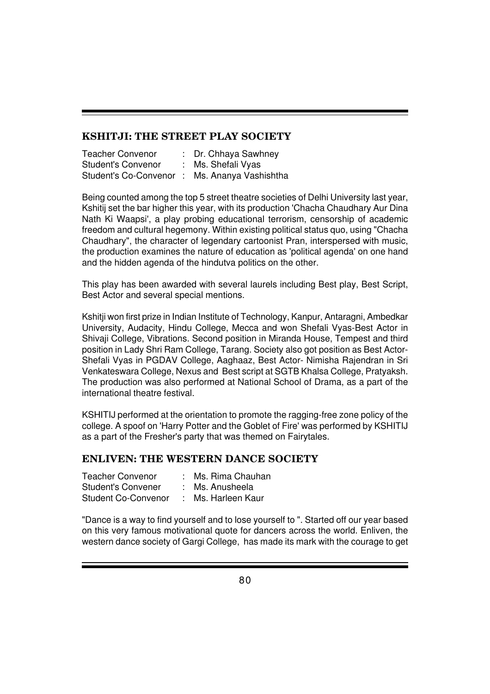#### **KSHITJI: THE STREET PLAY SOCIETY**

| <b>Teacher Convenor</b>   | : Dr. Chhaya Sawhney                         |
|---------------------------|----------------------------------------------|
| <b>Student's Convenor</b> | : Ms. Shefali Vyas                           |
|                           | Student's Co-Convenor: Ms. Ananya Vashishtha |

Being counted among the top 5 street theatre societies of Delhi University last year, Kshitij set the bar higher this year, with its production 'Chacha Chaudhary Aur Dina Nath Ki Waapsi', a play probing educational terrorism, censorship of academic freedom and cultural hegemony. Within existing political status quo, using "Chacha Chaudhary", the character of legendary cartoonist Pran, interspersed with music, the production examines the nature of education as 'political agenda' on one hand and the hidden agenda of the hindutva politics on the other.

This play has been awarded with several laurels including Best play, Best Script, Best Actor and several special mentions.

Kshitji won first prize in Indian Institute of Technology, Kanpur, Antaragni, Ambedkar University, Audacity, Hindu College, Mecca and won Shefali Vyas-Best Actor in Shivaji College, Vibrations. Second position in Miranda House, Tempest and third position in Lady Shri Ram College, Tarang. Society also got position as Best Actor-Shefali Vyas in PGDAV College, Aaghaaz, Best Actor- Nimisha Rajendran in Sri Venkateswara College, Nexus and Best script at SGTB Khalsa College, Pratyaksh. The production was also performed at National School of Drama, as a part of the international theatre festival.

KSHITIJ performed at the orientation to promote the ragging-free zone policy of the college. A spoof on 'Harry Potter and the Goblet of Fire' was performed by KSHITIJ as a part of the Fresher's party that was themed on Fairytales.

### **ENLIVEN: THE WESTERN DANCE SOCIETY**

| Teacher Convenor           | : Ms. Rima Chauhan |
|----------------------------|--------------------|
| Student's Convener         | Ms. Anusheela      |
| <b>Student Co-Convenor</b> | Ms. Harleen Kaur   |

"Dance is a way to find yourself and to lose yourself to ". Started off our year based on this very famous motivational quote for dancers across the world. Enliven, the western dance society of Gargi College, has made its mark with the courage to get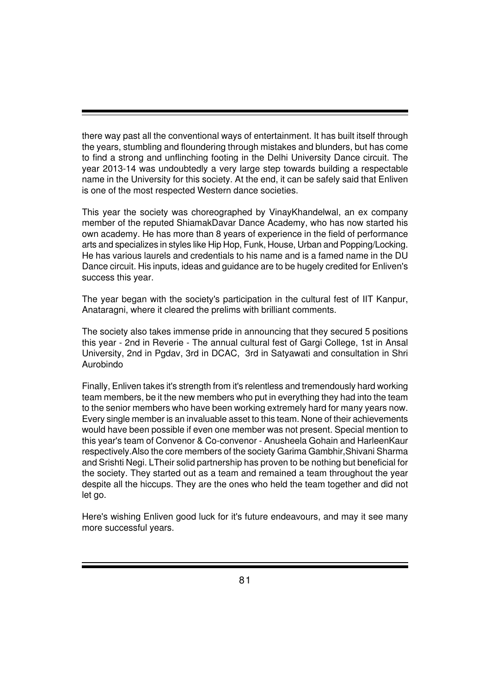there way past all the conventional ways of entertainment. It has built itself through the years, stumbling and floundering through mistakes and blunders, but has come to find a strong and unflinching footing in the Delhi University Dance circuit. The year 2013-14 was undoubtedly a very large step towards building a respectable name in the University for this society. At the end, it can be safely said that Enliven is one of the most respected Western dance societies.

This year the society was choreographed by VinayKhandelwal, an ex company member of the reputed ShiamakDavar Dance Academy, who has now started his own academy. He has more than 8 years of experience in the field of performance arts and specializes in styles like Hip Hop, Funk, House, Urban and Popping/Locking. He has various laurels and credentials to his name and is a famed name in the DU Dance circuit. His inputs, ideas and guidance are to be hugely credited for Enliven's success this year.

The year began with the society's participation in the cultural fest of IIT Kanpur, Anataragni, where it cleared the prelims with brilliant comments.

The society also takes immense pride in announcing that they secured 5 positions this year - 2nd in Reverie - The annual cultural fest of Gargi College, 1st in Ansal University, 2nd in Pgdav, 3rd in DCAC, 3rd in Satyawati and consultation in Shri Aurobindo

Finally, Enliven takes it's strength from it's relentless and tremendously hard working team members, be it the new members who put in everything they had into the team to the senior members who have been working extremely hard for many years now. Every single member is an invaluable asset to this team. None of their achievements would have been possible if even one member was not present. Special mention to this year's team of Convenor & Co-convenor - Anusheela Gohain and HarleenKaur respectively.Also the core members of the society Garima Gambhir,Shivani Sharma and Srishti Negi. LTheir solid partnership has proven to be nothing but beneficial for the society. They started out as a team and remained a team throughout the year despite all the hiccups. They are the ones who held the team together and did not let go.

Here's wishing Enliven good luck for it's future endeavours, and may it see many more successful years.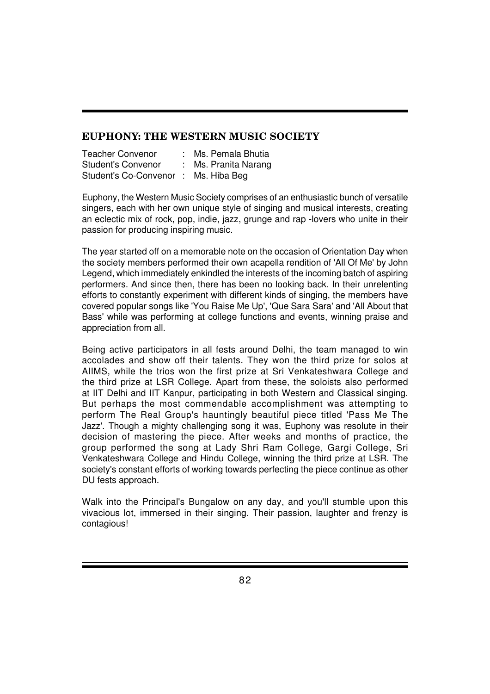#### **EUPHONY: THE WESTERN MUSIC SOCIETY**

| <b>Teacher Convenor</b>             | : Ms. Pemala Bhutia  |
|-------------------------------------|----------------------|
| <b>Student's Convenor</b>           | : Ms. Pranita Narang |
| Student's Co-Convenor: Ms. Hiba Beg |                      |

Euphony, the Western Music Society comprises of an enthusiastic bunch of versatile singers, each with her own unique style of singing and musical interests, creating an eclectic mix of rock, pop, indie, jazz, grunge and rap -lovers who unite in their passion for producing inspiring music.

The year started off on a memorable note on the occasion of Orientation Day when the society members performed their own acapella rendition of 'All Of Me' by John Legend, which immediately enkindled the interests of the incoming batch of aspiring performers. And since then, there has been no looking back. In their unrelenting efforts to constantly experiment with different kinds of singing, the members have covered popular songs like 'You Raise Me Up', 'Que Sara Sara' and 'All About that Bass' while was performing at college functions and events, winning praise and appreciation from all.

Being active participators in all fests around Delhi, the team managed to win accolades and show off their talents. They won the third prize for solos at AIIMS, while the trios won the first prize at Sri Venkateshwara College and the third prize at LSR College. Apart from these, the soloists also performed at IIT Delhi and IIT Kanpur, participating in both Western and Classical singing. But perhaps the most commendable accomplishment was attempting to perform The Real Group's hauntingly beautiful piece titled 'Pass Me The Jazz'. Though a mighty challenging song it was, Euphony was resolute in their decision of mastering the piece. After weeks and months of practice, the group performed the song at Lady Shri Ram College, Gargi College, Sri Venkateshwara College and Hindu College, winning the third prize at LSR. The society's constant efforts of working towards perfecting the piece continue as other DU fests approach.

Walk into the Principal's Bungalow on any day, and you'll stumble upon this vivacious lot, immersed in their singing. Their passion, laughter and frenzy is contagious!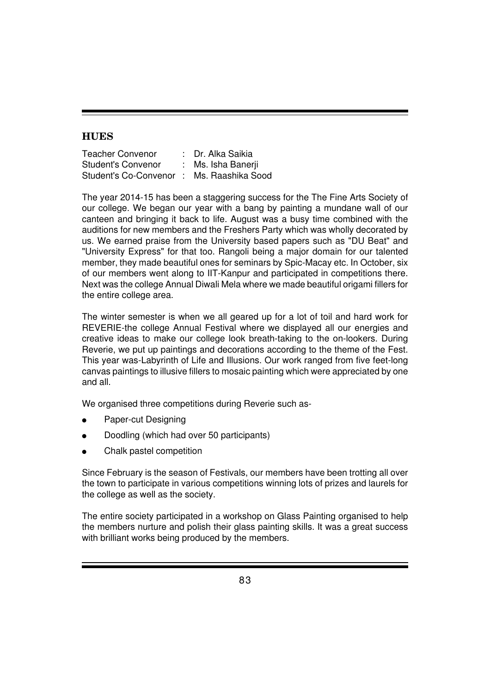## **HUES**

| <b>Teacher Convenor</b>                  | : Dr. Alka Saikia  |
|------------------------------------------|--------------------|
| <b>Student's Convenor</b>                | : Ms. Isha Banerji |
| Student's Co-Convenor: Ms. Raashika Sood |                    |

The year 2014-15 has been a staggering success for the The Fine Arts Society of our college. We began our year with a bang by painting a mundane wall of our canteen and bringing it back to life. August was a busy time combined with the auditions for new members and the Freshers Party which was wholly decorated by us. We earned praise from the University based papers such as "DU Beat" and "University Express" for that too. Rangoli being a major domain for our talented member, they made beautiful ones for seminars by Spic-Macay etc. In October, six of our members went along to IIT-Kanpur and participated in competitions there. Next was the college Annual Diwali Mela where we made beautiful origami fillers for the entire college area.

The winter semester is when we all geared up for a lot of toil and hard work for REVERIE-the college Annual Festival where we displayed all our energies and creative ideas to make our college look breath-taking to the on-lookers. During Reverie, we put up paintings and decorations according to the theme of the Fest. This year was-Labyrinth of Life and Illusions. Our work ranged from five feet-long canvas paintings to illusive fillers to mosaic painting which were appreciated by one and all.

We organised three competitions during Reverie such as-

- Paper-cut Designing
- Doodling (which had over 50 participants)
- Chalk pastel competition

Since February is the season of Festivals, our members have been trotting all over the town to participate in various competitions winning lots of prizes and laurels for the college as well as the society.

The entire society participated in a workshop on Glass Painting organised to help the members nurture and polish their glass painting skills. It was a great success with brilliant works being produced by the members.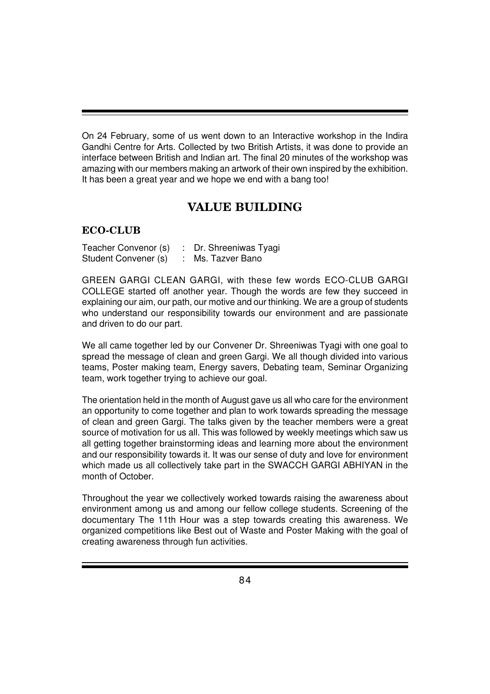On 24 February, some of us went down to an Interactive workshop in the Indira Gandhi Centre for Arts. Collected by two British Artists, it was done to provide an interface between British and Indian art. The final 20 minutes of the workshop was amazing with our members making an artwork of their own inspired by the exhibition. It has been a great year and we hope we end with a bang too!

# **VALUE BUILDING**

### **ECO-CLUB**

| Teacher Convenor (s) | Dr. Shreeniwas Tyagi |
|----------------------|----------------------|
| Student Convener (s) | Ms. Tazver Bano      |

GREEN GARGI CLEAN GARGI, with these few words ECO-CLUB GARGI COLLEGE started off another year. Though the words are few they succeed in explaining our aim, our path, our motive and our thinking. We are a group of students who understand our responsibility towards our environment and are passionate and driven to do our part.

We all came together led by our Convener Dr. Shreeniwas Tyagi with one goal to spread the message of clean and green Gargi. We all though divided into various teams, Poster making team, Energy savers, Debating team, Seminar Organizing team, work together trying to achieve our goal.

The orientation held in the month of August gave us all who care for the environment an opportunity to come together and plan to work towards spreading the message of clean and green Gargi. The talks given by the teacher members were a great source of motivation for us all. This was followed by weekly meetings which saw us all getting together brainstorming ideas and learning more about the environment and our responsibility towards it. It was our sense of duty and love for environment which made us all collectively take part in the SWACCH GARGI ABHIYAN in the month of October.

Throughout the year we collectively worked towards raising the awareness about environment among us and among our fellow college students. Screening of the documentary The 11th Hour was a step towards creating this awareness. We organized competitions like Best out of Waste and Poster Making with the goal of creating awareness through fun activities.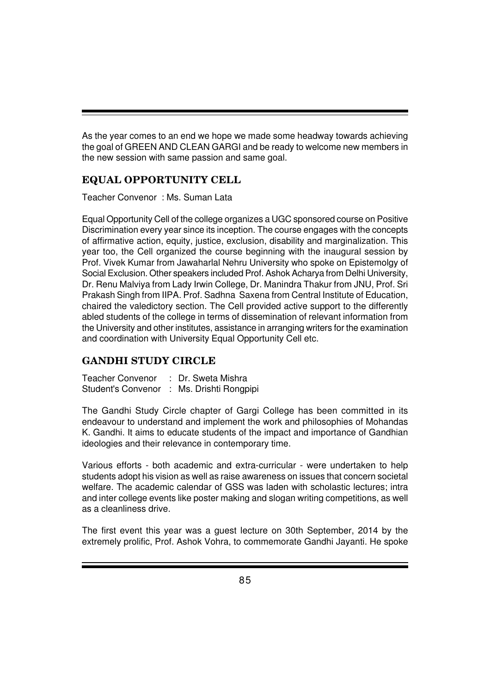As the year comes to an end we hope we made some headway towards achieving the goal of GREEN AND CLEAN GARGI and be ready to welcome new members in the new session with same passion and same goal.

### **EQUAL OPPORTUNITY CELL**

Teacher Convenor : Ms. Suman Lata

Equal Opportunity Cell of the college organizes a UGC sponsored course on Positive Discrimination every year since its inception. The course engages with the concepts of affirmative action, equity, justice, exclusion, disability and marginalization. This year too, the Cell organized the course beginning with the inaugural session by Prof. Vivek Kumar from Jawaharlal Nehru University who spoke on Epistemolgy of Social Exclusion. Other speakers included Prof. Ashok Acharya from Delhi University, Dr. Renu Malviya from Lady Irwin College, Dr. Manindra Thakur from JNU, Prof. Sri Prakash Singh from IIPA. Prof. Sadhna Saxena from Central Institute of Education, chaired the valedictory section. The Cell provided active support to the differently abled students of the college in terms of dissemination of relevant information from the University and other institutes, assistance in arranging writers for the examination and coordination with University Equal Opportunity Cell etc.

### **GANDHI STUDY CIRCLE**

| Teacher Convenor | : Dr. Sweta Mishra                        |
|------------------|-------------------------------------------|
|                  | Student's Convenor : Ms. Drishti Rongpipi |

The Gandhi Study Circle chapter of Gargi College has been committed in its endeavour to understand and implement the work and philosophies of Mohandas K. Gandhi. It aims to educate students of the impact and importance of Gandhian ideologies and their relevance in contemporary time.

Various efforts - both academic and extra-curricular - were undertaken to help students adopt his vision as well as raise awareness on issues that concern societal welfare. The academic calendar of GSS was laden with scholastic lectures; intra and inter college events like poster making and slogan writing competitions, as well as a cleanliness drive.

The first event this year was a guest lecture on 30th September, 2014 by the extremely prolific, Prof. Ashok Vohra, to commemorate Gandhi Jayanti. He spoke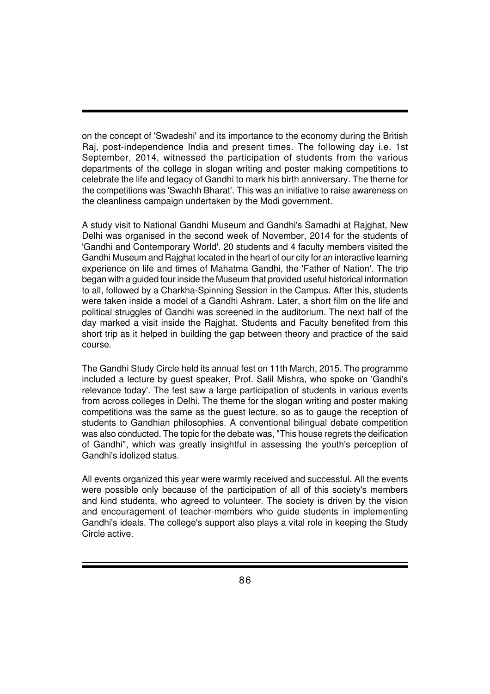on the concept of 'Swadeshi' and its importance to the economy during the British Raj, post-independence India and present times. The following day i.e. 1st September, 2014, witnessed the participation of students from the various departments of the college in slogan writing and poster making competitions to celebrate the life and legacy of Gandhi to mark his birth anniversary. The theme for the competitions was 'Swachh Bharat'. This was an initiative to raise awareness on the cleanliness campaign undertaken by the Modi government.

A study visit to National Gandhi Museum and Gandhi's Samadhi at Rajghat, New Delhi was organised in the second week of November, 2014 for the students of 'Gandhi and Contemporary World'. 20 students and 4 faculty members visited the Gandhi Museum and Rajghat located in the heart of our city for an interactive learning experience on life and times of Mahatma Gandhi, the 'Father of Nation'. The trip began with a guided tour inside the Museum that provided useful historical information to all, followed by a Charkha-Spinning Session in the Campus. After this, students were taken inside a model of a Gandhi Ashram. Later, a short film on the life and political struggles of Gandhi was screened in the auditorium. The next half of the day marked a visit inside the Rajghat. Students and Faculty benefited from this short trip as it helped in building the gap between theory and practice of the said course.

The Gandhi Study Circle held its annual fest on 11th March, 2015. The programme included a lecture by guest speaker, Prof. Salil Mishra, who spoke on 'Gandhi's relevance today'. The fest saw a large participation of students in various events from across colleges in Delhi. The theme for the slogan writing and poster making competitions was the same as the guest lecture, so as to gauge the reception of students to Gandhian philosophies. A conventional bilingual debate competition was also conducted. The topic for the debate was, "This house regrets the deification of Gandhi", which was greatly insightful in assessing the youth's perception of Gandhi's idolized status.

All events organized this year were warmly received and successful. All the events were possible only because of the participation of all of this society's members and kind students, who agreed to volunteer. The society is driven by the vision and encouragement of teacher-members who guide students in implementing Gandhi's ideals. The college's support also plays a vital role in keeping the Study Circle active.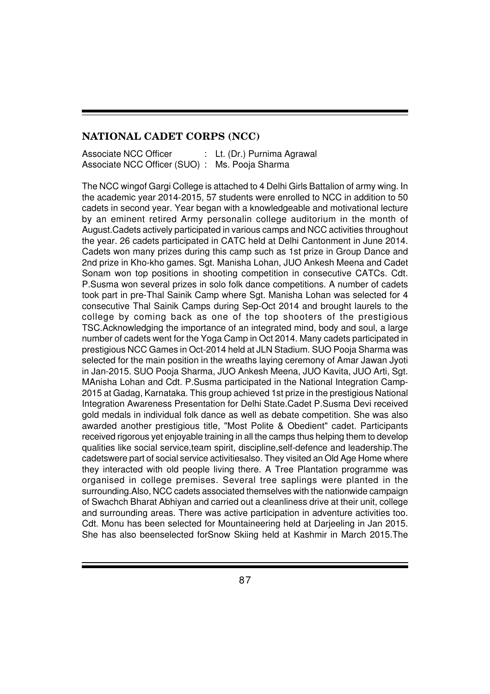#### **NATIONAL CADET CORPS (NCC)**

| Associate NCC Officer                          | Lt. (Dr.) Purnima Agrawal |
|------------------------------------------------|---------------------------|
| Associate NCC Officer (SUO) : Ms. Pooja Sharma |                           |

The NCC wingof Gargi College is attached to 4 Delhi Girls Battalion of army wing. In the academic year 2014-2015, 57 students were enrolled to NCC in addition to 50 cadets in second year. Year began with a knowledgeable and motivational lecture by an eminent retired Army personalin college auditorium in the month of August.Cadets actively participated in various camps and NCC activities throughout the year. 26 cadets participated in CATC held at Delhi Cantonment in June 2014. Cadets won many prizes during this camp such as 1st prize in Group Dance and 2nd prize in Kho-kho games. Sgt. Manisha Lohan, JUO Ankesh Meena and Cadet Sonam won top positions in shooting competition in consecutive CATCs. Cdt. P.Susma won several prizes in solo folk dance competitions. A number of cadets took part in pre-Thal Sainik Camp where Sgt. Manisha Lohan was selected for 4 consecutive Thal Sainik Camps during Sep-Oct 2014 and brought laurels to the college by coming back as one of the top shooters of the prestigious TSC.Acknowledging the importance of an integrated mind, body and soul, a large number of cadets went for the Yoga Camp in Oct 2014. Many cadets participated in prestigious NCC Games in Oct-2014 held at JLN Stadium. SUO Pooja Sharma was selected for the main position in the wreaths laying ceremony of Amar Jawan Jyoti in Jan-2015. SUO Pooja Sharma, JUO Ankesh Meena, JUO Kavita, JUO Arti, Sgt. MAnisha Lohan and Cdt. P.Susma participated in the National Integration Camp-2015 at Gadag, Karnataka. This group achieved 1st prize in the prestigious National Integration Awareness Presentation for Delhi State.Cadet P.Susma Devi received gold medals in individual folk dance as well as debate competition. She was also awarded another prestigious title, "Most Polite & Obedient" cadet. Participants received rigorous yet enjoyable training in all the camps thus helping them to develop qualities like social service,team spirit, discipline,self-defence and leadership.The cadetswere part of social service activitiesalso. They visited an Old Age Home where they interacted with old people living there. A Tree Plantation programme was organised in college premises. Several tree saplings were planted in the surrounding.Also, NCC cadets associated themselves with the nationwide campaign of Swachch Bharat Abhiyan and carried out a cleanliness drive at their unit, college and surrounding areas. There was active participation in adventure activities too. Cdt. Monu has been selected for Mountaineering held at Darjeeling in Jan 2015. She has also beenselected forSnow Skiing held at Kashmir in March 2015.The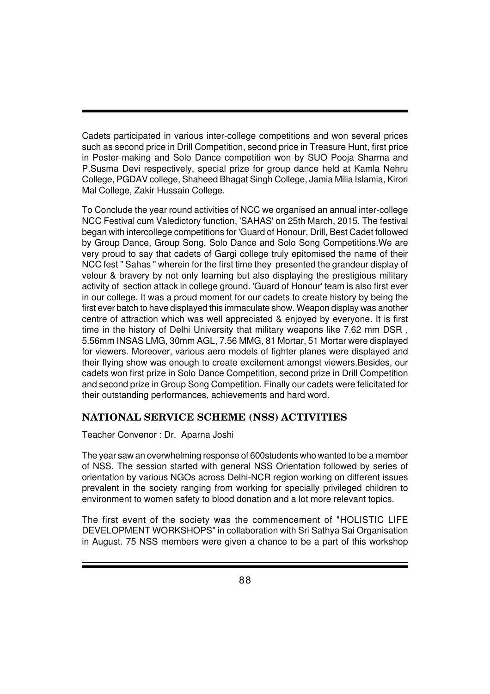Cadets participated in various inter-college competitions and won several prices such as second price in Drill Competition, second price in Treasure Hunt, first price in Poster-making and Solo Dance competition won by SUO Pooja Sharma and P.Susma Devi respectively, special prize for group dance held at Kamla Nehru College, PGDAV college, Shaheed Bhagat Singh College, Jamia Milia Islamia, Kirori Mal College, Zakir Hussain College.

To Conclude the year round activities of NCC we organised an annual inter-college NCC Festival cum Valedictory function, 'SAHAS' on 25th March, 2015. The festival began with intercollege competitions for 'Guard of Honour, Drill, Best Cadet followed by Group Dance, Group Song, Solo Dance and Solo Song Competitions.We are very proud to say that cadets of Gargi college truly epitomised the name of their NCC fest " Sahas " wherein for the first time they presented the grandeur display of velour & bravery by not only learning but also displaying the prestigious military activity of section attack in college ground. 'Guard of Honour' team is also first ever in our college. It was a proud moment for our cadets to create history by being the first ever batch to have displayed this immaculate show. Weapon display was another centre of attraction which was well appreciated & enjoyed by everyone. It is first time in the history of Delhi University that military weapons like 7.62 mm DSR , 5.56mm INSAS LMG, 30mm AGL, 7.56 MMG, 81 Mortar, 51 Mortar were displayed for viewers. Moreover, various aero models of fighter planes were displayed and their flying show was enough to create excitement amongst viewers.Besides, our cadets won first prize in Solo Dance Competition, second prize in Drill Competition and second prize in Group Song Competition. Finally our cadets were felicitated for their outstanding performances, achievements and hard word.

# **NATIONAL SERVICE SCHEME (NSS) ACTIVITIES**

#### Teacher Convenor : Dr. Aparna Joshi

The year saw an overwhelming response of 600students who wanted to be a member of NSS. The session started with general NSS Orientation followed by series of orientation by various NGOs across Delhi-NCR region working on different issues prevalent in the society ranging from working for specially privileged children to environment to women safety to blood donation and a lot more relevant topics.

The first event of the society was the commencement of "HOLISTIC LIFE DEVELOPMENT WORKSHOPS" in collaboration with Sri Sathya Sai Organisation in August. 75 NSS members were given a chance to be a part of this workshop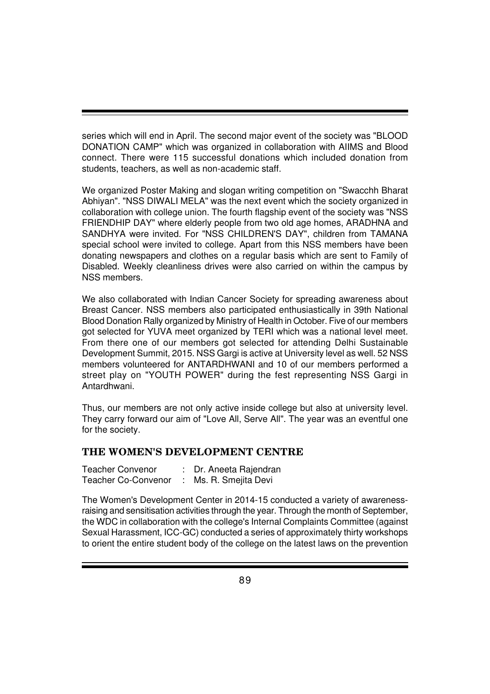series which will end in April. The second major event of the society was "BLOOD DONATION CAMP" which was organized in collaboration with AIIMS and Blood connect. There were 115 successful donations which included donation from students, teachers, as well as non-academic staff.

We organized Poster Making and slogan writing competition on "Swacchh Bharat Abhiyan". "NSS DIWALI MELA" was the next event which the society organized in collaboration with college union. The fourth flagship event of the society was "NSS FRIENDHIP DAY" where elderly people from two old age homes, ARADHNA and SANDHYA were invited. For "NSS CHILDREN'S DAY", children from TAMANA special school were invited to college. Apart from this NSS members have been donating newspapers and clothes on a regular basis which are sent to Family of Disabled. Weekly cleanliness drives were also carried on within the campus by NSS members.

We also collaborated with Indian Cancer Society for spreading awareness about Breast Cancer. NSS members also participated enthusiastically in 39th National Blood Donation Rally organized by Ministry of Health in October. Five of our members got selected for YUVA meet organized by TERI which was a national level meet. From there one of our members got selected for attending Delhi Sustainable Development Summit, 2015. NSS Gargi is active at University level as well. 52 NSS members volunteered for ANTARDHWANI and 10 of our members performed a street play on "YOUTH POWER" during the fest representing NSS Gargi in Antardhwani.

Thus, our members are not only active inside college but also at university level. They carry forward our aim of "Love All, Serve All". The year was an eventful one for the society.

#### **THE WOMEN'S DEVELOPMENT CENTRE**

| <b>Teacher Convenor</b>    | : Dr. Aneeta Rajendran |
|----------------------------|------------------------|
| <b>Teacher Co-Convenor</b> | Ms. R. Smejita Devi    |

The Women's Development Center in 2014-15 conducted a variety of awarenessraising and sensitisation activities through the year. Through the month of September, the WDC in collaboration with the college's Internal Complaints Committee (against Sexual Harassment, ICC-GC) conducted a series of approximately thirty workshops to orient the entire student body of the college on the latest laws on the prevention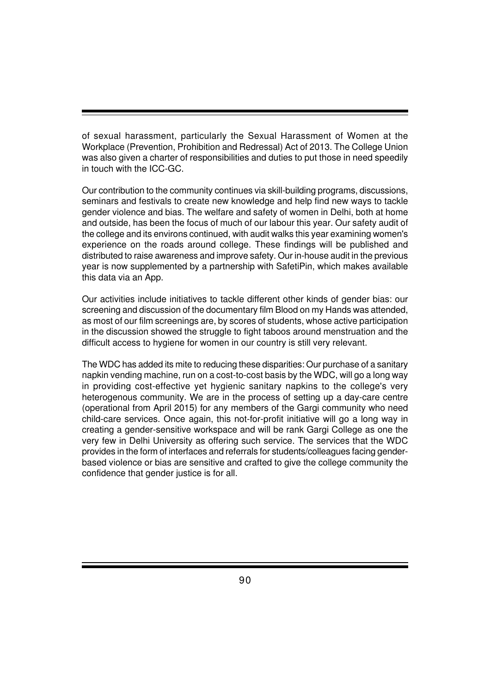of sexual harassment, particularly the Sexual Harassment of Women at the Workplace (Prevention, Prohibition and Redressal) Act of 2013. The College Union was also given a charter of responsibilities and duties to put those in need speedily in touch with the ICC-GC.

Our contribution to the community continues via skill-building programs, discussions, seminars and festivals to create new knowledge and help find new ways to tackle gender violence and bias. The welfare and safety of women in Delhi, both at home and outside, has been the focus of much of our labour this year. Our safety audit of the college and its environs continued, with audit walks this year examining women's experience on the roads around college. These findings will be published and distributed to raise awareness and improve safety. Our in-house audit in the previous year is now supplemented by a partnership with SafetiPin, which makes available this data via an App.

Our activities include initiatives to tackle different other kinds of gender bias: our screening and discussion of the documentary film Blood on my Hands was attended, as most of our film screenings are, by scores of students, whose active participation in the discussion showed the struggle to fight taboos around menstruation and the difficult access to hygiene for women in our country is still very relevant.

The WDC has added its mite to reducing these disparities: Our purchase of a sanitary napkin vending machine, run on a cost-to-cost basis by the WDC, will go a long way in providing cost-effective yet hygienic sanitary napkins to the college's very heterogenous community. We are in the process of setting up a day-care centre (operational from April 2015) for any members of the Gargi community who need child-care services. Once again, this not-for-profit initiative will go a long way in creating a gender-sensitive workspace and will be rank Gargi College as one the very few in Delhi University as offering such service. The services that the WDC provides in the form of interfaces and referrals for students/colleagues facing genderbased violence or bias are sensitive and crafted to give the college community the confidence that gender justice is for all.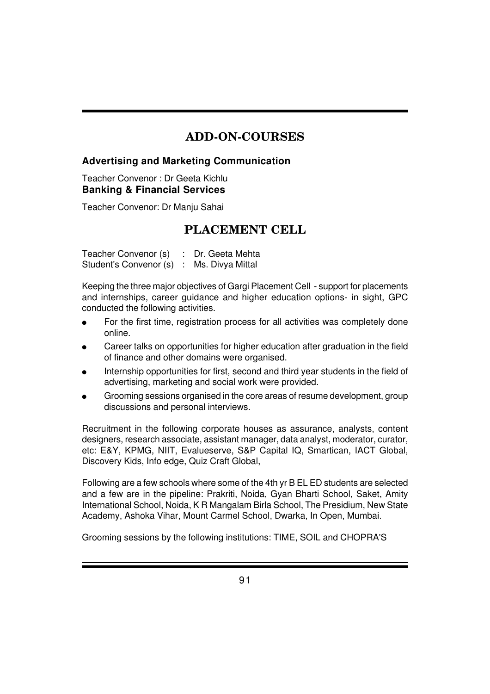# **ADD-ON-COURSES**

#### **Advertising and Marketing Communication**

Teacher Convenor : Dr Geeta Kichlu **Banking & Financial Services**

Teacher Convenor: Dr Manju Sahai

# **PLACEMENT CELL**

Teacher Convenor (s) : Dr. Geeta Mehta Student's Convenor (s) : Ms. Divya Mittal

Keeping the three major objectives of Gargi Placement Cell - support for placements and internships, career guidance and higher education options- in sight, GPC conducted the following activities.

- For the first time, registration process for all activities was completely done online.
- Career talks on opportunities for higher education after graduation in the field of finance and other domains were organised.
- Internship opportunities for first, second and third year students in the field of advertising, marketing and social work were provided.
- Grooming sessions organised in the core areas of resume development, group discussions and personal interviews.

Recruitment in the following corporate houses as assurance, analysts, content designers, research associate, assistant manager, data analyst, moderator, curator, etc: E&Y, KPMG, NIIT, Evalueserve, S&P Capital IQ, Smartican, IACT Global, Discovery Kids, Info edge, Quiz Craft Global,

Following are a few schools where some of the 4th yr B EL ED students are selected and a few are in the pipeline: Prakriti, Noida, Gyan Bharti School, Saket, Amity International School, Noida, K R Mangalam Birla School, The Presidium, New State Academy, Ashoka Vihar, Mount Carmel School, Dwarka, In Open, Mumbai.

Grooming sessions by the following institutions: TIME, SOIL and CHOPRA'S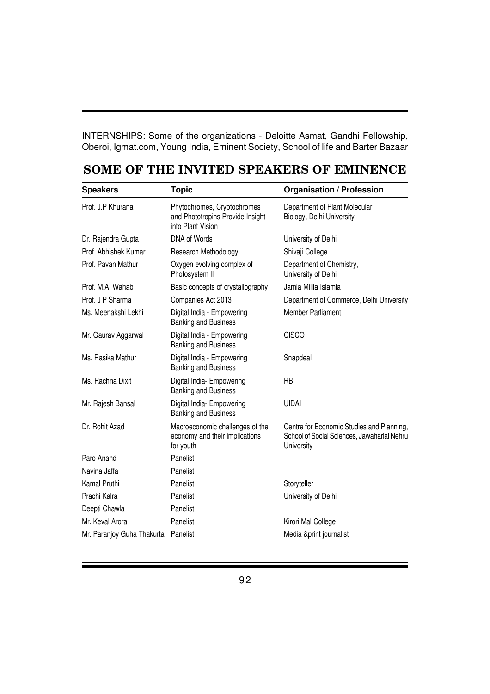INTERNSHIPS: Some of the organizations - Deloitte Asmat, Gandhi Fellowship, Oberoi, Igmat.com, Young India, Eminent Society, School of life and Barter Bazaar

| <b>Speakers</b>                                                                                  | <b>Topic</b>                                                                         | <b>Organisation / Profession</b>                                                                       |
|--------------------------------------------------------------------------------------------------|--------------------------------------------------------------------------------------|--------------------------------------------------------------------------------------------------------|
| Prof. J.P Khurana                                                                                | Phytochromes, Cryptochromes<br>and Phototropins Provide Insight<br>into Plant Vision | Department of Plant Molecular<br>Biology, Delhi University                                             |
| Dr. Rajendra Gupta                                                                               | DNA of Words                                                                         | University of Delhi                                                                                    |
| Prof. Abhishek Kumar                                                                             | Research Methodology                                                                 | Shivaji College                                                                                        |
| Prof. Pavan Mathur                                                                               | Oxygen evolving complex of<br>Photosystem II                                         | Department of Chemistry,<br>University of Delhi                                                        |
| Prof. M.A. Wahab                                                                                 | Basic concepts of crystallography                                                    | Jamia Millia Islamia                                                                                   |
| Prof. J P Sharma                                                                                 | Companies Act 2013                                                                   | Department of Commerce, Delhi University                                                               |
| Ms. Meenakshi Lekhi                                                                              | Digital India - Empowering<br><b>Banking and Business</b>                            | <b>Member Parliament</b>                                                                               |
| Mr. Gaurav Aggarwal                                                                              | Digital India - Empowering<br><b>Banking and Business</b>                            | <b>CISCO</b>                                                                                           |
| Ms. Rasika Mathur                                                                                | Digital India - Empowering<br>Banking and Business                                   | Snapdeal                                                                                               |
| Ms. Rachna Dixit                                                                                 | Digital India- Empowering<br><b>Banking and Business</b>                             | <b>RBI</b>                                                                                             |
| Mr. Rajesh Bansal                                                                                | Digital India- Empowering<br><b>Banking and Business</b>                             | <b>UIDAI</b>                                                                                           |
| Dr. Rohit Azad<br>Macroeconomic challenges of the<br>economy and their implications<br>for youth |                                                                                      | Centre for Economic Studies and Planning,<br>School of Social Sciences, Jawaharlal Nehru<br>University |
| Paro Anand                                                                                       | Panelist                                                                             |                                                                                                        |
| Navina Jaffa                                                                                     | Panelist                                                                             |                                                                                                        |
| Kamal Pruthi                                                                                     | Panelist                                                                             | Storyteller                                                                                            |
| Prachi Kalra                                                                                     | Panelist                                                                             | University of Delhi                                                                                    |
| Deepti Chawla                                                                                    | Panelist                                                                             |                                                                                                        |
| Mr. Keval Arora                                                                                  | Panelist                                                                             | Kirori Mal College                                                                                     |
| Mr. Paranjoy Guha Thakurta                                                                       | Panelist                                                                             | Media &print journalist                                                                                |

## **SOME OF THE INVITED SPEAKERS OF EMINENCE**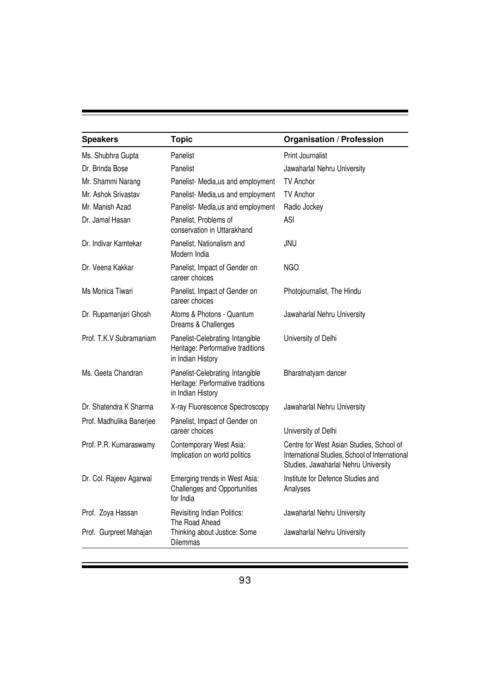| <b>Speakers</b>          | <b>Topic</b>                                                                              | <b>Organisation / Profession</b>                                                                                                   |
|--------------------------|-------------------------------------------------------------------------------------------|------------------------------------------------------------------------------------------------------------------------------------|
| Ms. Shubhra Gupta        | Panelist                                                                                  | <b>Print Journalist</b>                                                                                                            |
| Dr. Brinda Bose          | Panelist                                                                                  | Jawaharlal Nehru University                                                                                                        |
| Mr. Shammi Narang        | Panelist- Media, us and employment                                                        | <b>TV Anchor</b>                                                                                                                   |
| Mr. Ashok Srivastav      | Panelist- Media, us and employment                                                        | <b>TV Anchor</b>                                                                                                                   |
| Mr. Manish Azad          | Panelist- Media, us and employment                                                        | Radio Jockey                                                                                                                       |
| Dr. Jamal Hasan          | Panelist, Problems of<br>conservation in Uttarakhand                                      | ASI                                                                                                                                |
| Dr. Indivar Kamtekar     | Panelist, Nationalism and<br>Modern India                                                 | JNU                                                                                                                                |
| Dr. Veena Kakkar         | Panelist, Impact of Gender on<br>career choices                                           | <b>NGO</b>                                                                                                                         |
| Ms Monica Tiwari         | Panelist, Impact of Gender on<br>career choices                                           | Photojournalist, The Hindu                                                                                                         |
| Dr. Rupamanjari Ghosh    | Atoms & Photons - Quantum<br>Dreams & Challenges                                          | Jawaharlal Nehru University                                                                                                        |
| Prof. T.K.V Subramaniam  | Panelist-Celebrating Intangible<br>Heritage: Performative traditions<br>in Indian History | University of Delhi                                                                                                                |
| Ms. Geeta Chandran       | Panelist-Celebrating Intangible<br>Heritage: Performative traditions<br>in Indian History | Bharatnatyam dancer                                                                                                                |
| Dr. Shatendra K Sharma   | X-ray Fluorescence Spectroscopy                                                           | Jawaharlal Nehru University                                                                                                        |
| Prof. Madhulika Banerjee | Panelist, Impact of Gender on<br>career choices                                           | University of Delhi                                                                                                                |
| Prof. P.R. Kumaraswamy   | Contemporary West Asia:<br>Implication on world politics                                  | Centre for West Asian Studies, School of<br>International Studies, School of International<br>Studies, Jawaharlal Nehru University |
| Dr. Col. Rajeev Agarwal  | Emerging trends in West Asia:<br>Challenges and Opportunities<br>for India                | Institute for Defence Studies and<br>Analyses                                                                                      |
| Prof. Zoya Hassan        | Revisiting Indian Politics:<br>The Road Ahead                                             | Jawaharlal Nehru University                                                                                                        |
| Prof. Gurpreet Mahajan   | Thinking about Justice: Some<br>Dilemmas                                                  | Jawaharlal Nehru University                                                                                                        |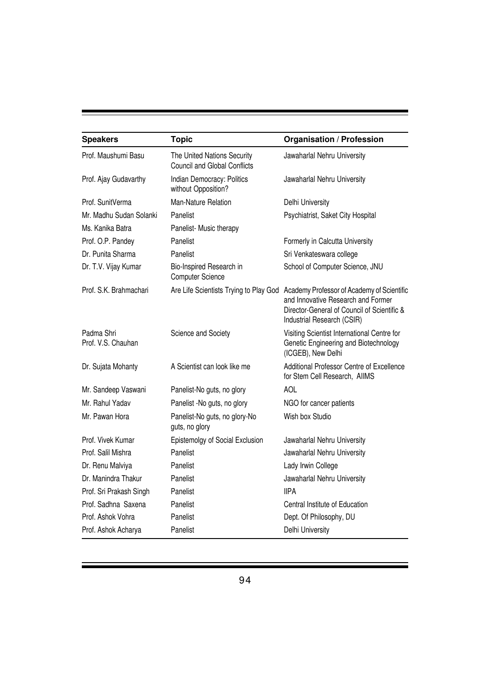| <b>Speakers</b>                  | <b>Topic</b>                                                       | <b>Organisation / Profession</b>                                                                                                                              |
|----------------------------------|--------------------------------------------------------------------|---------------------------------------------------------------------------------------------------------------------------------------------------------------|
| Prof. Maushumi Basu              | The United Nations Security<br><b>Council and Global Conflicts</b> | Jawaharlal Nehru University                                                                                                                                   |
| Prof. Ajay Gudavarthy            | Indian Democracy: Politics<br>without Opposition?                  | Jawaharlal Nehru University                                                                                                                                   |
| Prof. SunitVerma                 | Man-Nature Relation                                                | Delhi University                                                                                                                                              |
| Mr. Madhu Sudan Solanki          | Panelist                                                           | Psychiatrist, Saket City Hospital                                                                                                                             |
| Ms. Kanika Batra                 | Panelist- Music therapy                                            |                                                                                                                                                               |
| Prof. O.P. Pandey                | Panelist                                                           | Formerly in Calcutta University                                                                                                                               |
| Dr. Punita Sharma                | Panelist                                                           | Sri Venkateswara college                                                                                                                                      |
| Dr. T.V. Vijay Kumar             | Bio-Inspired Research in<br><b>Computer Science</b>                | School of Computer Science, JNU                                                                                                                               |
| Prof. S.K. Brahmachari           | Are Life Scientists Trying to Play God                             | Academy Professor of Academy of Scientific<br>and Innovative Research and Former<br>Director-General of Council of Scientific &<br>Industrial Research (CSIR) |
| Padma Shri<br>Prof. V.S. Chauhan | Science and Society                                                | Visiting Scientist International Centre for<br>Genetic Engineering and Biotechnology<br>(ICGEB), New Delhi                                                    |
| Dr. Sujata Mohanty               | A Scientist can look like me                                       | Additional Professor Centre of Excellence<br>for Stem Cell Research, AlIMS                                                                                    |
| Mr. Sandeep Vaswani              | Panelist-No guts, no glory                                         | <b>AOL</b>                                                                                                                                                    |
| Mr. Rahul Yadav                  | Panelist -No guts, no glory                                        | NGO for cancer patients                                                                                                                                       |
| Mr. Pawan Hora                   | Panelist-No guts, no glory-No<br>guts, no glory                    | Wish box Studio                                                                                                                                               |
| Prof. Vivek Kumar                | Epistemolgy of Social Exclusion                                    | Jawaharlal Nehru University                                                                                                                                   |
| Prof. Salil Mishra               | Panelist                                                           | Jawaharlal Nehru University                                                                                                                                   |
| Dr. Renu Malviya                 | Panelist                                                           | Lady Irwin College                                                                                                                                            |
| Dr. Manindra Thakur              | Panelist                                                           | Jawaharlal Nehru University                                                                                                                                   |
| Prof. Sri Prakash Singh          | Panelist                                                           | <b>IIPA</b>                                                                                                                                                   |
| Prof. Sadhna Saxena              | Panelist                                                           | Central Institute of Education                                                                                                                                |
| Prof. Ashok Vohra                | Panelist                                                           | Dept. Of Philosophy, DU                                                                                                                                       |
| Prof. Ashok Acharya              | Panelist                                                           | Delhi University                                                                                                                                              |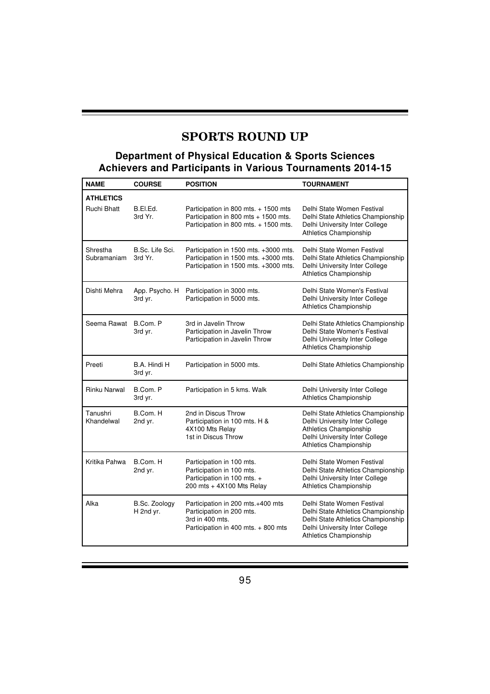# **SPORTS ROUND UP**

#### **Department of Physical Education & Sports Sciences Achievers and Participants in Various Tournaments 2014-15**

| <b>NAME</b>                            | <b>COURSE</b>              | <b>POSITION</b>                                                                                                          | <b>TOURNAMENT</b>                                                                                                                                                         |
|----------------------------------------|----------------------------|--------------------------------------------------------------------------------------------------------------------------|---------------------------------------------------------------------------------------------------------------------------------------------------------------------------|
| <b>ATHLETICS</b><br><b>Ruchi Bhatt</b> | B.EI.Ed.<br>3rd Yr.        | Participation in 800 mts. + 1500 mts<br>Participation in 800 mts + 1500 mts.<br>Participation in 800 mts. + 1500 mts.    | Delhi State Women Festival<br>Delhi State Athletics Championship<br>Delhi University Inter College<br><b>Athletics Championship</b>                                       |
| Shrestha<br>Subramaniam                | B.Sc. Life Sci.<br>3rd Yr. | Participation in 1500 mts. +3000 mts.<br>Participation in 1500 mts. +3000 mts.<br>Participation in 1500 mts. +3000 mts.  | Delhi State Women Festival<br>Delhi State Athletics Championship<br>Delhi University Inter College<br><b>Athletics Championship</b>                                       |
| Dishti Mehra                           | App. Psycho. H<br>3rd yr.  | Participation in 3000 mts.<br>Participation in 5000 mts.                                                                 | Delhi State Women's Festival<br>Delhi University Inter College<br><b>Athletics Championship</b>                                                                           |
| Seema Rawat                            | B.Com. P<br>3rd yr.        | 3rd in Javelin Throw<br>Participation in Javelin Throw<br>Participation in Javelin Throw                                 | Delhi State Athletics Championship<br>Delhi State Women's Festival<br>Delhi University Inter College<br>Athletics Championship                                            |
| Preeti                                 | B.A. Hindi H<br>3rd yr.    | Participation in 5000 mts.                                                                                               | Delhi State Athletics Championship                                                                                                                                        |
| Rinku Narwal                           | B.Com. P<br>3rd yr.        | Participation in 5 kms. Walk                                                                                             | Delhi University Inter College<br>Athletics Championship                                                                                                                  |
| Tanushri<br>Khandelwal                 | B.Com. H<br>2nd yr.        | 2nd in Discus Throw<br>Participation in 100 mts. H &<br>4X100 Mts Relay<br>1st in Discus Throw                           | Delhi State Athletics Championship<br>Delhi University Inter College<br>Athletics Championship<br>Delhi University Inter College<br><b>Athletics Championship</b>         |
| Kritika Pahwa                          | B.Com. H<br>2nd yr.        | Participation in 100 mts.<br>Participation in 100 mts.<br>Participation in 100 mts. +<br>200 mts + 4X100 Mts Relay       | Delhi State Women Festival<br>Delhi State Athletics Championship<br>Delhi University Inter College<br>Athletics Championship                                              |
| Alka                                   | B.Sc. Zoology<br>H 2nd yr. | Participation in 200 mts.+400 mts<br>Participation in 200 mts.<br>3rd in 400 mts.<br>Participation in 400 mts. + 800 mts | Delhi State Women Festival<br>Delhi State Athletics Championship<br>Delhi State Athletics Championship<br>Delhi University Inter College<br><b>Athletics Championship</b> |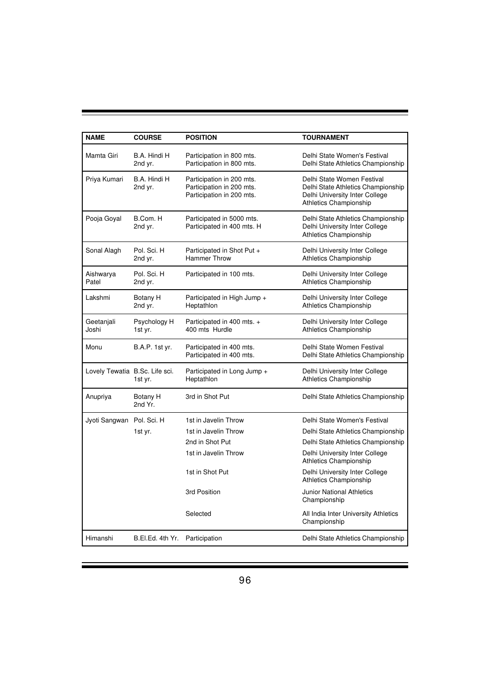| <b>NAME</b>                    | <b>COURSE</b>                  | <b>POSITION</b>                                                                     | <b>TOURNAMENT</b>                                                                                                            |
|--------------------------------|--------------------------------|-------------------------------------------------------------------------------------|------------------------------------------------------------------------------------------------------------------------------|
| Mamta Giri                     | B.A. Hindi H<br>2nd yr.        | Participation in 800 mts.<br>Participation in 800 mts.                              | Delhi State Women's Festival<br>Delhi State Athletics Championship                                                           |
| Priya Kumari                   | B.A. Hindi H<br>2nd yr.        | Participation in 200 mts.<br>Participation in 200 mts.<br>Participation in 200 mts. | Delhi State Women Festival<br>Delhi State Athletics Championship<br>Delhi University Inter College<br>Athletics Championship |
| Pooja Goyal                    | B.Com. H<br>2nd yr.            | Participated in 5000 mts.<br>Participated in 400 mts. H                             | Delhi State Athletics Championship<br>Delhi University Inter College<br><b>Athletics Championship</b>                        |
| Sonal Alagh                    | Pol. Sci. H<br>2nd yr.         | Participated in Shot Put +<br><b>Hammer Throw</b>                                   | Delhi University Inter College<br>Athletics Championship                                                                     |
| Aishwarya<br>Patel             | Pol. Sci. H<br>2nd yr.         | Participated in 100 mts.                                                            | Delhi University Inter College<br><b>Athletics Championship</b>                                                              |
| Lakshmi                        | Botany H<br>2nd yr.            | Participated in High Jump +<br>Heptathlon                                           | Delhi University Inter College<br>Athletics Championship                                                                     |
| Geetanjali<br>Joshi            | Psychology H<br>1st yr.        | Participated in 400 mts. +<br>400 mts Hurdle                                        | Delhi University Inter College<br>Athletics Championship                                                                     |
| Monu                           | <b>B.A.P. 1st yr.</b>          | Participated in 400 mts.<br>Participated in 400 mts.                                | Delhi State Women Festival<br>Delhi State Athletics Championship                                                             |
| Lovely Tewatia B.Sc. Life sci. | 1st yr.                        | Participated in Long Jump +<br>Heptathlon                                           | Delhi University Inter College<br><b>Athletics Championship</b>                                                              |
| Anupriya                       | Botany H<br>2nd Yr.            | 3rd in Shot Put                                                                     | Delhi State Athletics Championship                                                                                           |
| Jyoti Sangwan                  | Pol. Sci. H                    | 1st in Javelin Throw                                                                | Delhi State Women's Festival                                                                                                 |
|                                | 1st yr.                        | 1st in Javelin Throw                                                                | Delhi State Athletics Championship                                                                                           |
|                                |                                | 2nd in Shot Put                                                                     | Delhi State Athletics Championship                                                                                           |
|                                |                                | 1st in Javelin Throw                                                                | Delhi University Inter College<br><b>Athletics Championship</b>                                                              |
|                                |                                | 1st in Shot Put                                                                     | Delhi University Inter College<br><b>Athletics Championship</b>                                                              |
|                                |                                | 3rd Position                                                                        | <b>Junior National Athletics</b><br>Championship                                                                             |
|                                |                                | Selected                                                                            | All India Inter University Athletics<br>Championship                                                                         |
| Himanshi                       | B.El.Ed. 4th Yr. Participation |                                                                                     | Delhi State Athletics Championship                                                                                           |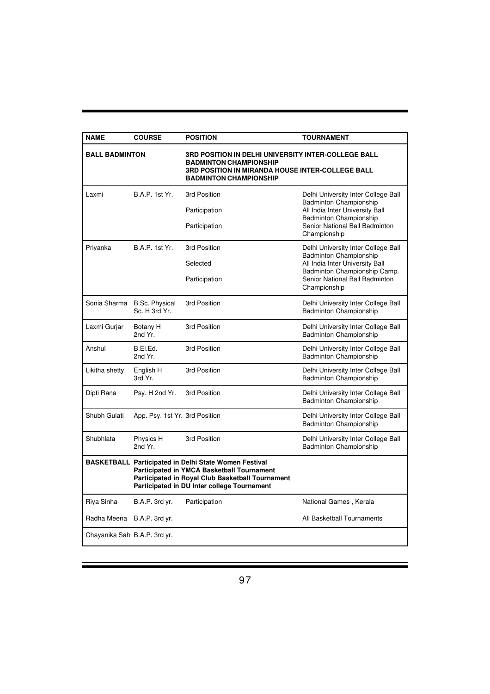| <b>NAME</b>                  | <b>COURSE</b>                                | <b>POSITION</b>                                                                                                                                                                                                      | <b>TOURNAMENT</b>                                                    |
|------------------------------|----------------------------------------------|----------------------------------------------------------------------------------------------------------------------------------------------------------------------------------------------------------------------|----------------------------------------------------------------------|
| <b>BALL BADMINTON</b>        |                                              | <b>3RD POSITION IN DELHI UNIVERSITY INTER-COLLEGE BALL</b><br><b>BADMINTON CHAMPIONSHIP</b><br><b>3RD POSITION IN MIRANDA HOUSE INTER-COLLEGE BALL</b><br><b>BADMINTON CHAMPIONSHIP</b>                              |                                                                      |
| Laxmi                        | B.A.P. 1st Yr.                               | 3rd Position                                                                                                                                                                                                         | Delhi University Inter College Ball<br><b>Badminton Championship</b> |
|                              |                                              | Participation                                                                                                                                                                                                        | All India Inter University Ball<br><b>Badminton Championship</b>     |
|                              |                                              | Participation                                                                                                                                                                                                        | Senior National Ball Badminton<br>Championship                       |
| Priyanka                     | B.A.P. 1st Yr.                               | 3rd Position                                                                                                                                                                                                         | Delhi University Inter College Ball<br><b>Badminton Championship</b> |
|                              |                                              | Selected                                                                                                                                                                                                             | All India Inter University Ball<br>Badminton Championship Camp.      |
|                              |                                              | Participation                                                                                                                                                                                                        | Senior National Ball Badminton<br>Championship                       |
|                              | Sonia Sharma B.Sc. Physical<br>Sc. H 3rd Yr. | 3rd Position                                                                                                                                                                                                         | Delhi University Inter College Ball<br><b>Badminton Championship</b> |
| Laxmi Gurjar                 | Botany H<br>2nd Yr.                          | 3rd Position                                                                                                                                                                                                         | Delhi University Inter College Ball<br>Badminton Championship        |
| Anshul                       | B.EI.Ed.<br>2nd Yr.                          | 3rd Position                                                                                                                                                                                                         | Delhi University Inter College Ball<br><b>Badminton Championship</b> |
| Likitha shetty               | English H<br>3rd Yr.                         | 3rd Position                                                                                                                                                                                                         | Delhi University Inter College Ball<br><b>Badminton Championship</b> |
| Dipti Rana                   | Psy. H 2nd Yr.                               | 3rd Position                                                                                                                                                                                                         | Delhi University Inter College Ball<br><b>Badminton Championship</b> |
| Shubh Gulati                 | App. Psy. 1st Yr. 3rd Position               |                                                                                                                                                                                                                      | Delhi University Inter College Ball<br><b>Badminton Championship</b> |
| Shubhlata                    | Physics H<br>2nd Yr.                         | 3rd Position                                                                                                                                                                                                         | Delhi University Inter College Ball<br><b>Badminton Championship</b> |
|                              |                                              | <b>BASKETBALL Participated in Delhi State Women Festival</b><br><b>Participated in YMCA Basketball Tournament</b><br>Participated in Royal Club Basketball Tournament<br>Participated in DU Inter college Tournament |                                                                      |
| Riya Sinha                   | B.A.P. 3rd yr.                               | Participation                                                                                                                                                                                                        | National Games, Kerala                                               |
| Radha Meena                  | B.A.P. 3rd yr.                               |                                                                                                                                                                                                                      | All Basketball Tournaments                                           |
| Chayanika Sah B.A.P. 3rd yr. |                                              |                                                                                                                                                                                                                      |                                                                      |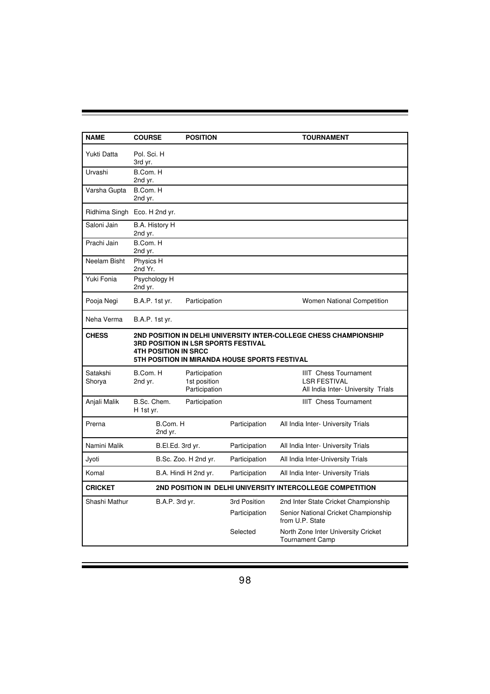| <b>NAME</b>        | <b>COURSE</b>                                                      | <b>POSITION</b>                                |                                               | <b>TOURNAMENT</b>                                                                         |
|--------------------|--------------------------------------------------------------------|------------------------------------------------|-----------------------------------------------|-------------------------------------------------------------------------------------------|
| Yukti Datta        | Pol. Sci. H<br>3rd yr.                                             |                                                |                                               |                                                                                           |
| Urvashi            | B.Com. H<br>2nd yr.                                                |                                                |                                               |                                                                                           |
| Varsha Gupta       | B.Com. H<br>2nd yr.                                                |                                                |                                               |                                                                                           |
|                    | Ridhima Singh Eco. H 2nd yr.                                       |                                                |                                               |                                                                                           |
| Saloni Jain        | B.A. History H<br>2nd yr.                                          |                                                |                                               |                                                                                           |
| Prachi Jain        | B.Com. H<br>2nd yr.                                                |                                                |                                               |                                                                                           |
| Neelam Bisht       | Physics H<br>2nd Yr.                                               |                                                |                                               |                                                                                           |
| Yuki Fonia         | Psychology H<br>2nd yr.                                            |                                                |                                               |                                                                                           |
| Pooja Negi         | B.A.P. 1st yr.                                                     | Participation                                  |                                               | Women National Competition                                                                |
| Neha Verma         | B.A.P. 1st yr.                                                     |                                                |                                               |                                                                                           |
| <b>CHESS</b>       | 3RD POSITION IN LSR SPORTS FESTIVAL<br><b>4TH POSITION IN SRCC</b> |                                                | 5TH POSITION IN MIRANDA HOUSE SPORTS FESTIVAL | 2ND POSITION IN DELHI UNIVERSITY INTER-COLLEGE CHESS CHAMPIONSHIP                         |
| Satakshi<br>Shorya | B.Com. H<br>2nd yr.                                                | Participation<br>1st position<br>Participation |                                               | <b>IIIT</b> Chess Tournament<br><b>LSR FESTIVAL</b><br>All India Inter- University Trials |
| Anjali Malik       | B.Sc. Chem.<br>H 1st yr.                                           | Participation                                  |                                               | <b>IIIT</b> Chess Tournament                                                              |
| Prerna             | B.Com. H<br>2nd yr.                                                |                                                | Participation                                 | All India Inter- University Trials                                                        |
| Namini Malik       | B.El.Ed. 3rd yr.                                                   |                                                | Participation                                 | All India Inter- University Trials                                                        |
| Jyoti              |                                                                    | B.Sc. Zoo. H 2nd yr.                           | Participation                                 | All India Inter-University Trials                                                         |
| Komal              |                                                                    | B.A. Hindi H 2nd yr.                           | Participation                                 | All India Inter- University Trials                                                        |
| <b>CRICKET</b>     |                                                                    |                                                |                                               | 2ND POSITION IN DELHI UNIVERSITY INTERCOLLEGE COMPETITION                                 |
| Shashi Mathur      | B.A.P. 3rd yr.                                                     |                                                | 3rd Position                                  | 2nd Inter State Cricket Championship                                                      |
|                    |                                                                    |                                                | Participation                                 | Senior National Cricket Championship<br>from U.P. State                                   |
|                    |                                                                    |                                                | Selected                                      | North Zone Inter University Cricket<br><b>Tournament Camp</b>                             |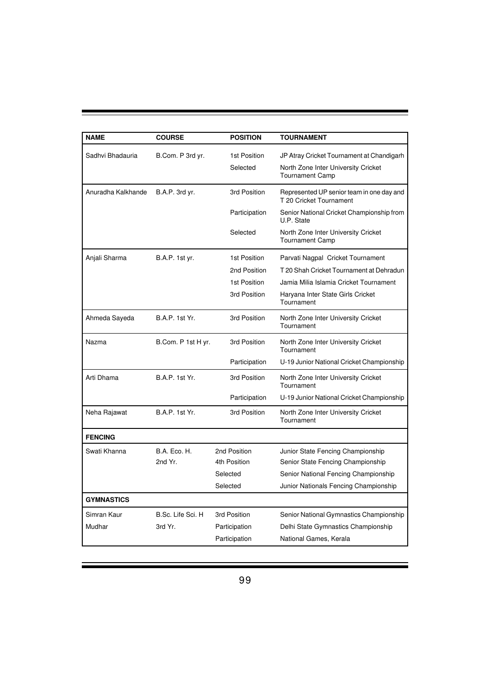| <b>NAME</b>        | <b>COURSE</b>         | <b>POSITION</b>          | <b>TOURNAMENT</b>                                                                                          |
|--------------------|-----------------------|--------------------------|------------------------------------------------------------------------------------------------------------|
| Sadhvi Bhadauria   | B.Com. P 3rd yr.      | 1st Position<br>Selected | JP Atray Cricket Tournament at Chandigarh<br>North Zone Inter University Cricket<br><b>Tournament Camp</b> |
| Anuradha Kalkhande | B.A.P. 3rd yr.        | 3rd Position             | Represented UP senior team in one day and<br>T 20 Cricket Tournament                                       |
|                    |                       | Participation            | Senior National Cricket Championship from<br>U.P. State                                                    |
|                    |                       | Selected                 | North Zone Inter University Cricket<br><b>Tournament Camp</b>                                              |
| Anjali Sharma      | <b>B.A.P. 1st yr.</b> | 1st Position             | Parvati Nagpal Cricket Tournament                                                                          |
|                    |                       | 2nd Position             | T 20 Shah Cricket Tournament at Dehradun                                                                   |
|                    |                       | 1st Position             | Jamia Milia Islamia Cricket Tournament                                                                     |
|                    |                       | 3rd Position             | Haryana Inter State Girls Cricket<br>Tournament                                                            |
| Ahmeda Sayeda      | <b>B.A.P. 1st Yr.</b> | 3rd Position             | North Zone Inter University Cricket<br>Tournament                                                          |
| Nazma              | B.Com. P 1st H yr.    | 3rd Position             | North Zone Inter University Cricket<br>Tournament                                                          |
|                    |                       | Participation            | U-19 Junior National Cricket Championship                                                                  |
| Arti Dhama         | <b>B.A.P. 1st Yr.</b> | 3rd Position             | North Zone Inter University Cricket<br>Tournament                                                          |
|                    |                       | Participation            | U-19 Junior National Cricket Championship                                                                  |
| Neha Rajawat       | <b>B.A.P. 1st Yr.</b> | 3rd Position             | North Zone Inter University Cricket<br>Tournament                                                          |
| <b>FENCING</b>     |                       |                          |                                                                                                            |
| Swati Khanna       | B.A. Eco. H.          | 2nd Position             | Junior State Fencing Championship                                                                          |
|                    | 2nd Yr.               | 4th Position             | Senior State Fencing Championship                                                                          |
|                    |                       | Selected                 | Senior National Fencing Championship                                                                       |
|                    |                       | Selected                 | Junior Nationals Fencing Championship                                                                      |
| <b>GYMNASTICS</b>  |                       |                          |                                                                                                            |
| Simran Kaur        | B.Sc. Life Sci. H     | 3rd Position             | Senior National Gymnastics Championship                                                                    |
| Mudhar             | 3rd Yr.               | Participation            | Delhi State Gymnastics Championship                                                                        |
|                    |                       | Participation            | National Games, Kerala                                                                                     |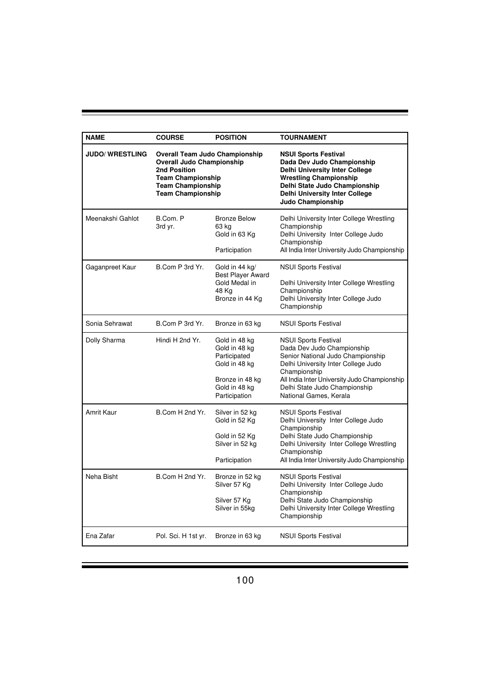| <b>NAME</b>            | <b>COURSE</b>                                                                                                                                                                 | <b>POSITION</b>                                                                                                      | <b>TOURNAMENT</b>                                                                                                                                                                                                                                                |
|------------------------|-------------------------------------------------------------------------------------------------------------------------------------------------------------------------------|----------------------------------------------------------------------------------------------------------------------|------------------------------------------------------------------------------------------------------------------------------------------------------------------------------------------------------------------------------------------------------------------|
| <b>JUDO/ WRESTLING</b> | <b>Overall Team Judo Championship</b><br><b>Overall Judo Championship</b><br>2nd Position<br><b>Team Championship</b><br><b>Team Championship</b><br><b>Team Championship</b> |                                                                                                                      | <b>NSUI Sports Festival</b><br>Dada Dev Judo Championship<br><b>Delhi University Inter College</b><br><b>Wrestling Championship</b><br>Delhi State Judo Championship<br><b>Delhi University Inter College</b><br>Judo Championship                               |
| Meenakshi Gahlot       | B.Com. P<br>3rd yr.                                                                                                                                                           | <b>Bronze Below</b><br>63 kg<br>Gold in 63 Kg<br>Participation                                                       | Delhi University Inter College Wrestling<br>Championship<br>Delhi University Inter College Judo<br>Championship<br>All India Inter University Judo Championship                                                                                                  |
| Gaganpreet Kaur        | B.Com P 3rd Yr.                                                                                                                                                               | Gold in 44 kg/<br>Best Player Award<br>Gold Medal in<br>48 Kg<br>Bronze in 44 Kg                                     | <b>NSUI Sports Festival</b><br>Delhi University Inter College Wrestling<br>Championship<br>Delhi University Inter College Judo<br>Championship                                                                                                                   |
| Sonia Sehrawat         | B.Com P 3rd Yr.                                                                                                                                                               | Bronze in 63 kg                                                                                                      | <b>NSUI Sports Festival</b>                                                                                                                                                                                                                                      |
| Dolly Sharma           | Hindi H 2nd Yr.                                                                                                                                                               | Gold in 48 kg<br>Gold in 48 kg<br>Participated<br>Gold in 48 kg<br>Bronze in 48 kg<br>Gold in 48 kg<br>Participation | <b>NSUI Sports Festival</b><br>Dada Dev Judo Championship<br>Senior National Judo Championship<br>Delhi University Inter College Judo<br>Championship<br>All India Inter University Judo Championship<br>Delhi State Judo Championship<br>National Games, Kerala |
| Amrit Kaur             | B.Com H 2nd Yr.                                                                                                                                                               | Silver in 52 kg<br>Gold in 52 Kg<br>Gold in 52 Kg<br>Silver in 52 kg<br>Participation                                | NSUI Sports Festival<br>Delhi University Inter College Judo<br>Championship<br>Delhi State Judo Championship<br>Delhi University Inter College Wrestling<br>Championship<br>All India Inter University Judo Championship                                         |
| Neha Bisht             | B.Com H 2nd Yr.                                                                                                                                                               | Bronze in 52 kg<br>Silver 57 Kg<br>Silver 57 Kg<br>Silver in 55kg                                                    | <b>NSUI Sports Festival</b><br>Delhi University Inter College Judo<br>Championship<br>Delhi State Judo Championship<br>Delhi University Inter College Wrestling<br>Championship                                                                                  |
| Ena Zafar              | Pol. Sci. H 1st yr.                                                                                                                                                           | Bronze in 63 kg                                                                                                      | <b>NSUI Sports Festival</b>                                                                                                                                                                                                                                      |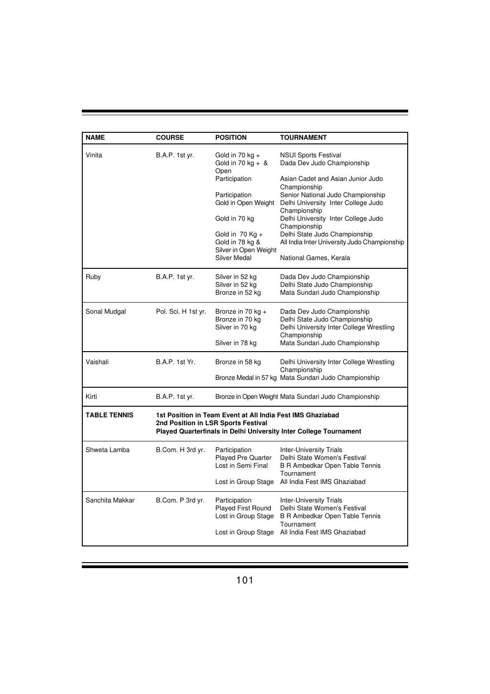| <b>NAME</b>         | <b>COURSE</b>         | <b>POSITION</b>                                                                                                                                                                                              | <b>TOURNAMENT</b>                                                                                                                                                                                                                                                                                                                                                            |
|---------------------|-----------------------|--------------------------------------------------------------------------------------------------------------------------------------------------------------------------------------------------------------|------------------------------------------------------------------------------------------------------------------------------------------------------------------------------------------------------------------------------------------------------------------------------------------------------------------------------------------------------------------------------|
| Vinita              | <b>B.A.P. 1st yr.</b> | Gold in 70 kg $+$<br>Gold in 70 kg + $\&$<br>Open<br>Participation<br>Participation<br>Gold in Open Weight<br>Gold in 70 kg<br>Gold in $70$ Kg +<br>Gold in 78 kg &<br>Silver in Open Weight<br>Silver Medal | <b>NSUI Sports Festival</b><br>Dada Dev Judo Championship<br>Asian Cadet and Asian Junior Judo<br>Championship<br>Senior National Judo Championship<br>Delhi University Inter College Judo<br>Championship<br>Delhi University Inter College Judo<br>Championship<br>Delhi State Judo Championship<br>All India Inter University Judo Championship<br>National Games, Kerala |
| Ruby                | B.A.P. 1st yr.        | Silver in 52 kg<br>Silver in 52 kg<br>Bronze in 52 kg                                                                                                                                                        | Dada Dev Judo Championship<br>Delhi State Judo Championship<br>Mata Sundari Judo Championship                                                                                                                                                                                                                                                                                |
| Sonal Mudgal        | Pol. Sci. H 1st yr.   | Bronze in 70 kg +<br>Bronze in 70 kg<br>Silver in 70 kg<br>Silver in 78 kg                                                                                                                                   | Dada Dev Judo Championship<br>Delhi State Judo Championship<br>Delhi University Inter College Wrestling<br>Championship<br>Mata Sundari Judo Championship                                                                                                                                                                                                                    |
| Vaishali            | <b>B.A.P. 1st Yr.</b> | Bronze in 58 kg                                                                                                                                                                                              | Delhi University Inter College Wrestling<br>Championship<br>Bronze Medal in 57 kg Mata Sundari Judo Championship                                                                                                                                                                                                                                                             |
| Kirti               | B.A.P. 1st yr.        |                                                                                                                                                                                                              | Bronze in Open Weight Mata Sundari Judo Championship                                                                                                                                                                                                                                                                                                                         |
| <b>TABLE TENNIS</b> |                       | 1st Position in Team Event at All India Fest IMS Ghaziabad<br>2nd Position in LSR Sports Festival                                                                                                            | Played Quarterfinals in Delhi University Inter College Tournament                                                                                                                                                                                                                                                                                                            |
| Shweta Lamba        | B.Com. H 3rd yr.      | Participation<br><b>Played Pre Quarter</b><br>Lost in Semi Final<br>Lost in Group Stage                                                                                                                      | <b>Inter-University Trials</b><br>Delhi State Women's Festival<br><b>B R Ambedkar Open Table Tennis</b><br>Tournament<br>All India Fest IMS Ghaziabad                                                                                                                                                                                                                        |
| Sanchita Makkar     | B.Com. P 3rd yr.      | Participation<br>Played First Round<br>Lost in Group Stage<br>Lost in Group Stage                                                                                                                            | <b>Inter-University Trials</b><br>Delhi State Women's Festival<br>B R Ambedkar Open Table Tennis<br>Tournament<br>All India Fest IMS Ghaziabad                                                                                                                                                                                                                               |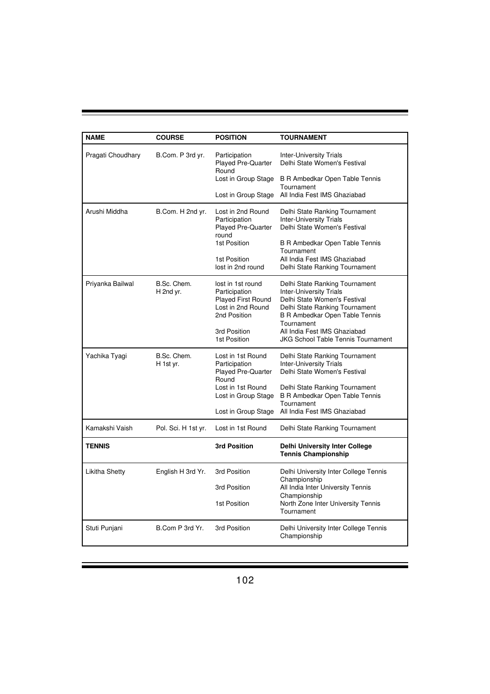| <b>NAME</b>       | <b>COURSE</b>            | <b>POSITION</b>                                                                                                                             | <b>TOURNAMENT</b>                                                                                                                                                                                                                                               |
|-------------------|--------------------------|---------------------------------------------------------------------------------------------------------------------------------------------|-----------------------------------------------------------------------------------------------------------------------------------------------------------------------------------------------------------------------------------------------------------------|
| Pragati Choudhary | B.Com. P 3rd yr.         | Participation<br><b>Played Pre-Quarter</b><br>Round<br>Lost in Group Stage<br>Lost in Group Stage                                           | <b>Inter-University Trials</b><br>Delhi State Women's Festival<br>B R Ambedkar Open Table Tennis<br>Tournament<br>All India Fest IMS Ghaziabad                                                                                                                  |
| Arushi Middha     | B.Com. H 2nd yr.         | Lost in 2nd Round<br>Participation<br><b>Played Pre-Quarter</b><br>round<br>1st Position<br>1st Position<br>lost in 2nd round               | Delhi State Ranking Tournament<br><b>Inter-University Trials</b><br>Delhi State Women's Festival<br>B R Ambedkar Open Table Tennis<br>Tournament<br>All India Fest IMS Ghaziabad<br>Delhi State Ranking Tournament                                              |
| Priyanka Bailwal  | B.Sc. Chem.<br>H 2nd yr. | lost in 1st round<br>Participation<br><b>Played First Round</b><br>Lost in 2nd Round<br>2nd Position<br>3rd Position<br>1st Position        | Delhi State Ranking Tournament<br><b>Inter-University Trials</b><br>Delhi State Women's Festival<br>Delhi State Ranking Tournament<br>B R Ambedkar Open Table Tennis<br>Tournament<br>All India Fest IMS Ghaziabad<br><b>JKG School Table Tennis Tournament</b> |
| Yachika Tyagi     | B.Sc. Chem.<br>H 1st yr. | Lost in 1st Round<br>Participation<br><b>Played Pre-Quarter</b><br>Round<br>Lost in 1st Round<br>Lost in Group Stage<br>Lost in Group Stage | Delhi State Ranking Tournament<br><b>Inter-University Trials</b><br>Delhi State Women's Festival<br>Delhi State Ranking Tournament<br><b>B R Ambedkar Open Table Tennis</b><br>Tournament<br>All India Fest IMS Ghaziabad                                       |
| Kamakshi Vaish    | Pol. Sci. H 1st yr.      | Lost in 1st Round                                                                                                                           | Delhi State Ranking Tournament                                                                                                                                                                                                                                  |
| <b>TENNIS</b>     |                          | 3rd Position                                                                                                                                | <b>Delhi University Inter College</b><br><b>Tennis Championship</b>                                                                                                                                                                                             |
| Likitha Shetty    | English H 3rd Yr.        | 3rd Position<br>3rd Position<br>1st Position                                                                                                | Delhi University Inter College Tennis<br>Championship<br>All India Inter University Tennis<br>Championship<br>North Zone Inter University Tennis<br>Tournament                                                                                                  |
| Stuti Punjani     | B.Com P 3rd Yr.          | 3rd Position                                                                                                                                | Delhi University Inter College Tennis<br>Championship                                                                                                                                                                                                           |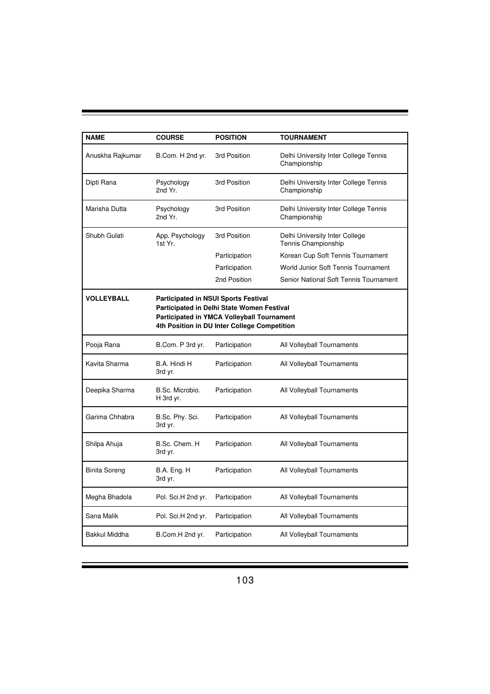| <b>NAME</b>       | <b>COURSE</b>                                                                                                                                                                                  | <b>POSITION</b> | <b>TOURNAMENT</b>                                     |  |  |
|-------------------|------------------------------------------------------------------------------------------------------------------------------------------------------------------------------------------------|-----------------|-------------------------------------------------------|--|--|
| Anuskha Rajkumar  | B.Com. H 2nd yr.                                                                                                                                                                               | 3rd Position    | Delhi University Inter College Tennis<br>Championship |  |  |
| Dipti Rana        | Psychology<br>2nd Yr.                                                                                                                                                                          | 3rd Position    | Delhi University Inter College Tennis<br>Championship |  |  |
| Marisha Dutta     | Psychology<br>2nd Yr.                                                                                                                                                                          | 3rd Position    | Delhi University Inter College Tennis<br>Championship |  |  |
| Shubh Gulati      | App. Psychology<br>1st Yr.                                                                                                                                                                     | 3rd Position    | Delhi University Inter College<br>Tennis Championship |  |  |
|                   |                                                                                                                                                                                                | Participation   | Korean Cup Soft Tennis Tournament                     |  |  |
|                   |                                                                                                                                                                                                | Participation   | World Junior Soft Tennis Tournament                   |  |  |
|                   |                                                                                                                                                                                                | 2nd Position    | Senior National Soft Tennis Tournament                |  |  |
| <b>VOLLEYBALL</b> | <b>Participated in NSUI Sports Festival</b><br>Participated in Delhi State Women Festival<br><b>Participated in YMCA Volleyball Tournament</b><br>4th Position in DU Inter College Competition |                 |                                                       |  |  |
| Pooja Rana        | B.Com. P 3rd yr.                                                                                                                                                                               | Participation   | All Volleyball Tournaments                            |  |  |
| Kavita Sharma     | B.A. Hindi H<br>3rd yr.                                                                                                                                                                        | Participation   | All Volleyball Tournaments                            |  |  |
| Deepika Sharma    | B.Sc. Microbio.<br>H 3rd yr.                                                                                                                                                                   | Participation   | All Volleyball Tournaments                            |  |  |
| Garima Chhabra    | B.Sc. Phy. Sci.<br>3rd yr.                                                                                                                                                                     | Participation   | All Volleyball Tournaments                            |  |  |
| Shilpa Ahuja      | B.Sc. Chem. H<br>3rd yr.                                                                                                                                                                       | Participation   | All Volleyball Tournaments                            |  |  |
| Binita Soreng     | B.A. Eng. H<br>3rd yr.                                                                                                                                                                         | Participation   | All Volleyball Tournaments                            |  |  |
| Megha Bhadola     | Pol. Sci.H 2nd yr.                                                                                                                                                                             | Participation   | All Volleyball Tournaments                            |  |  |
| Sana Malik        | Pol. Sci.H 2nd yr.                                                                                                                                                                             | Participation   | All Volleyball Tournaments                            |  |  |
| Bakkul Middha     | B.Com.H 2nd yr.                                                                                                                                                                                | Participation   | All Volleyball Tournaments                            |  |  |